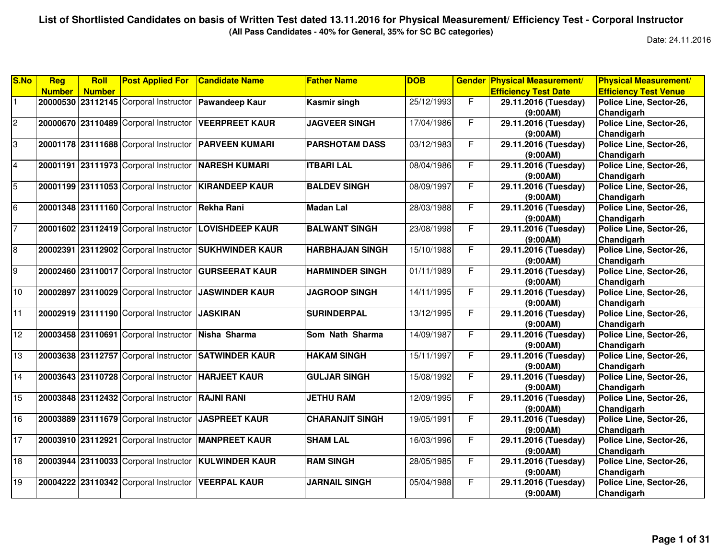**(All Pass Candidates - 40% for General, 35% for SC BC categories)**

| <b>Number</b><br><b>Efficiency Test Date</b><br><b>Efficiency Test Venue</b><br><b>Number</b><br>20000530 23112145 Corporal Instructor<br>25/12/1993<br>F<br><b>Pawandeep Kaur</b><br>29.11.2016 (Tuesday)<br>Police Line, Sector-26,<br>Kasmir singh<br>(9:00AM)<br>Chandigarh<br>F.<br>20000670 23110489 Corporal Instructor<br>17/04/1986<br><b>VEERPREET KAUR</b><br><b>JAGVEER SINGH</b><br>29.11.2016 (Tuesday)<br>Police Line, Sector-26,<br>Chandigarh<br>(9:00AM)<br>20001178 23111688 Corporal Instructor<br>F.<br>03/12/1983<br>Police Line, Sector-26,<br><b>PARVEEN KUMARI</b><br><b>PARSHOTAM DASS</b><br>29.11.2016 (Tuesday)<br>Chandigarh<br>(9:00AM)<br>F.<br>20001191 23111973 Corporal Instructor<br>08/04/1986<br>Police Line, Sector-26,<br><b>NARESH KUMARI</b><br><b>ITBARI LAL</b><br>29.11.2016 (Tuesday)<br>Chandigarh<br>(9:00AM)<br>F.<br>20001199 23111053 Corporal Instructor<br>08/09/1997<br>29.11.2016 (Tuesday)<br><b>KIRANDEEP KAUR</b><br><b>BALDEV SINGH</b><br>Police Line, Sector-26,<br>(9:00AM)<br>Chandigarh<br>Police Line, Sector-26,<br>20001348 23111160 Corporal Instructor<br>28/03/1988<br>F<br>29.11.2016 (Tuesday)<br>Rekha Rani<br><b>Madan Lal</b><br>Chandigarh<br>(9:00AM)<br><b>BALWANT SINGH</b><br>23/08/1998<br>F.<br>29.11.2016 (Tuesday)<br>Police Line, Sector-26,<br>20001602 23112419 Corporal Instructor<br><b>LOVISHDEEP KAUR</b><br>(9:00AM)<br>Chandigarh<br>$\overline{F}$<br>20002391 23112902 Corporal Instructor<br>15/10/1988<br>29.11.2016 (Tuesday)<br>Police Line, Sector-26,<br><b>SUKHWINDER KAUR</b><br><b>HARBHAJAN SINGH</b><br>(9:00AM)<br>Chandigarh<br>$\overline{9}$<br>F<br>20002460 23110017 Corporal Instructor<br><b>GURSEERAT KAUR</b><br><b>HARMINDER SINGH</b><br>01/11/1989<br>29.11.2016 (Tuesday)<br>Police Line, Sector-26,<br>(9:00AM)<br>Chandigarh<br>F.<br>23110029 Corporal Instructor<br><b>JASWINDER KAUR</b><br><b>JAGROOP SINGH</b><br>14/11/1995<br>Police Line, Sector-26,<br>20002897<br>29.11.2016 (Tuesday)<br>Chandigarh<br>(9:00AM)<br>20002919 23111190 Corporal Instructor<br>13/12/1995<br>F<br><b>JASKIRAN</b><br>29.11.2016 (Tuesday)<br>Police Line, Sector-26,<br><b>SURINDERPAL</b><br>(9:00AM)<br>Chandigarh<br>F<br>14/09/1987<br>20003458 23110691 Corporal Instructor<br>Som Nath Sharma<br>29.11.2016 (Tuesday)<br>Police Line, Sector-26,<br>Nisha Sharma<br>Chandigarh<br>(9:00AM)<br>F<br>20003638 23112757 Corporal Instructor<br><b>SATWINDER KAUR</b><br><b>HAKAM SINGH</b><br>15/11/1997<br>Police Line, Sector-26,<br>29.11.2016 (Tuesday)<br>Chandigarh<br>(9:00AM)<br>F.<br>Police Line, Sector-26,<br>20003643 23110728 Corporal Instructor<br><b>HARJEET KAUR</b><br><b>GULJAR SINGH</b><br>15/08/1992<br>29.11.2016 (Tuesday)<br>(9:00AM)<br>Chandigarh<br>F<br>20003848 23112432 Corporal Instructor<br>12/09/1995<br>29.11.2016 (Tuesday)<br>Police Line, Sector-26,<br><b>RAJNI RANI</b><br><b>JETHU RAM</b><br>(9:00AM)<br>Chandigarh<br>F<br>20003889 23111679 Corporal Instructor<br><b>JASPREET KAUR</b><br><b>CHARANJIT SINGH</b><br>Police Line, Sector-26,<br>19/05/1991<br>29.11.2016 (Tuesday)<br>Chandigarh<br>(9:00AM)<br>F.<br>Police Line, Sector-26,<br>20003910 23112921 Corporal Instructor<br><b>MANPREET KAUR</b><br><b>SHAM LAL</b><br>16/03/1996<br>29.11.2016 (Tuesday)<br>(9:00AM)<br>Chandigarh<br>20003944 23110033 Corporal Instructor | S.No | Reg | Roll | <b>Post Applied For</b> | <b>Candidate Name</b> | <b>Father Name</b> | <b>DOB</b> | <b>Gender</b> | <b>Physical Measurement/</b> | <b>Physical Measurement/</b> |
|---------------------------------------------------------------------------------------------------------------------------------------------------------------------------------------------------------------------------------------------------------------------------------------------------------------------------------------------------------------------------------------------------------------------------------------------------------------------------------------------------------------------------------------------------------------------------------------------------------------------------------------------------------------------------------------------------------------------------------------------------------------------------------------------------------------------------------------------------------------------------------------------------------------------------------------------------------------------------------------------------------------------------------------------------------------------------------------------------------------------------------------------------------------------------------------------------------------------------------------------------------------------------------------------------------------------------------------------------------------------------------------------------------------------------------------------------------------------------------------------------------------------------------------------------------------------------------------------------------------------------------------------------------------------------------------------------------------------------------------------------------------------------------------------------------------------------------------------------------------------------------------------------------------------------------------------------------------------------------------------------------------------------------------------------------------------------------------------------------------------------------------------------------------------------------------------------------------------------------------------------------------------------------------------------------------------------------------------------------------------------------------------------------------------------------------------------------------------------------------------------------------------------------------------------------------------------------------------------------------------------------------------------------------------------------------------------------------------------------------------------------------------------------------------------------------------------------------------------------------------------------------------------------------------------------------------------------------------------------------------------------------------------------------------------------------------------------------------------------------------------------------------------------------------------------------------------------------------------------------------------------------------------------------------------------------------------------------------------------------------------------------------------------------|------|-----|------|-------------------------|-----------------------|--------------------|------------|---------------|------------------------------|------------------------------|
| $\overline{c}$<br>$\overline{3}$<br>$\overline{4}$<br>$\overline{5}$<br>$6\overline{6}$<br>$\overline{7}$<br>$\bf{8}$<br>10<br>11<br>12<br>13<br>14<br>15<br>16<br>17                                                                                                                                                                                                                                                                                                                                                                                                                                                                                                                                                                                                                                                                                                                                                                                                                                                                                                                                                                                                                                                                                                                                                                                                                                                                                                                                                                                                                                                                                                                                                                                                                                                                                                                                                                                                                                                                                                                                                                                                                                                                                                                                                                                                                                                                                                                                                                                                                                                                                                                                                                                                                                                                                                                                                                                                                                                                                                                                                                                                                                                                                                                                                                                                                                         |      |     |      |                         |                       |                    |            |               |                              |                              |
|                                                                                                                                                                                                                                                                                                                                                                                                                                                                                                                                                                                                                                                                                                                                                                                                                                                                                                                                                                                                                                                                                                                                                                                                                                                                                                                                                                                                                                                                                                                                                                                                                                                                                                                                                                                                                                                                                                                                                                                                                                                                                                                                                                                                                                                                                                                                                                                                                                                                                                                                                                                                                                                                                                                                                                                                                                                                                                                                                                                                                                                                                                                                                                                                                                                                                                                                                                                                               |      |     |      |                         |                       |                    |            |               |                              |                              |
|                                                                                                                                                                                                                                                                                                                                                                                                                                                                                                                                                                                                                                                                                                                                                                                                                                                                                                                                                                                                                                                                                                                                                                                                                                                                                                                                                                                                                                                                                                                                                                                                                                                                                                                                                                                                                                                                                                                                                                                                                                                                                                                                                                                                                                                                                                                                                                                                                                                                                                                                                                                                                                                                                                                                                                                                                                                                                                                                                                                                                                                                                                                                                                                                                                                                                                                                                                                                               |      |     |      |                         |                       |                    |            |               |                              |                              |
|                                                                                                                                                                                                                                                                                                                                                                                                                                                                                                                                                                                                                                                                                                                                                                                                                                                                                                                                                                                                                                                                                                                                                                                                                                                                                                                                                                                                                                                                                                                                                                                                                                                                                                                                                                                                                                                                                                                                                                                                                                                                                                                                                                                                                                                                                                                                                                                                                                                                                                                                                                                                                                                                                                                                                                                                                                                                                                                                                                                                                                                                                                                                                                                                                                                                                                                                                                                                               |      |     |      |                         |                       |                    |            |               |                              |                              |
|                                                                                                                                                                                                                                                                                                                                                                                                                                                                                                                                                                                                                                                                                                                                                                                                                                                                                                                                                                                                                                                                                                                                                                                                                                                                                                                                                                                                                                                                                                                                                                                                                                                                                                                                                                                                                                                                                                                                                                                                                                                                                                                                                                                                                                                                                                                                                                                                                                                                                                                                                                                                                                                                                                                                                                                                                                                                                                                                                                                                                                                                                                                                                                                                                                                                                                                                                                                                               |      |     |      |                         |                       |                    |            |               |                              |                              |
|                                                                                                                                                                                                                                                                                                                                                                                                                                                                                                                                                                                                                                                                                                                                                                                                                                                                                                                                                                                                                                                                                                                                                                                                                                                                                                                                                                                                                                                                                                                                                                                                                                                                                                                                                                                                                                                                                                                                                                                                                                                                                                                                                                                                                                                                                                                                                                                                                                                                                                                                                                                                                                                                                                                                                                                                                                                                                                                                                                                                                                                                                                                                                                                                                                                                                                                                                                                                               |      |     |      |                         |                       |                    |            |               |                              |                              |
|                                                                                                                                                                                                                                                                                                                                                                                                                                                                                                                                                                                                                                                                                                                                                                                                                                                                                                                                                                                                                                                                                                                                                                                                                                                                                                                                                                                                                                                                                                                                                                                                                                                                                                                                                                                                                                                                                                                                                                                                                                                                                                                                                                                                                                                                                                                                                                                                                                                                                                                                                                                                                                                                                                                                                                                                                                                                                                                                                                                                                                                                                                                                                                                                                                                                                                                                                                                                               |      |     |      |                         |                       |                    |            |               |                              |                              |
|                                                                                                                                                                                                                                                                                                                                                                                                                                                                                                                                                                                                                                                                                                                                                                                                                                                                                                                                                                                                                                                                                                                                                                                                                                                                                                                                                                                                                                                                                                                                                                                                                                                                                                                                                                                                                                                                                                                                                                                                                                                                                                                                                                                                                                                                                                                                                                                                                                                                                                                                                                                                                                                                                                                                                                                                                                                                                                                                                                                                                                                                                                                                                                                                                                                                                                                                                                                                               |      |     |      |                         |                       |                    |            |               |                              |                              |
|                                                                                                                                                                                                                                                                                                                                                                                                                                                                                                                                                                                                                                                                                                                                                                                                                                                                                                                                                                                                                                                                                                                                                                                                                                                                                                                                                                                                                                                                                                                                                                                                                                                                                                                                                                                                                                                                                                                                                                                                                                                                                                                                                                                                                                                                                                                                                                                                                                                                                                                                                                                                                                                                                                                                                                                                                                                                                                                                                                                                                                                                                                                                                                                                                                                                                                                                                                                                               |      |     |      |                         |                       |                    |            |               |                              |                              |
|                                                                                                                                                                                                                                                                                                                                                                                                                                                                                                                                                                                                                                                                                                                                                                                                                                                                                                                                                                                                                                                                                                                                                                                                                                                                                                                                                                                                                                                                                                                                                                                                                                                                                                                                                                                                                                                                                                                                                                                                                                                                                                                                                                                                                                                                                                                                                                                                                                                                                                                                                                                                                                                                                                                                                                                                                                                                                                                                                                                                                                                                                                                                                                                                                                                                                                                                                                                                               |      |     |      |                         |                       |                    |            |               |                              |                              |
|                                                                                                                                                                                                                                                                                                                                                                                                                                                                                                                                                                                                                                                                                                                                                                                                                                                                                                                                                                                                                                                                                                                                                                                                                                                                                                                                                                                                                                                                                                                                                                                                                                                                                                                                                                                                                                                                                                                                                                                                                                                                                                                                                                                                                                                                                                                                                                                                                                                                                                                                                                                                                                                                                                                                                                                                                                                                                                                                                                                                                                                                                                                                                                                                                                                                                                                                                                                                               |      |     |      |                         |                       |                    |            |               |                              |                              |
|                                                                                                                                                                                                                                                                                                                                                                                                                                                                                                                                                                                                                                                                                                                                                                                                                                                                                                                                                                                                                                                                                                                                                                                                                                                                                                                                                                                                                                                                                                                                                                                                                                                                                                                                                                                                                                                                                                                                                                                                                                                                                                                                                                                                                                                                                                                                                                                                                                                                                                                                                                                                                                                                                                                                                                                                                                                                                                                                                                                                                                                                                                                                                                                                                                                                                                                                                                                                               |      |     |      |                         |                       |                    |            |               |                              |                              |
|                                                                                                                                                                                                                                                                                                                                                                                                                                                                                                                                                                                                                                                                                                                                                                                                                                                                                                                                                                                                                                                                                                                                                                                                                                                                                                                                                                                                                                                                                                                                                                                                                                                                                                                                                                                                                                                                                                                                                                                                                                                                                                                                                                                                                                                                                                                                                                                                                                                                                                                                                                                                                                                                                                                                                                                                                                                                                                                                                                                                                                                                                                                                                                                                                                                                                                                                                                                                               |      |     |      |                         |                       |                    |            |               |                              |                              |
|                                                                                                                                                                                                                                                                                                                                                                                                                                                                                                                                                                                                                                                                                                                                                                                                                                                                                                                                                                                                                                                                                                                                                                                                                                                                                                                                                                                                                                                                                                                                                                                                                                                                                                                                                                                                                                                                                                                                                                                                                                                                                                                                                                                                                                                                                                                                                                                                                                                                                                                                                                                                                                                                                                                                                                                                                                                                                                                                                                                                                                                                                                                                                                                                                                                                                                                                                                                                               |      |     |      |                         |                       |                    |            |               |                              |                              |
|                                                                                                                                                                                                                                                                                                                                                                                                                                                                                                                                                                                                                                                                                                                                                                                                                                                                                                                                                                                                                                                                                                                                                                                                                                                                                                                                                                                                                                                                                                                                                                                                                                                                                                                                                                                                                                                                                                                                                                                                                                                                                                                                                                                                                                                                                                                                                                                                                                                                                                                                                                                                                                                                                                                                                                                                                                                                                                                                                                                                                                                                                                                                                                                                                                                                                                                                                                                                               |      |     |      |                         |                       |                    |            |               |                              |                              |
|                                                                                                                                                                                                                                                                                                                                                                                                                                                                                                                                                                                                                                                                                                                                                                                                                                                                                                                                                                                                                                                                                                                                                                                                                                                                                                                                                                                                                                                                                                                                                                                                                                                                                                                                                                                                                                                                                                                                                                                                                                                                                                                                                                                                                                                                                                                                                                                                                                                                                                                                                                                                                                                                                                                                                                                                                                                                                                                                                                                                                                                                                                                                                                                                                                                                                                                                                                                                               |      |     |      |                         |                       |                    |            |               |                              |                              |
|                                                                                                                                                                                                                                                                                                                                                                                                                                                                                                                                                                                                                                                                                                                                                                                                                                                                                                                                                                                                                                                                                                                                                                                                                                                                                                                                                                                                                                                                                                                                                                                                                                                                                                                                                                                                                                                                                                                                                                                                                                                                                                                                                                                                                                                                                                                                                                                                                                                                                                                                                                                                                                                                                                                                                                                                                                                                                                                                                                                                                                                                                                                                                                                                                                                                                                                                                                                                               |      |     |      |                         |                       |                    |            |               |                              |                              |
|                                                                                                                                                                                                                                                                                                                                                                                                                                                                                                                                                                                                                                                                                                                                                                                                                                                                                                                                                                                                                                                                                                                                                                                                                                                                                                                                                                                                                                                                                                                                                                                                                                                                                                                                                                                                                                                                                                                                                                                                                                                                                                                                                                                                                                                                                                                                                                                                                                                                                                                                                                                                                                                                                                                                                                                                                                                                                                                                                                                                                                                                                                                                                                                                                                                                                                                                                                                                               |      |     |      |                         |                       |                    |            |               |                              |                              |
|                                                                                                                                                                                                                                                                                                                                                                                                                                                                                                                                                                                                                                                                                                                                                                                                                                                                                                                                                                                                                                                                                                                                                                                                                                                                                                                                                                                                                                                                                                                                                                                                                                                                                                                                                                                                                                                                                                                                                                                                                                                                                                                                                                                                                                                                                                                                                                                                                                                                                                                                                                                                                                                                                                                                                                                                                                                                                                                                                                                                                                                                                                                                                                                                                                                                                                                                                                                                               |      |     |      |                         |                       |                    |            |               |                              |                              |
|                                                                                                                                                                                                                                                                                                                                                                                                                                                                                                                                                                                                                                                                                                                                                                                                                                                                                                                                                                                                                                                                                                                                                                                                                                                                                                                                                                                                                                                                                                                                                                                                                                                                                                                                                                                                                                                                                                                                                                                                                                                                                                                                                                                                                                                                                                                                                                                                                                                                                                                                                                                                                                                                                                                                                                                                                                                                                                                                                                                                                                                                                                                                                                                                                                                                                                                                                                                                               |      |     |      |                         |                       |                    |            |               |                              |                              |
|                                                                                                                                                                                                                                                                                                                                                                                                                                                                                                                                                                                                                                                                                                                                                                                                                                                                                                                                                                                                                                                                                                                                                                                                                                                                                                                                                                                                                                                                                                                                                                                                                                                                                                                                                                                                                                                                                                                                                                                                                                                                                                                                                                                                                                                                                                                                                                                                                                                                                                                                                                                                                                                                                                                                                                                                                                                                                                                                                                                                                                                                                                                                                                                                                                                                                                                                                                                                               |      |     |      |                         |                       |                    |            |               |                              |                              |
|                                                                                                                                                                                                                                                                                                                                                                                                                                                                                                                                                                                                                                                                                                                                                                                                                                                                                                                                                                                                                                                                                                                                                                                                                                                                                                                                                                                                                                                                                                                                                                                                                                                                                                                                                                                                                                                                                                                                                                                                                                                                                                                                                                                                                                                                                                                                                                                                                                                                                                                                                                                                                                                                                                                                                                                                                                                                                                                                                                                                                                                                                                                                                                                                                                                                                                                                                                                                               |      |     |      |                         |                       |                    |            |               |                              |                              |
|                                                                                                                                                                                                                                                                                                                                                                                                                                                                                                                                                                                                                                                                                                                                                                                                                                                                                                                                                                                                                                                                                                                                                                                                                                                                                                                                                                                                                                                                                                                                                                                                                                                                                                                                                                                                                                                                                                                                                                                                                                                                                                                                                                                                                                                                                                                                                                                                                                                                                                                                                                                                                                                                                                                                                                                                                                                                                                                                                                                                                                                                                                                                                                                                                                                                                                                                                                                                               |      |     |      |                         |                       |                    |            |               |                              |                              |
|                                                                                                                                                                                                                                                                                                                                                                                                                                                                                                                                                                                                                                                                                                                                                                                                                                                                                                                                                                                                                                                                                                                                                                                                                                                                                                                                                                                                                                                                                                                                                                                                                                                                                                                                                                                                                                                                                                                                                                                                                                                                                                                                                                                                                                                                                                                                                                                                                                                                                                                                                                                                                                                                                                                                                                                                                                                                                                                                                                                                                                                                                                                                                                                                                                                                                                                                                                                                               |      |     |      |                         |                       |                    |            |               |                              |                              |
|                                                                                                                                                                                                                                                                                                                                                                                                                                                                                                                                                                                                                                                                                                                                                                                                                                                                                                                                                                                                                                                                                                                                                                                                                                                                                                                                                                                                                                                                                                                                                                                                                                                                                                                                                                                                                                                                                                                                                                                                                                                                                                                                                                                                                                                                                                                                                                                                                                                                                                                                                                                                                                                                                                                                                                                                                                                                                                                                                                                                                                                                                                                                                                                                                                                                                                                                                                                                               |      |     |      |                         |                       |                    |            |               |                              |                              |
|                                                                                                                                                                                                                                                                                                                                                                                                                                                                                                                                                                                                                                                                                                                                                                                                                                                                                                                                                                                                                                                                                                                                                                                                                                                                                                                                                                                                                                                                                                                                                                                                                                                                                                                                                                                                                                                                                                                                                                                                                                                                                                                                                                                                                                                                                                                                                                                                                                                                                                                                                                                                                                                                                                                                                                                                                                                                                                                                                                                                                                                                                                                                                                                                                                                                                                                                                                                                               |      |     |      |                         |                       |                    |            |               |                              |                              |
|                                                                                                                                                                                                                                                                                                                                                                                                                                                                                                                                                                                                                                                                                                                                                                                                                                                                                                                                                                                                                                                                                                                                                                                                                                                                                                                                                                                                                                                                                                                                                                                                                                                                                                                                                                                                                                                                                                                                                                                                                                                                                                                                                                                                                                                                                                                                                                                                                                                                                                                                                                                                                                                                                                                                                                                                                                                                                                                                                                                                                                                                                                                                                                                                                                                                                                                                                                                                               |      |     |      |                         |                       |                    |            |               |                              |                              |
|                                                                                                                                                                                                                                                                                                                                                                                                                                                                                                                                                                                                                                                                                                                                                                                                                                                                                                                                                                                                                                                                                                                                                                                                                                                                                                                                                                                                                                                                                                                                                                                                                                                                                                                                                                                                                                                                                                                                                                                                                                                                                                                                                                                                                                                                                                                                                                                                                                                                                                                                                                                                                                                                                                                                                                                                                                                                                                                                                                                                                                                                                                                                                                                                                                                                                                                                                                                                               |      |     |      |                         |                       |                    |            |               |                              |                              |
|                                                                                                                                                                                                                                                                                                                                                                                                                                                                                                                                                                                                                                                                                                                                                                                                                                                                                                                                                                                                                                                                                                                                                                                                                                                                                                                                                                                                                                                                                                                                                                                                                                                                                                                                                                                                                                                                                                                                                                                                                                                                                                                                                                                                                                                                                                                                                                                                                                                                                                                                                                                                                                                                                                                                                                                                                                                                                                                                                                                                                                                                                                                                                                                                                                                                                                                                                                                                               |      |     |      |                         |                       |                    |            |               |                              |                              |
|                                                                                                                                                                                                                                                                                                                                                                                                                                                                                                                                                                                                                                                                                                                                                                                                                                                                                                                                                                                                                                                                                                                                                                                                                                                                                                                                                                                                                                                                                                                                                                                                                                                                                                                                                                                                                                                                                                                                                                                                                                                                                                                                                                                                                                                                                                                                                                                                                                                                                                                                                                                                                                                                                                                                                                                                                                                                                                                                                                                                                                                                                                                                                                                                                                                                                                                                                                                                               |      |     |      |                         |                       |                    |            |               |                              |                              |
|                                                                                                                                                                                                                                                                                                                                                                                                                                                                                                                                                                                                                                                                                                                                                                                                                                                                                                                                                                                                                                                                                                                                                                                                                                                                                                                                                                                                                                                                                                                                                                                                                                                                                                                                                                                                                                                                                                                                                                                                                                                                                                                                                                                                                                                                                                                                                                                                                                                                                                                                                                                                                                                                                                                                                                                                                                                                                                                                                                                                                                                                                                                                                                                                                                                                                                                                                                                                               |      |     |      |                         |                       |                    |            |               |                              |                              |
|                                                                                                                                                                                                                                                                                                                                                                                                                                                                                                                                                                                                                                                                                                                                                                                                                                                                                                                                                                                                                                                                                                                                                                                                                                                                                                                                                                                                                                                                                                                                                                                                                                                                                                                                                                                                                                                                                                                                                                                                                                                                                                                                                                                                                                                                                                                                                                                                                                                                                                                                                                                                                                                                                                                                                                                                                                                                                                                                                                                                                                                                                                                                                                                                                                                                                                                                                                                                               |      |     |      |                         |                       |                    |            |               |                              |                              |
|                                                                                                                                                                                                                                                                                                                                                                                                                                                                                                                                                                                                                                                                                                                                                                                                                                                                                                                                                                                                                                                                                                                                                                                                                                                                                                                                                                                                                                                                                                                                                                                                                                                                                                                                                                                                                                                                                                                                                                                                                                                                                                                                                                                                                                                                                                                                                                                                                                                                                                                                                                                                                                                                                                                                                                                                                                                                                                                                                                                                                                                                                                                                                                                                                                                                                                                                                                                                               |      |     |      |                         |                       |                    |            |               |                              |                              |
|                                                                                                                                                                                                                                                                                                                                                                                                                                                                                                                                                                                                                                                                                                                                                                                                                                                                                                                                                                                                                                                                                                                                                                                                                                                                                                                                                                                                                                                                                                                                                                                                                                                                                                                                                                                                                                                                                                                                                                                                                                                                                                                                                                                                                                                                                                                                                                                                                                                                                                                                                                                                                                                                                                                                                                                                                                                                                                                                                                                                                                                                                                                                                                                                                                                                                                                                                                                                               |      |     |      |                         |                       |                    |            |               |                              |                              |
|                                                                                                                                                                                                                                                                                                                                                                                                                                                                                                                                                                                                                                                                                                                                                                                                                                                                                                                                                                                                                                                                                                                                                                                                                                                                                                                                                                                                                                                                                                                                                                                                                                                                                                                                                                                                                                                                                                                                                                                                                                                                                                                                                                                                                                                                                                                                                                                                                                                                                                                                                                                                                                                                                                                                                                                                                                                                                                                                                                                                                                                                                                                                                                                                                                                                                                                                                                                                               |      |     |      |                         |                       |                    |            |               |                              |                              |
|                                                                                                                                                                                                                                                                                                                                                                                                                                                                                                                                                                                                                                                                                                                                                                                                                                                                                                                                                                                                                                                                                                                                                                                                                                                                                                                                                                                                                                                                                                                                                                                                                                                                                                                                                                                                                                                                                                                                                                                                                                                                                                                                                                                                                                                                                                                                                                                                                                                                                                                                                                                                                                                                                                                                                                                                                                                                                                                                                                                                                                                                                                                                                                                                                                                                                                                                                                                                               | 18   |     |      |                         | <b>KULWINDER KAUR</b> | <b>RAM SINGH</b>   | 28/05/1985 | F             | 29.11.2016 (Tuesday)         | Police Line, Sector-26,      |
| (9:00AM)<br>Chandigarh                                                                                                                                                                                                                                                                                                                                                                                                                                                                                                                                                                                                                                                                                                                                                                                                                                                                                                                                                                                                                                                                                                                                                                                                                                                                                                                                                                                                                                                                                                                                                                                                                                                                                                                                                                                                                                                                                                                                                                                                                                                                                                                                                                                                                                                                                                                                                                                                                                                                                                                                                                                                                                                                                                                                                                                                                                                                                                                                                                                                                                                                                                                                                                                                                                                                                                                                                                                        |      |     |      |                         |                       |                    |            |               |                              |                              |
| 19<br>F.<br>20004222 23110342 Corporal Instructor<br><b>VEERPAL KAUR</b><br><b>JARNAIL SINGH</b><br>05/04/1988<br>29.11.2016 (Tuesday)<br>Police Line, Sector-26,                                                                                                                                                                                                                                                                                                                                                                                                                                                                                                                                                                                                                                                                                                                                                                                                                                                                                                                                                                                                                                                                                                                                                                                                                                                                                                                                                                                                                                                                                                                                                                                                                                                                                                                                                                                                                                                                                                                                                                                                                                                                                                                                                                                                                                                                                                                                                                                                                                                                                                                                                                                                                                                                                                                                                                                                                                                                                                                                                                                                                                                                                                                                                                                                                                             |      |     |      |                         |                       |                    |            |               |                              |                              |
| Chandigarh<br>(9:00AM)                                                                                                                                                                                                                                                                                                                                                                                                                                                                                                                                                                                                                                                                                                                                                                                                                                                                                                                                                                                                                                                                                                                                                                                                                                                                                                                                                                                                                                                                                                                                                                                                                                                                                                                                                                                                                                                                                                                                                                                                                                                                                                                                                                                                                                                                                                                                                                                                                                                                                                                                                                                                                                                                                                                                                                                                                                                                                                                                                                                                                                                                                                                                                                                                                                                                                                                                                                                        |      |     |      |                         |                       |                    |            |               |                              |                              |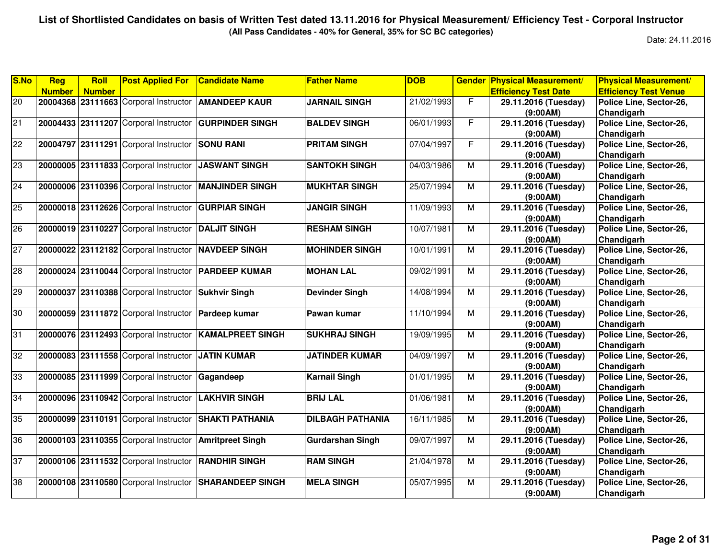**(All Pass Candidates - 40% for General, 35% for SC BC categories)**

| <b>Reg</b>    | Roll |               |                                                                                                                                                                                                                                                                                                                                                                                                                                                                                                                                                                                                                                                                                                                                                                                                                                    | <b>Father Name</b>                                                                                                                                                                                                                                                                                                                                                                                                                                        | <b>DOB</b>                                                          | <b>Gender</b>            |                                                                                                                                     | <b>Physical Measurement/</b>                                                                                                                                |
|---------------|------|---------------|------------------------------------------------------------------------------------------------------------------------------------------------------------------------------------------------------------------------------------------------------------------------------------------------------------------------------------------------------------------------------------------------------------------------------------------------------------------------------------------------------------------------------------------------------------------------------------------------------------------------------------------------------------------------------------------------------------------------------------------------------------------------------------------------------------------------------------|-----------------------------------------------------------------------------------------------------------------------------------------------------------------------------------------------------------------------------------------------------------------------------------------------------------------------------------------------------------------------------------------------------------------------------------------------------------|---------------------------------------------------------------------|--------------------------|-------------------------------------------------------------------------------------------------------------------------------------|-------------------------------------------------------------------------------------------------------------------------------------------------------------|
| <b>Number</b> |      |               |                                                                                                                                                                                                                                                                                                                                                                                                                                                                                                                                                                                                                                                                                                                                                                                                                                    |                                                                                                                                                                                                                                                                                                                                                                                                                                                           |                                                                     |                          |                                                                                                                                     | <b>Efficiency Test Venue</b>                                                                                                                                |
|               |      |               |                                                                                                                                                                                                                                                                                                                                                                                                                                                                                                                                                                                                                                                                                                                                                                                                                                    |                                                                                                                                                                                                                                                                                                                                                                                                                                                           |                                                                     | F.                       |                                                                                                                                     | Police Line, Sector-26,                                                                                                                                     |
|               |      |               |                                                                                                                                                                                                                                                                                                                                                                                                                                                                                                                                                                                                                                                                                                                                                                                                                                    |                                                                                                                                                                                                                                                                                                                                                                                                                                                           |                                                                     |                          | (9:00AM)                                                                                                                            | Chandigarh                                                                                                                                                  |
|               |      |               |                                                                                                                                                                                                                                                                                                                                                                                                                                                                                                                                                                                                                                                                                                                                                                                                                                    | <b>BALDEV SINGH</b>                                                                                                                                                                                                                                                                                                                                                                                                                                       |                                                                     |                          | 29.11.2016 (Tuesday)                                                                                                                | Police Line, Sector-26,                                                                                                                                     |
|               |      |               |                                                                                                                                                                                                                                                                                                                                                                                                                                                                                                                                                                                                                                                                                                                                                                                                                                    |                                                                                                                                                                                                                                                                                                                                                                                                                                                           |                                                                     |                          | (9:00AM)                                                                                                                            | Chandigarh                                                                                                                                                  |
|               |      |               |                                                                                                                                                                                                                                                                                                                                                                                                                                                                                                                                                                                                                                                                                                                                                                                                                                    |                                                                                                                                                                                                                                                                                                                                                                                                                                                           |                                                                     | F                        |                                                                                                                                     | Police Line, Sector-26,                                                                                                                                     |
|               |      |               |                                                                                                                                                                                                                                                                                                                                                                                                                                                                                                                                                                                                                                                                                                                                                                                                                                    |                                                                                                                                                                                                                                                                                                                                                                                                                                                           |                                                                     |                          | (9:00AM)                                                                                                                            | Chandigarh                                                                                                                                                  |
|               |      |               |                                                                                                                                                                                                                                                                                                                                                                                                                                                                                                                                                                                                                                                                                                                                                                                                                                    |                                                                                                                                                                                                                                                                                                                                                                                                                                                           |                                                                     |                          | 29.11.2016 (Tuesday)                                                                                                                | Police Line, Sector-26,                                                                                                                                     |
|               |      |               |                                                                                                                                                                                                                                                                                                                                                                                                                                                                                                                                                                                                                                                                                                                                                                                                                                    |                                                                                                                                                                                                                                                                                                                                                                                                                                                           |                                                                     |                          | (9:00AM)                                                                                                                            | Chandigarh                                                                                                                                                  |
|               |      |               |                                                                                                                                                                                                                                                                                                                                                                                                                                                                                                                                                                                                                                                                                                                                                                                                                                    | <b>MUKHTAR SINGH</b>                                                                                                                                                                                                                                                                                                                                                                                                                                      |                                                                     | M                        | 29.11.2016 (Tuesday)                                                                                                                | Police Line, Sector-26,                                                                                                                                     |
|               |      |               |                                                                                                                                                                                                                                                                                                                                                                                                                                                                                                                                                                                                                                                                                                                                                                                                                                    |                                                                                                                                                                                                                                                                                                                                                                                                                                                           |                                                                     |                          | (9:00AM)                                                                                                                            | Chandigarh                                                                                                                                                  |
|               |      |               |                                                                                                                                                                                                                                                                                                                                                                                                                                                                                                                                                                                                                                                                                                                                                                                                                                    | <b>JANGIR SINGH</b>                                                                                                                                                                                                                                                                                                                                                                                                                                       | 11/09/1993                                                          | M                        | 29.11.2016 (Tuesday)                                                                                                                | Police Line, Sector-26,                                                                                                                                     |
|               |      |               |                                                                                                                                                                                                                                                                                                                                                                                                                                                                                                                                                                                                                                                                                                                                                                                                                                    |                                                                                                                                                                                                                                                                                                                                                                                                                                                           |                                                                     |                          | (9:00AM)                                                                                                                            | Chandigarh                                                                                                                                                  |
|               |      |               |                                                                                                                                                                                                                                                                                                                                                                                                                                                                                                                                                                                                                                                                                                                                                                                                                                    | <b>RESHAM SINGH</b>                                                                                                                                                                                                                                                                                                                                                                                                                                       | 10/07/1981                                                          | M                        | 29.11.2016 (Tuesday)                                                                                                                | Police Line, Sector-26,                                                                                                                                     |
|               |      |               |                                                                                                                                                                                                                                                                                                                                                                                                                                                                                                                                                                                                                                                                                                                                                                                                                                    |                                                                                                                                                                                                                                                                                                                                                                                                                                                           |                                                                     |                          | (9:00AM)                                                                                                                            | Chandigarh                                                                                                                                                  |
|               |      |               |                                                                                                                                                                                                                                                                                                                                                                                                                                                                                                                                                                                                                                                                                                                                                                                                                                    | <b>MOHINDER SINGH</b>                                                                                                                                                                                                                                                                                                                                                                                                                                     | 10/01/1991                                                          | M                        | 29.11.2016 (Tuesday)                                                                                                                | Police Line, Sector-26,                                                                                                                                     |
|               |      |               |                                                                                                                                                                                                                                                                                                                                                                                                                                                                                                                                                                                                                                                                                                                                                                                                                                    |                                                                                                                                                                                                                                                                                                                                                                                                                                                           |                                                                     |                          | (9:00AM)                                                                                                                            | Chandigarh                                                                                                                                                  |
|               |      |               |                                                                                                                                                                                                                                                                                                                                                                                                                                                                                                                                                                                                                                                                                                                                                                                                                                    | <b>MOHAN LAL</b>                                                                                                                                                                                                                                                                                                                                                                                                                                          | 09/02/1991                                                          | $\overline{M}$           | 29.11.2016 (Tuesday)                                                                                                                | Police Line, Sector-26,                                                                                                                                     |
|               |      |               |                                                                                                                                                                                                                                                                                                                                                                                                                                                                                                                                                                                                                                                                                                                                                                                                                                    |                                                                                                                                                                                                                                                                                                                                                                                                                                                           |                                                                     |                          | (9:00AM)                                                                                                                            | Chandigarh                                                                                                                                                  |
|               |      |               |                                                                                                                                                                                                                                                                                                                                                                                                                                                                                                                                                                                                                                                                                                                                                                                                                                    | <b>Devinder Singh</b>                                                                                                                                                                                                                                                                                                                                                                                                                                     | 14/08/1994                                                          | M                        | 29.11.2016 (Tuesday)                                                                                                                | Police Line, Sector-26,                                                                                                                                     |
|               |      |               |                                                                                                                                                                                                                                                                                                                                                                                                                                                                                                                                                                                                                                                                                                                                                                                                                                    |                                                                                                                                                                                                                                                                                                                                                                                                                                                           |                                                                     |                          | (9:00AM)                                                                                                                            | Chandigarh                                                                                                                                                  |
|               |      |               |                                                                                                                                                                                                                                                                                                                                                                                                                                                                                                                                                                                                                                                                                                                                                                                                                                    | Pawan kumar                                                                                                                                                                                                                                                                                                                                                                                                                                               | 11/10/1994                                                          | М                        | 29.11.2016 (Tuesday)                                                                                                                | Police Line, Sector-26,                                                                                                                                     |
|               |      |               |                                                                                                                                                                                                                                                                                                                                                                                                                                                                                                                                                                                                                                                                                                                                                                                                                                    |                                                                                                                                                                                                                                                                                                                                                                                                                                                           |                                                                     |                          | (9:00AM)                                                                                                                            | Chandigarh                                                                                                                                                  |
|               |      |               |                                                                                                                                                                                                                                                                                                                                                                                                                                                                                                                                                                                                                                                                                                                                                                                                                                    | <b>SUKHRAJ SINGH</b>                                                                                                                                                                                                                                                                                                                                                                                                                                      |                                                                     | M                        | 29.11.2016 (Tuesday)                                                                                                                | Police Line, Sector-26,                                                                                                                                     |
|               |      |               |                                                                                                                                                                                                                                                                                                                                                                                                                                                                                                                                                                                                                                                                                                                                                                                                                                    |                                                                                                                                                                                                                                                                                                                                                                                                                                                           |                                                                     |                          | (9:00AM)                                                                                                                            | Chandigarh                                                                                                                                                  |
|               |      |               |                                                                                                                                                                                                                                                                                                                                                                                                                                                                                                                                                                                                                                                                                                                                                                                                                                    | <b>JATINDER KUMAR</b>                                                                                                                                                                                                                                                                                                                                                                                                                                     | 04/09/1997                                                          | M                        | 29.11.2016 (Tuesday)                                                                                                                | Police Line, Sector-26,                                                                                                                                     |
|               |      |               |                                                                                                                                                                                                                                                                                                                                                                                                                                                                                                                                                                                                                                                                                                                                                                                                                                    |                                                                                                                                                                                                                                                                                                                                                                                                                                                           |                                                                     |                          | (9:00AM)                                                                                                                            | Chandigarh                                                                                                                                                  |
|               |      |               |                                                                                                                                                                                                                                                                                                                                                                                                                                                                                                                                                                                                                                                                                                                                                                                                                                    | Karnail Singh                                                                                                                                                                                                                                                                                                                                                                                                                                             |                                                                     | $\overline{M}$           | 29.11.2016 (Tuesday)                                                                                                                | Police Line, Sector-26,                                                                                                                                     |
|               |      |               |                                                                                                                                                                                                                                                                                                                                                                                                                                                                                                                                                                                                                                                                                                                                                                                                                                    |                                                                                                                                                                                                                                                                                                                                                                                                                                                           |                                                                     |                          | (9:00AM)                                                                                                                            | Chandigarh                                                                                                                                                  |
|               |      |               |                                                                                                                                                                                                                                                                                                                                                                                                                                                                                                                                                                                                                                                                                                                                                                                                                                    | <b>BRIJ LAL</b>                                                                                                                                                                                                                                                                                                                                                                                                                                           | 01/06/1981                                                          | M                        | 29.11.2016 (Tuesday)                                                                                                                | Police Line, Sector-26,                                                                                                                                     |
|               |      |               |                                                                                                                                                                                                                                                                                                                                                                                                                                                                                                                                                                                                                                                                                                                                                                                                                                    |                                                                                                                                                                                                                                                                                                                                                                                                                                                           |                                                                     |                          | (9:00AM)                                                                                                                            | Chandigarh                                                                                                                                                  |
|               |      |               |                                                                                                                                                                                                                                                                                                                                                                                                                                                                                                                                                                                                                                                                                                                                                                                                                                    | <b>DILBAGH PATHANIA</b>                                                                                                                                                                                                                                                                                                                                                                                                                                   |                                                                     | M                        | 29.11.2016 (Tuesday)                                                                                                                | Police Line, Sector-26,                                                                                                                                     |
|               |      |               |                                                                                                                                                                                                                                                                                                                                                                                                                                                                                                                                                                                                                                                                                                                                                                                                                                    |                                                                                                                                                                                                                                                                                                                                                                                                                                                           |                                                                     |                          | (9:00AM)                                                                                                                            | Chandigarh                                                                                                                                                  |
|               |      |               | <b>Amritpreet Singh</b>                                                                                                                                                                                                                                                                                                                                                                                                                                                                                                                                                                                                                                                                                                                                                                                                            | <b>Gurdarshan Singh</b>                                                                                                                                                                                                                                                                                                                                                                                                                                   | 09/07/1997                                                          | M                        | 29.11.2016 (Tuesday)                                                                                                                | Police Line, Sector-26,                                                                                                                                     |
|               |      |               |                                                                                                                                                                                                                                                                                                                                                                                                                                                                                                                                                                                                                                                                                                                                                                                                                                    |                                                                                                                                                                                                                                                                                                                                                                                                                                                           |                                                                     |                          | (9:00AM)                                                                                                                            | Chandigarh                                                                                                                                                  |
|               |      |               |                                                                                                                                                                                                                                                                                                                                                                                                                                                                                                                                                                                                                                                                                                                                                                                                                                    | <b>RAM SINGH</b>                                                                                                                                                                                                                                                                                                                                                                                                                                          |                                                                     | М                        | 29.11.2016 (Tuesday)                                                                                                                | Police Line, Sector-26,                                                                                                                                     |
|               |      |               |                                                                                                                                                                                                                                                                                                                                                                                                                                                                                                                                                                                                                                                                                                                                                                                                                                    |                                                                                                                                                                                                                                                                                                                                                                                                                                                           |                                                                     |                          |                                                                                                                                     | Chandigarh                                                                                                                                                  |
|               |      |               |                                                                                                                                                                                                                                                                                                                                                                                                                                                                                                                                                                                                                                                                                                                                                                                                                                    | <b>MELA SINGH</b>                                                                                                                                                                                                                                                                                                                                                                                                                                         |                                                                     | M                        |                                                                                                                                     | Police Line, Sector-26,                                                                                                                                     |
|               |      |               |                                                                                                                                                                                                                                                                                                                                                                                                                                                                                                                                                                                                                                                                                                                                                                                                                                    |                                                                                                                                                                                                                                                                                                                                                                                                                                                           |                                                                     |                          |                                                                                                                                     | Chandigarh                                                                                                                                                  |
|               |      | <b>Number</b> | <b>Post Applied For</b><br>20004368 23111663 Corporal Instructor<br>20004433 23111207 Corporal Instructor<br>20004797 23111291 Corporal Instructor<br>20000005 23111833 Corporal Instructor<br>20000006 23110396 Corporal Instructor<br>20000018 23112626 Corporal Instructor<br>20000019 23110227 Corporal Instructor<br>20000022 23112182 Corporal Instructor<br>20000024 23110044 Corporal Instructor<br>20000037 23110388 Corporal Instructor<br>20000059 23111872 Corporal Instructor<br>20000076 23112493 Corporal Instructor<br>20000083 23111558 Corporal Instructor<br>20000085 23111999 Corporal Instructor<br>20000096 23110942 Corporal Instructor<br>20000099 23110191 Corporal Instructor<br>20000103 23110355 Corporal Instructor<br>20000106 23111532 Corporal Instructor<br>20000108 23110580 Corporal Instructor | <b>Candidate Name</b><br><b>AMANDEEP KAUR</b><br><b>GURPINDER SINGH</b><br><b>SONU RANI</b><br><b>JASWANT SINGH</b><br><b>MANJINDER SINGH</b><br><b>GURPIAR SINGH</b><br><b>DALJIT SINGH</b><br><b>INAVDEEP SINGH</b><br><b>PARDEEP KUMAR</b><br><b>Sukhvir Singh</b><br>Pardeep kumar<br><b>KAMALPREET SINGH</b><br><b>JATIN KUMAR</b><br>Gagandeep<br><b>LAKHVIR SINGH</b><br><b>SHAKTI PATHANIA</b><br><b>RANDHIR SINGH</b><br><b>SHARANDEEP SINGH</b> | <b>JARNAIL SINGH</b><br><b>PRITAM SINGH</b><br><b>SANTOKH SINGH</b> | 21/02/1993<br>07/04/1997 | $\overline{F}$<br>06/01/1993<br>04/03/1986<br>M<br>25/07/1994<br>19/09/1995<br>01/01/1995<br>16/11/1985<br>21/04/1978<br>05/07/1995 | <b>Physical Measurement/</b><br><b>Efficiency Test Date</b><br>29.11.2016 (Tuesday)<br>29.11.2016 (Tuesday)<br>(9:00AM)<br>29.11.2016 (Tuesday)<br>(9:00AM) |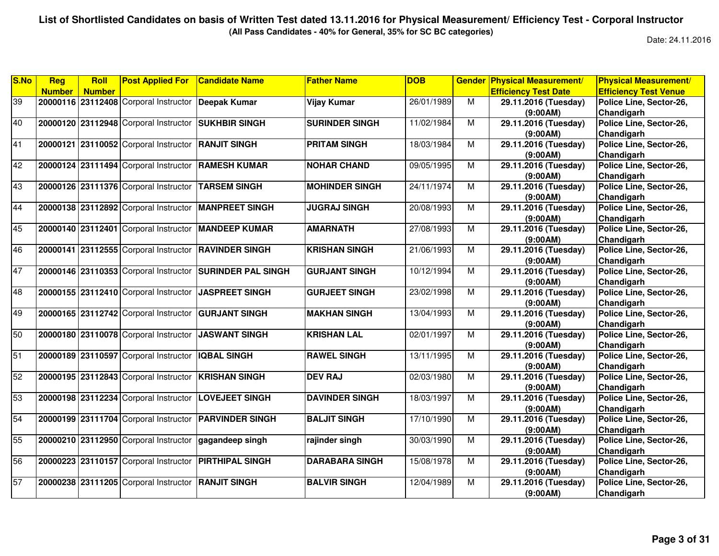**(All Pass Candidates - 40% for General, 35% for SC BC categories)**

| <b>Number</b><br><b>Efficiency Test Date</b><br><b>Efficiency Test Venue</b><br><b>Number</b><br>39<br>20000116 23112408 Corporal Instructor<br><b>Deepak Kumar</b><br>Vijay Kumar<br>26/01/1989<br>M<br>29.11.2016 (Tuesday)<br>Police Line, Sector-26,<br>(9:00AM)<br>Chandigarh<br>$\overline{M}$<br>20000120 23112948 Corporal Instructor<br><b>SUKHBIR SINGH</b><br><b>SURINDER SINGH</b><br>11/02/1984<br>29.11.2016 (Tuesday)<br>Police Line, Sector-26,<br>(9:00AM)<br>Chandigarh<br>20000121 23110052 Corporal Instructor<br><b>RANJIT SINGH</b><br><b>PRITAM SINGH</b><br>18/03/1984<br>M<br>29.11.2016 (Tuesday)<br>Police Line, Sector-26,<br>Chandigarh<br>(9:00AM)<br>20000124 23111494 Corporal Instructor<br>09/05/1995<br>M<br><b>RAMESH KUMAR</b><br><b>NOHAR CHAND</b><br>29.11.2016 (Tuesday)<br>Police Line, Sector-26,<br>(9:00AM)<br>Chandigarh<br>20000126 23111376 Corporal Instructor<br>24/11/1974<br>M<br><b>TARSEM SINGH</b><br><b>MOHINDER SINGH</b><br>29.11.2016 (Tuesday)<br>Police Line, Sector-26, |  |
|---------------------------------------------------------------------------------------------------------------------------------------------------------------------------------------------------------------------------------------------------------------------------------------------------------------------------------------------------------------------------------------------------------------------------------------------------------------------------------------------------------------------------------------------------------------------------------------------------------------------------------------------------------------------------------------------------------------------------------------------------------------------------------------------------------------------------------------------------------------------------------------------------------------------------------------------------------------------------------------------------------------------------------------|--|
| 40<br>41<br>42<br>43                                                                                                                                                                                                                                                                                                                                                                                                                                                                                                                                                                                                                                                                                                                                                                                                                                                                                                                                                                                                                  |  |
|                                                                                                                                                                                                                                                                                                                                                                                                                                                                                                                                                                                                                                                                                                                                                                                                                                                                                                                                                                                                                                       |  |
|                                                                                                                                                                                                                                                                                                                                                                                                                                                                                                                                                                                                                                                                                                                                                                                                                                                                                                                                                                                                                                       |  |
|                                                                                                                                                                                                                                                                                                                                                                                                                                                                                                                                                                                                                                                                                                                                                                                                                                                                                                                                                                                                                                       |  |
|                                                                                                                                                                                                                                                                                                                                                                                                                                                                                                                                                                                                                                                                                                                                                                                                                                                                                                                                                                                                                                       |  |
|                                                                                                                                                                                                                                                                                                                                                                                                                                                                                                                                                                                                                                                                                                                                                                                                                                                                                                                                                                                                                                       |  |
|                                                                                                                                                                                                                                                                                                                                                                                                                                                                                                                                                                                                                                                                                                                                                                                                                                                                                                                                                                                                                                       |  |
|                                                                                                                                                                                                                                                                                                                                                                                                                                                                                                                                                                                                                                                                                                                                                                                                                                                                                                                                                                                                                                       |  |
|                                                                                                                                                                                                                                                                                                                                                                                                                                                                                                                                                                                                                                                                                                                                                                                                                                                                                                                                                                                                                                       |  |
|                                                                                                                                                                                                                                                                                                                                                                                                                                                                                                                                                                                                                                                                                                                                                                                                                                                                                                                                                                                                                                       |  |
| Chandigarh<br>(9:00AM)                                                                                                                                                                                                                                                                                                                                                                                                                                                                                                                                                                                                                                                                                                                                                                                                                                                                                                                                                                                                                |  |
| 44<br>20000138 23112892 Corporal Instructor<br><b>MANPREET SINGH</b><br><b>JUGRAJ SINGH</b><br>20/08/1993<br>$\overline{M}$<br>Police Line, Sector-26,<br>29.11.2016 (Tuesday)                                                                                                                                                                                                                                                                                                                                                                                                                                                                                                                                                                                                                                                                                                                                                                                                                                                        |  |
| Chandigarh<br>(9:00AM)                                                                                                                                                                                                                                                                                                                                                                                                                                                                                                                                                                                                                                                                                                                                                                                                                                                                                                                                                                                                                |  |
| 45<br>27/08/1993<br>$\overline{M}$<br>29.11.2016 (Tuesday)<br>Police Line, Sector-26,<br>20000140 23112401 Corporal Instructor<br><b>MANDEEP KUMAR</b><br><b>AMARNATH</b>                                                                                                                                                                                                                                                                                                                                                                                                                                                                                                                                                                                                                                                                                                                                                                                                                                                             |  |
| (9:00AM)<br>Chandigarh                                                                                                                                                                                                                                                                                                                                                                                                                                                                                                                                                                                                                                                                                                                                                                                                                                                                                                                                                                                                                |  |
| 46<br>20000141 23112555 Corporal Instructor<br><b>KRISHAN SINGH</b><br>21/06/1993<br>29.11.2016 (Tuesday)<br>Police Line, Sector-26,<br><b>RAVINDER SINGH</b><br>M                                                                                                                                                                                                                                                                                                                                                                                                                                                                                                                                                                                                                                                                                                                                                                                                                                                                    |  |
| (9:00AM)<br>Chandigarh                                                                                                                                                                                                                                                                                                                                                                                                                                                                                                                                                                                                                                                                                                                                                                                                                                                                                                                                                                                                                |  |
| 47<br>20000146 23110353 Corporal Instructor<br><b>SURINDER PAL SINGH</b><br>M<br>Police Line, Sector-26,<br><b>GURJANT SINGH</b><br>10/12/1994<br>29.11.2016 (Tuesday)                                                                                                                                                                                                                                                                                                                                                                                                                                                                                                                                                                                                                                                                                                                                                                                                                                                                |  |
| Chandigarh<br>(9:00AM)                                                                                                                                                                                                                                                                                                                                                                                                                                                                                                                                                                                                                                                                                                                                                                                                                                                                                                                                                                                                                |  |
| 48<br>20000155 23112410 Corporal Instructor<br>23/02/1998<br>M<br>Police Line, Sector-26,<br><b>JASPREET SINGH</b><br><b>GURJEET SINGH</b><br>29.11.2016 (Tuesday)                                                                                                                                                                                                                                                                                                                                                                                                                                                                                                                                                                                                                                                                                                                                                                                                                                                                    |  |
| Chandigarh<br>(9:00AM)                                                                                                                                                                                                                                                                                                                                                                                                                                                                                                                                                                                                                                                                                                                                                                                                                                                                                                                                                                                                                |  |
| 49<br>20000165 23112742 Corporal Instructor<br>13/04/1993<br>M<br><b>GURJANT SINGH</b><br><b>MAKHAN SINGH</b><br>29.11.2016 (Tuesday)<br>Police Line, Sector-26,                                                                                                                                                                                                                                                                                                                                                                                                                                                                                                                                                                                                                                                                                                                                                                                                                                                                      |  |
| (9:00AM)<br>Chandigarh                                                                                                                                                                                                                                                                                                                                                                                                                                                                                                                                                                                                                                                                                                                                                                                                                                                                                                                                                                                                                |  |
| 50<br>$\overline{M}$<br>20000180 23110078 Corporal Instructor<br><b>JASWANT SINGH</b><br><b>KRISHAN LAL</b><br>02/01/1997<br>Police Line, Sector-26,<br>29.11.2016 (Tuesday)                                                                                                                                                                                                                                                                                                                                                                                                                                                                                                                                                                                                                                                                                                                                                                                                                                                          |  |
| Chandigarh<br>(9:00AM)                                                                                                                                                                                                                                                                                                                                                                                                                                                                                                                                                                                                                                                                                                                                                                                                                                                                                                                                                                                                                |  |
| 51<br>20000189 23110597 Corporal Instructor<br>13/11/1995<br>M<br>Police Line, Sector-26,<br><b>IQBAL SINGH</b><br><b>RAWEL SINGH</b><br>29.11.2016 (Tuesday)                                                                                                                                                                                                                                                                                                                                                                                                                                                                                                                                                                                                                                                                                                                                                                                                                                                                         |  |
| Chandigarh<br>(9:00AM)                                                                                                                                                                                                                                                                                                                                                                                                                                                                                                                                                                                                                                                                                                                                                                                                                                                                                                                                                                                                                |  |
| 52<br>20000195 23112843 Corporal Instructor<br>29.11.2016 (Tuesday)<br>Police Line, Sector-26,<br><b>KRISHAN SINGH</b><br><b>DEV RAJ</b><br>02/03/1980<br>М                                                                                                                                                                                                                                                                                                                                                                                                                                                                                                                                                                                                                                                                                                                                                                                                                                                                           |  |
| (9:00AM)<br>Chandigarh                                                                                                                                                                                                                                                                                                                                                                                                                                                                                                                                                                                                                                                                                                                                                                                                                                                                                                                                                                                                                |  |
| 53<br>20000198 23112234 Corporal Instructor<br><b>LOVEJEET SINGH</b><br><b>DAVINDER SINGH</b><br>18/03/1997<br>M<br>29.11.2016 (Tuesday)<br>Police Line, Sector-26,                                                                                                                                                                                                                                                                                                                                                                                                                                                                                                                                                                                                                                                                                                                                                                                                                                                                   |  |
| Chandigarh<br>(9:00AM)                                                                                                                                                                                                                                                                                                                                                                                                                                                                                                                                                                                                                                                                                                                                                                                                                                                                                                                                                                                                                |  |
| 54<br>20000199 23111704 Corporal Instructor<br><b>PARVINDER SINGH</b><br><b>BALJIT SINGH</b><br>17/10/1990<br>M<br>29.11.2016 (Tuesday)<br>Police Line, Sector-26,                                                                                                                                                                                                                                                                                                                                                                                                                                                                                                                                                                                                                                                                                                                                                                                                                                                                    |  |
| Chandigarh<br>(9:00AM)                                                                                                                                                                                                                                                                                                                                                                                                                                                                                                                                                                                                                                                                                                                                                                                                                                                                                                                                                                                                                |  |
| 55<br>20000210 23112950 Corporal Instructor<br>30/03/1990<br>M<br>29.11.2016 (Tuesday)<br>Police Line, Sector-26,<br>gagandeep singh<br>rajinder singh                                                                                                                                                                                                                                                                                                                                                                                                                                                                                                                                                                                                                                                                                                                                                                                                                                                                                |  |
| (9:00AM)<br>Chandigarh                                                                                                                                                                                                                                                                                                                                                                                                                                                                                                                                                                                                                                                                                                                                                                                                                                                                                                                                                                                                                |  |
| 56<br>20000223 23110157 Corporal Instructor<br>15/08/1978<br>$\overline{M}$<br>29.11.2016 (Tuesday)<br>Police Line, Sector-26,<br><b>PIRTHIPAL SINGH</b><br><b>DARABARA SINGH</b>                                                                                                                                                                                                                                                                                                                                                                                                                                                                                                                                                                                                                                                                                                                                                                                                                                                     |  |
| (9:00AM)<br>Chandigarh                                                                                                                                                                                                                                                                                                                                                                                                                                                                                                                                                                                                                                                                                                                                                                                                                                                                                                                                                                                                                |  |
| 57<br>20000238 23111205 Corporal Instructor<br><b>RANJIT SINGH</b><br><b>BALVIR SINGH</b><br>12/04/1989<br>M<br>Police Line, Sector-26,<br>29.11.2016 (Tuesday)                                                                                                                                                                                                                                                                                                                                                                                                                                                                                                                                                                                                                                                                                                                                                                                                                                                                       |  |
| (9:00AM)<br>Chandigarh                                                                                                                                                                                                                                                                                                                                                                                                                                                                                                                                                                                                                                                                                                                                                                                                                                                                                                                                                                                                                |  |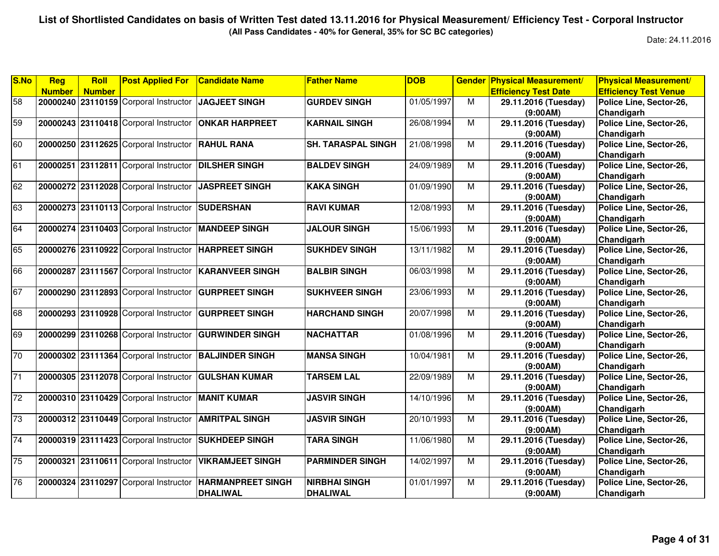**(All Pass Candidates - 40% for General, 35% for SC BC categories)**

| S.No            | Reg           | <b>Roll</b>   | <b>Post Applied For</b>               | <b>Candidate Name</b>    | <b>Father Name</b>        | <b>DOB</b> | <b>Gender</b>  | <b>Physical Measurement/</b> | <b>Physical Measurement/</b> |
|-----------------|---------------|---------------|---------------------------------------|--------------------------|---------------------------|------------|----------------|------------------------------|------------------------------|
|                 | <b>Number</b> | <b>Number</b> |                                       |                          |                           |            |                | <b>Efficiency Test Date</b>  | <b>Efficiency Test Venue</b> |
| 58              |               |               | 20000240 23110159 Corporal Instructor | <b>JAGJEET SINGH</b>     | <b>GURDEV SINGH</b>       | 01/05/1997 | M              | 29.11.2016 (Tuesday)         | Police Line, Sector-26,      |
|                 |               |               |                                       |                          |                           |            |                | (9:00AM)                     | Chandigarh                   |
| 59              |               |               | 20000243 23110418 Corporal Instructor | <b>ONKAR HARPREET</b>    | <b>KARNAIL SINGH</b>      | 26/08/1994 | М              | 29.11.2016 (Tuesday)         | Police Line, Sector-26,      |
|                 |               |               |                                       |                          |                           |            |                | (9:00AM)                     | Chandigarh                   |
| 60              |               |               | 20000250 23112625 Corporal Instructor | <b>RAHUL RANA</b>        | <b>SH. TARASPAL SINGH</b> | 21/08/1998 | M              | 29.11.2016 (Tuesday)         | Police Line, Sector-26,      |
|                 |               |               |                                       |                          |                           |            |                | (9:00AM)                     | Chandigarh                   |
| 61              |               |               | 20000251 23112811 Corporal Instructor | <b>DILSHER SINGH</b>     | <b>BALDEV SINGH</b>       | 24/09/1989 | M              | 29.11.2016 (Tuesday)         | Police Line, Sector-26,      |
|                 |               |               |                                       |                          |                           |            |                | (9:00AM)                     | Chandigarh                   |
| 62              |               |               | 20000272 23112028 Corporal Instructor | <b>JASPREET SINGH</b>    | <b>KAKA SINGH</b>         | 01/09/1990 | $\overline{M}$ | 29.11.2016 (Tuesday)         | Police Line, Sector-26,      |
|                 |               |               |                                       |                          |                           |            |                | (9:00AM)                     | Chandigarh                   |
| 63              |               |               | 20000273 23110113 Corporal Instructor | <b>SUDERSHAN</b>         | <b>RAVI KUMAR</b>         | 12/08/1993 | М              | 29.11.2016 (Tuesday)         | Police Line, Sector-26,      |
|                 |               |               |                                       |                          |                           |            |                | (9:00AM)                     | Chandigarh                   |
| 64              |               |               | 20000274 23110403 Corporal Instructor | <b>MANDEEP SINGH</b>     | <b>JALOUR SINGH</b>       | 15/06/1993 | $\overline{M}$ | 29.11.2016 (Tuesday)         | Police Line, Sector-26,      |
|                 |               |               |                                       |                          |                           |            |                | (9:00AM)                     | Chandigarh                   |
| 65              |               |               | 20000276 23110922 Corporal Instructor | <b>HARPREET SINGH</b>    | <b>SUKHDEV SINGH</b>      | 13/11/1982 | M              | 29.11.2016 (Tuesday)         | Police Line, Sector-26,      |
|                 |               |               |                                       |                          |                           |            |                | (9:00AM)                     | Chandigarh                   |
| 66              |               |               | 20000287 23111567 Corporal Instructor | <b>KARANVEER SINGH</b>   | <b>BALBIR SINGH</b>       | 06/03/1998 | M              | 29.11.2016 (Tuesday)         | Police Line, Sector-26,      |
|                 |               |               |                                       |                          |                           |            |                | (9:00AM)                     | Chandigarh                   |
| 67              |               |               | 20000290 23112893 Corporal Instructor | <b>GURPREET SINGH</b>    | <b>SUKHVEER SINGH</b>     | 23/06/1993 | М              | 29.11.2016 (Tuesday)         | Police Line, Sector-26,      |
|                 |               |               |                                       |                          |                           |            |                | (9:00AM)                     | Chandigarh                   |
| 68              |               |               | 20000293 23110928 Corporal Instructor | <b>GURPREET SINGH</b>    | <b>HARCHAND SINGH</b>     | 20/07/1998 | M              | 29.11.2016 (Tuesday)         | Police Line, Sector-26,      |
|                 |               |               |                                       |                          |                           |            |                | (9:00AM)                     | Chandigarh                   |
| 69              |               |               | 20000299 23110268 Corporal Instructor | <b>GURWINDER SINGH</b>   | <b>NACHATTAR</b>          | 01/08/1996 | $\overline{M}$ | 29.11.2016 (Tuesday)         | Police Line, Sector-26,      |
|                 |               |               |                                       |                          |                           |            |                | (9:00AM)                     | Chandigarh                   |
| 70              |               |               | 20000302 23111364 Corporal Instructor | <b>BALJINDER SINGH</b>   | <b>MANSA SINGH</b>        | 10/04/1981 | M              | 29.11.2016 (Tuesday)         | Police Line, Sector-26,      |
|                 |               |               |                                       |                          |                           |            |                | (9:00AM)                     | Chandigarh                   |
| $\overline{71}$ |               |               | 20000305 23112078 Corporal Instructor | <b>GULSHAN KUMAR</b>     | <b>TARSEM LAL</b>         | 22/09/1989 | M              | 29.11.2016 (Tuesday)         | Police Line, Sector-26,      |
|                 |               |               |                                       |                          |                           |            |                | (9:00AM)                     | Chandigarh                   |
| 72              |               |               | 20000310 23110429 Corporal Instructor | <b>MANIT KUMAR</b>       | <b>JASVIR SINGH</b>       | 14/10/1996 | M              | 29.11.2016 (Tuesday)         | Police Line, Sector-26,      |
|                 |               |               |                                       |                          |                           |            |                | (9:00AM)                     | Chandigarh                   |
| 73              |               |               | 20000312 23110449 Corporal Instructor | <b>AMRITPAL SINGH</b>    | <b>JASVIR SINGH</b>       | 20/10/1993 | $\overline{M}$ | 29.11.2016 (Tuesday)         | Police Line, Sector-26,      |
|                 |               |               |                                       |                          |                           |            |                | (9:00AM)                     | Chandigarh                   |
| 74              |               |               | 20000319 23111423 Corporal Instructor | <b>SUKHDEEP SINGH</b>    | TARA SINGH                | 11/06/1980 | М              | 29.11.2016 (Tuesday)         | Police Line, Sector-26,      |
|                 |               |               |                                       |                          |                           |            |                | (9:00AM)                     | Chandigarh                   |
| 75              |               |               | 20000321 23110611 Corporal Instructor | <b>VIKRAMJEET SINGH</b>  | <b>PARMINDER SINGH</b>    | 14/02/1997 | М              | 29.11.2016 (Tuesday)         | Police Line, Sector-26,      |
|                 |               |               |                                       |                          |                           |            |                | (9:00AM)                     | Chandigarh                   |
| 76              |               |               | 20000324 23110297 Corporal Instructor | <b>HARMANPREET SINGH</b> | <b>NIRBHAI SINGH</b>      | 01/01/1997 | M              | 29.11.2016 (Tuesday)         | Police Line, Sector-26,      |
|                 |               |               |                                       | <b>DHALIWAL</b>          | <b>DHALIWAL</b>           |            |                | (9:00AM)                     | Chandigarh                   |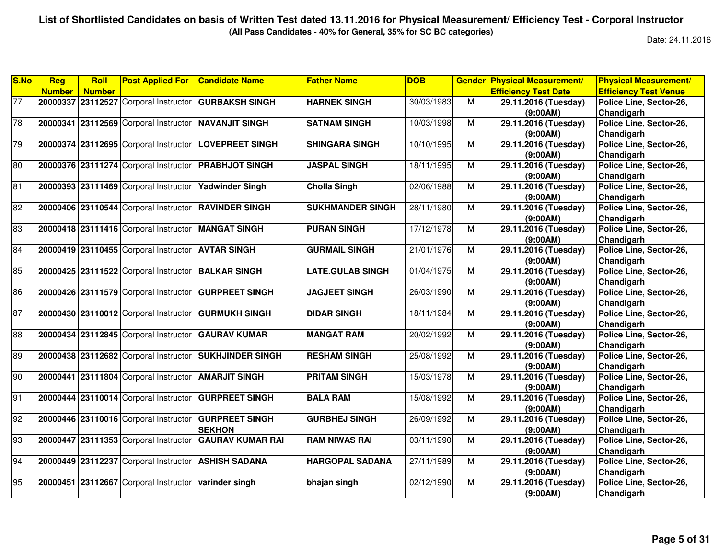**(All Pass Candidates - 40% for General, 35% for SC BC categories)**

| <b>S.No</b>     | <b>Reg</b>    | Roll          | <b>Post Applied For</b>               | <b>Candidate Name</b>   | <b>Father Name</b>      | <b>DOB</b> | <b>Gender</b>  | <b>Physical Measurement/</b> | <b>Physical Measurement/</b> |
|-----------------|---------------|---------------|---------------------------------------|-------------------------|-------------------------|------------|----------------|------------------------------|------------------------------|
|                 | <b>Number</b> | <b>Number</b> |                                       |                         |                         |            |                | <b>Efficiency Test Date</b>  | <b>Efficiency Test Venue</b> |
| $\overline{77}$ |               |               | 20000337 23112527 Corporal Instructor | <b>GURBAKSH SINGH</b>   | <b>HARNEK SINGH</b>     | 30/03/1983 | М              | 29.11.2016 (Tuesday)         | Police Line, Sector-26,      |
|                 |               |               |                                       |                         |                         |            |                | (9:00AM)                     | Chandigarh                   |
| 78              |               |               | 20000341 23112569 Corporal Instructor | <b>NAVANJIT SINGH</b>   | <b>SATNAM SINGH</b>     | 10/03/1998 | M              | 29.11.2016 (Tuesday)         | Police Line, Sector-26,      |
|                 |               |               |                                       |                         |                         |            |                | (9:00AM)                     | Chandigarh                   |
| 79              |               |               | 20000374 23112695 Corporal Instructor | <b>LOVEPREET SINGH</b>  | <b>SHINGARA SINGH</b>   | 10/10/1995 | M              | 29.11.2016 (Tuesday)         | Police Line, Sector-26,      |
|                 |               |               |                                       |                         |                         |            |                | (9:00AM)                     | Chandigarh                   |
| 80              |               |               | 20000376 23111274 Corporal Instructor | <b>PRABHJOT SINGH</b>   | <b>JASPAL SINGH</b>     | 18/11/1995 | M              | 29.11.2016 (Tuesday)         | Police Line, Sector-26,      |
|                 |               |               |                                       |                         |                         |            |                | (9:00AM)                     | Chandigarh                   |
| 81              |               |               | 20000393 23111469 Corporal Instructor | <b>Yadwinder Singh</b>  | <b>Cholla Singh</b>     | 02/06/1988 | M              | 29.11.2016 (Tuesday)         | Police Line, Sector-26,      |
|                 |               |               |                                       |                         |                         |            |                | (9:00AM)                     | Chandigarh                   |
| 82              |               |               | 20000406 23110544 Corporal Instructor | <b>RAVINDER SINGH</b>   | <b>SUKHMANDER SINGH</b> | 28/11/1980 | M              | 29.11.2016 (Tuesday)         | Police Line, Sector-26,      |
|                 |               |               |                                       |                         |                         |            |                | (9:00AM)                     | Chandigarh                   |
| 83              |               |               | 20000418 23111416 Corporal Instructor | <b>MANGAT SINGH</b>     | <b>PURAN SINGH</b>      | 17/12/1978 | M              | 29.11.2016 (Tuesday)         | Police Line, Sector-26,      |
|                 |               |               |                                       |                         |                         |            |                | (9:00AM)                     | Chandigarh                   |
| 84              |               |               | 20000419 23110455 Corporal Instructor | <b>AVTAR SINGH</b>      | <b>GURMAIL SINGH</b>    | 21/01/1976 | M              | 29.11.2016 (Tuesday)         | Police Line, Sector-26,      |
|                 |               |               |                                       |                         |                         |            |                | (9:00AM)                     | Chandigarh                   |
| 85              |               |               | 20000425 23111522 Corporal Instructor | <b>BALKAR SINGH</b>     | <b>LATE.GULAB SINGH</b> | 01/04/1975 | $\overline{M}$ | 29.11.2016 (Tuesday)         | Police Line, Sector-26,      |
|                 |               |               |                                       |                         |                         |            |                | (9:00AM)                     | Chandigarh                   |
| 86              |               |               | 20000426 23111579 Corporal Instructor | <b>GURPREET SINGH</b>   | <b>JAGJEET SINGH</b>    | 26/03/1990 | M              | 29.11.2016 (Tuesday)         | Police Line, Sector-26,      |
|                 |               |               |                                       |                         |                         |            |                | (9:00AM)                     | Chandigarh                   |
| 87              |               |               | 20000430 23110012 Corporal Instructor | <b>GURMUKH SINGH</b>    | <b>DIDAR SINGH</b>      | 18/11/1984 | М              | 29.11.2016 (Tuesday)         | Police Line, Sector-26,      |
|                 |               |               |                                       |                         |                         |            |                | (9:00AM)                     | Chandigarh                   |
| 88              |               |               | 20000434 23112845 Corporal Instructor | <b>GAURAV KUMAR</b>     | <b>MANGAT RAM</b>       | 20/02/1992 | M              | 29.11.2016 (Tuesday)         | Police Line, Sector-26,      |
|                 |               |               |                                       |                         |                         |            |                | (9:00AM)                     | Chandigarh                   |
| 89              |               |               | 20000438 23112682 Corporal Instructor | <b>SUKHJINDER SINGH</b> | <b>RESHAM SINGH</b>     | 25/08/1992 | M              | 29.11.2016 (Tuesday)         | Police Line, Sector-26,      |
|                 |               |               |                                       |                         |                         |            |                | (9:00AM)                     | Chandigarh                   |
| 90              |               |               | 20000441 23111804 Corporal Instructor | <b>AMARJIT SINGH</b>    | <b>PRITAM SINGH</b>     | 15/03/1978 | $\overline{M}$ | 29.11.2016 (Tuesday)         | Police Line, Sector-26,      |
|                 |               |               |                                       |                         |                         |            |                | (9:00AM)                     | Chandigarh                   |
| 91              |               |               | 20000444 23110014 Corporal Instructor | <b>GURPREET SINGH</b>   | <b>BALA RAM</b>         | 15/08/1992 | M              | 29.11.2016 (Tuesday)         | Police Line, Sector-26,      |
|                 |               |               |                                       |                         |                         |            |                | (9:00AM)                     | Chandigarh                   |
| 92              |               |               | 20000446 23110016 Corporal Instructor | <b>GURPREET SINGH</b>   | <b>GURBHEJ SINGH</b>    | 26/09/1992 | M              | 29.11.2016 (Tuesday)         | Police Line, Sector-26,      |
|                 |               |               |                                       | <b>SEKHON</b>           |                         |            |                | (9:00AM)                     | Chandigarh                   |
| 93              | 20000447      |               | 23111353 Corporal Instructor          | <b>GAURAV KUMAR RAI</b> | <b>RAM NIWAS RAI</b>    | 03/11/1990 | М              | 29.11.2016 (Tuesday)         | Police Line, Sector-26,      |
|                 |               |               |                                       |                         |                         |            |                | (9:00AM)                     | Chandigarh                   |
| 94              |               |               | 20000449 23112237 Corporal Instructor | <b>ASHISH SADANA</b>    | <b>HARGOPAL SADANA</b>  | 27/11/1989 | М              | 29.11.2016 (Tuesday)         | Police Line, Sector-26,      |
|                 |               |               |                                       |                         |                         |            |                | (9:00AM)                     | Chandigarh                   |
| 95              |               |               | 20000451 23112667 Corporal Instructor | varinder singh          | bhajan singh            | 02/12/1990 | M              | 29.11.2016 (Tuesday)         | Police Line, Sector-26,      |
|                 |               |               |                                       |                         |                         |            |                | (9:00AM)                     | Chandigarh                   |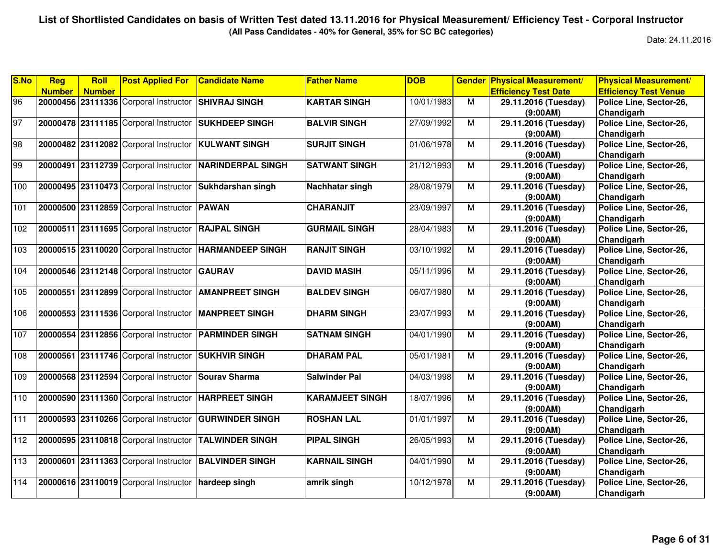**(All Pass Candidates - 40% for General, 35% for SC BC categories)**

| <b>Number</b><br><b>Efficiency Test Date</b><br><b>Efficiency Test Venue</b><br><b>Number</b><br>96<br>20000456 23111336 Corporal Instructor<br>10/01/1983<br><b>SHIVRAJ SINGH</b><br><b>KARTAR SINGH</b><br>M<br>29.11.2016 (Tuesday)<br>Police Line, Sector-26,<br>(9:00AM)<br>Chandigarh<br>97<br>20000478 23111185 Corporal Instructor<br>27/09/1992<br><b>SUKHDEEP SINGH</b><br><b>BALVIR SINGH</b><br>M<br>29.11.2016 (Tuesday)<br>Police Line, Sector-26,<br>Chandigarh<br>(9:00AM)<br>98<br>$\overline{M}$<br>23112082 Corporal Instructor<br>01/06/1978<br>Police Line, Sector-26,<br>20000482<br><b>KULWANT SINGH</b><br><b>SURJIT SINGH</b><br>29.11.2016 (Tuesday)<br>Chandigarh<br>(9:00AM)<br>99<br>23112739 Corporal Instructor<br>21/12/1993<br>M<br>Police Line, Sector-26,<br>20000491<br><b>NARINDERPAL SINGH</b><br><b>SATWANT SINGH</b><br>29.11.2016 (Tuesday)<br>Chandigarh<br>(9:00AM)<br>28/08/1979<br>20000495 23110473 Corporal Instructor<br>$\overline{M}$<br>Sukhdarshan singh<br>Nachhatar singh<br>29.11.2016 (Tuesday)<br>Police Line, Sector-26,<br>Chandigarh<br>(9:00AM)<br>20000500 23112859 Corporal Instructor<br><b>PAWAN</b><br><b>CHARANJIT</b><br>23/09/1997<br>M<br>29.11.2016 (Tuesday)<br>Police Line, Sector-26,<br>Chandigarh<br>(9:00AM)<br>20000511 23111695 Corporal Instructor<br><b>GURMAIL SINGH</b><br>28/04/1983<br>$\overline{M}$<br>29.11.2016 (Tuesday)<br>Police Line, Sector-26,<br><b>RAJPAL SINGH</b><br>(9:00AM)<br>Chandigarh<br>20000515 23110020 Corporal Instructor HARMANDEEP SINGH<br><b>RANJIT SINGH</b><br>03/10/1992<br>29.11.2016 (Tuesday)<br>Police Line, Sector-26,<br>M<br>(9:00AM)<br>Chandigarh<br>20000546 23112148 Corporal Instructor<br><b>GAURAV</b><br><b>DAVID MASIH</b><br>05/11/1996<br>M<br>29.11.2016 (Tuesday)<br>Police Line, Sector-26,<br>(9:00AM)<br>Chandigarh<br>06/07/1980<br>M<br>23112899 Corporal Instructor<br><b>AMANPREET SINGH</b><br><b>BALDEV SINGH</b><br>29.11.2016 (Tuesday)<br>Police Line, Sector-26,<br>20000551<br>Chandigarh<br>(9:00AM)<br>23/07/1993<br>$\overline{M}$<br>20000553 23111536 Corporal Instructor<br><b>MANPREET SINGH</b><br><b>DHARM SINGH</b><br>29.11.2016 (Tuesday)<br>Police Line, Sector-26,<br>(9:00AM)<br>Chandigarh<br>04/01/1990<br>$\overline{M}$<br>20000554 23112856 Corporal Instructor<br><b>PARMINDER SINGH</b><br><b>SATNAM SINGH</b><br>29.11.2016 (Tuesday)<br>Police Line, Sector-26,<br>(9:00AM)<br>Chandigarh<br>20000561 23111746 Corporal Instructor<br><b>SUKHVIR SINGH</b><br><b>DHARAM PAL</b><br>05/01/1981<br>M<br>Police Line, Sector-26,<br>29.11.2016 (Tuesday)<br>Chandigarh<br>(9:00AM)<br>Police Line, Sector-26,<br>20000568 23112594 Corporal Instructor<br>04/03/1998<br>M<br>29.11.2016 (Tuesday)<br><b>Sourav Sharma</b><br><b>Salwinder Pal</b><br>(9:00AM)<br>Chandigarh<br>20000590 23111360 Corporal Instructor<br><b>KARAMJEET SINGH</b><br>18/07/1996<br>29.11.2016 (Tuesday)<br>Police Line, Sector-26,<br><b>HARPREET SINGH</b><br>M<br>Chandigarh<br>(9:00AM)<br>20000593 23110266 Corporal Instructor<br><b>GURWINDER SINGH</b><br><b>ROSHAN LAL</b><br>01/01/1997<br>$\overline{M}$<br>29.11.2016 (Tuesday)<br>Police Line, Sector-26,<br>(9:00AM)<br>Chandigarh<br>Police Line, Sector-26,<br>20000595 23110818 Corporal Instructor<br><b>TALWINDER SINGH</b><br><b>PIPAL SINGH</b><br>26/05/1993<br>M<br>29.11.2016 (Tuesday)<br>(9:00AM)<br>Chandigarh<br>20000601 23111363 Corporal Instructor<br><b>BALVINDER SINGH</b><br><b>KARNAIL SINGH</b><br>04/01/1990<br>M<br>29.11.2016 (Tuesday)<br>Police Line, Sector-26,<br>(9:00AM)<br>Chandigarh<br>Police Line, Sector-26,<br>20000616 23110019 Corporal Instructor<br>10/12/1978<br>M<br>29.11.2016 (Tuesday)<br>hardeep singh<br>amrik singh | S.No            | Reg | <b>Roll</b> | <b>Post Applied For</b> | <b>Candidate Name</b> | <b>Father Name</b> | <b>DOB</b> | <b>Gender</b> | <b>Physical Measurement/</b> | <b>Physical Measurement/</b> |
|---------------------------------------------------------------------------------------------------------------------------------------------------------------------------------------------------------------------------------------------------------------------------------------------------------------------------------------------------------------------------------------------------------------------------------------------------------------------------------------------------------------------------------------------------------------------------------------------------------------------------------------------------------------------------------------------------------------------------------------------------------------------------------------------------------------------------------------------------------------------------------------------------------------------------------------------------------------------------------------------------------------------------------------------------------------------------------------------------------------------------------------------------------------------------------------------------------------------------------------------------------------------------------------------------------------------------------------------------------------------------------------------------------------------------------------------------------------------------------------------------------------------------------------------------------------------------------------------------------------------------------------------------------------------------------------------------------------------------------------------------------------------------------------------------------------------------------------------------------------------------------------------------------------------------------------------------------------------------------------------------------------------------------------------------------------------------------------------------------------------------------------------------------------------------------------------------------------------------------------------------------------------------------------------------------------------------------------------------------------------------------------------------------------------------------------------------------------------------------------------------------------------------------------------------------------------------------------------------------------------------------------------------------------------------------------------------------------------------------------------------------------------------------------------------------------------------------------------------------------------------------------------------------------------------------------------------------------------------------------------------------------------------------------------------------------------------------------------------------------------------------------------------------------------------------------------------------------------------------------------------------------------------------------------------------------------------------------------------------------------------------------------------------------------------------------------------------------------------------------------------------------------------------------------------------------------------------------------------------------------------------------------------------------------------------------------------------------------------------------------------------------------------------------------|-----------------|-----|-------------|-------------------------|-----------------------|--------------------|------------|---------------|------------------------------|------------------------------|
|                                                                                                                                                                                                                                                                                                                                                                                                                                                                                                                                                                                                                                                                                                                                                                                                                                                                                                                                                                                                                                                                                                                                                                                                                                                                                                                                                                                                                                                                                                                                                                                                                                                                                                                                                                                                                                                                                                                                                                                                                                                                                                                                                                                                                                                                                                                                                                                                                                                                                                                                                                                                                                                                                                                                                                                                                                                                                                                                                                                                                                                                                                                                                                                                                                                                                                                                                                                                                                                                                                                                                                                                                                                                                                                                                                                             |                 |     |             |                         |                       |                    |            |               |                              |                              |
|                                                                                                                                                                                                                                                                                                                                                                                                                                                                                                                                                                                                                                                                                                                                                                                                                                                                                                                                                                                                                                                                                                                                                                                                                                                                                                                                                                                                                                                                                                                                                                                                                                                                                                                                                                                                                                                                                                                                                                                                                                                                                                                                                                                                                                                                                                                                                                                                                                                                                                                                                                                                                                                                                                                                                                                                                                                                                                                                                                                                                                                                                                                                                                                                                                                                                                                                                                                                                                                                                                                                                                                                                                                                                                                                                                                             |                 |     |             |                         |                       |                    |            |               |                              |                              |
|                                                                                                                                                                                                                                                                                                                                                                                                                                                                                                                                                                                                                                                                                                                                                                                                                                                                                                                                                                                                                                                                                                                                                                                                                                                                                                                                                                                                                                                                                                                                                                                                                                                                                                                                                                                                                                                                                                                                                                                                                                                                                                                                                                                                                                                                                                                                                                                                                                                                                                                                                                                                                                                                                                                                                                                                                                                                                                                                                                                                                                                                                                                                                                                                                                                                                                                                                                                                                                                                                                                                                                                                                                                                                                                                                                                             |                 |     |             |                         |                       |                    |            |               |                              |                              |
|                                                                                                                                                                                                                                                                                                                                                                                                                                                                                                                                                                                                                                                                                                                                                                                                                                                                                                                                                                                                                                                                                                                                                                                                                                                                                                                                                                                                                                                                                                                                                                                                                                                                                                                                                                                                                                                                                                                                                                                                                                                                                                                                                                                                                                                                                                                                                                                                                                                                                                                                                                                                                                                                                                                                                                                                                                                                                                                                                                                                                                                                                                                                                                                                                                                                                                                                                                                                                                                                                                                                                                                                                                                                                                                                                                                             |                 |     |             |                         |                       |                    |            |               |                              |                              |
|                                                                                                                                                                                                                                                                                                                                                                                                                                                                                                                                                                                                                                                                                                                                                                                                                                                                                                                                                                                                                                                                                                                                                                                                                                                                                                                                                                                                                                                                                                                                                                                                                                                                                                                                                                                                                                                                                                                                                                                                                                                                                                                                                                                                                                                                                                                                                                                                                                                                                                                                                                                                                                                                                                                                                                                                                                                                                                                                                                                                                                                                                                                                                                                                                                                                                                                                                                                                                                                                                                                                                                                                                                                                                                                                                                                             |                 |     |             |                         |                       |                    |            |               |                              |                              |
|                                                                                                                                                                                                                                                                                                                                                                                                                                                                                                                                                                                                                                                                                                                                                                                                                                                                                                                                                                                                                                                                                                                                                                                                                                                                                                                                                                                                                                                                                                                                                                                                                                                                                                                                                                                                                                                                                                                                                                                                                                                                                                                                                                                                                                                                                                                                                                                                                                                                                                                                                                                                                                                                                                                                                                                                                                                                                                                                                                                                                                                                                                                                                                                                                                                                                                                                                                                                                                                                                                                                                                                                                                                                                                                                                                                             |                 |     |             |                         |                       |                    |            |               |                              |                              |
|                                                                                                                                                                                                                                                                                                                                                                                                                                                                                                                                                                                                                                                                                                                                                                                                                                                                                                                                                                                                                                                                                                                                                                                                                                                                                                                                                                                                                                                                                                                                                                                                                                                                                                                                                                                                                                                                                                                                                                                                                                                                                                                                                                                                                                                                                                                                                                                                                                                                                                                                                                                                                                                                                                                                                                                                                                                                                                                                                                                                                                                                                                                                                                                                                                                                                                                                                                                                                                                                                                                                                                                                                                                                                                                                                                                             |                 |     |             |                         |                       |                    |            |               |                              |                              |
|                                                                                                                                                                                                                                                                                                                                                                                                                                                                                                                                                                                                                                                                                                                                                                                                                                                                                                                                                                                                                                                                                                                                                                                                                                                                                                                                                                                                                                                                                                                                                                                                                                                                                                                                                                                                                                                                                                                                                                                                                                                                                                                                                                                                                                                                                                                                                                                                                                                                                                                                                                                                                                                                                                                                                                                                                                                                                                                                                                                                                                                                                                                                                                                                                                                                                                                                                                                                                                                                                                                                                                                                                                                                                                                                                                                             |                 |     |             |                         |                       |                    |            |               |                              |                              |
|                                                                                                                                                                                                                                                                                                                                                                                                                                                                                                                                                                                                                                                                                                                                                                                                                                                                                                                                                                                                                                                                                                                                                                                                                                                                                                                                                                                                                                                                                                                                                                                                                                                                                                                                                                                                                                                                                                                                                                                                                                                                                                                                                                                                                                                                                                                                                                                                                                                                                                                                                                                                                                                                                                                                                                                                                                                                                                                                                                                                                                                                                                                                                                                                                                                                                                                                                                                                                                                                                                                                                                                                                                                                                                                                                                                             |                 |     |             |                         |                       |                    |            |               |                              |                              |
|                                                                                                                                                                                                                                                                                                                                                                                                                                                                                                                                                                                                                                                                                                                                                                                                                                                                                                                                                                                                                                                                                                                                                                                                                                                                                                                                                                                                                                                                                                                                                                                                                                                                                                                                                                                                                                                                                                                                                                                                                                                                                                                                                                                                                                                                                                                                                                                                                                                                                                                                                                                                                                                                                                                                                                                                                                                                                                                                                                                                                                                                                                                                                                                                                                                                                                                                                                                                                                                                                                                                                                                                                                                                                                                                                                                             | 100             |     |             |                         |                       |                    |            |               |                              |                              |
|                                                                                                                                                                                                                                                                                                                                                                                                                                                                                                                                                                                                                                                                                                                                                                                                                                                                                                                                                                                                                                                                                                                                                                                                                                                                                                                                                                                                                                                                                                                                                                                                                                                                                                                                                                                                                                                                                                                                                                                                                                                                                                                                                                                                                                                                                                                                                                                                                                                                                                                                                                                                                                                                                                                                                                                                                                                                                                                                                                                                                                                                                                                                                                                                                                                                                                                                                                                                                                                                                                                                                                                                                                                                                                                                                                                             |                 |     |             |                         |                       |                    |            |               |                              |                              |
|                                                                                                                                                                                                                                                                                                                                                                                                                                                                                                                                                                                                                                                                                                                                                                                                                                                                                                                                                                                                                                                                                                                                                                                                                                                                                                                                                                                                                                                                                                                                                                                                                                                                                                                                                                                                                                                                                                                                                                                                                                                                                                                                                                                                                                                                                                                                                                                                                                                                                                                                                                                                                                                                                                                                                                                                                                                                                                                                                                                                                                                                                                                                                                                                                                                                                                                                                                                                                                                                                                                                                                                                                                                                                                                                                                                             | 101             |     |             |                         |                       |                    |            |               |                              |                              |
|                                                                                                                                                                                                                                                                                                                                                                                                                                                                                                                                                                                                                                                                                                                                                                                                                                                                                                                                                                                                                                                                                                                                                                                                                                                                                                                                                                                                                                                                                                                                                                                                                                                                                                                                                                                                                                                                                                                                                                                                                                                                                                                                                                                                                                                                                                                                                                                                                                                                                                                                                                                                                                                                                                                                                                                                                                                                                                                                                                                                                                                                                                                                                                                                                                                                                                                                                                                                                                                                                                                                                                                                                                                                                                                                                                                             |                 |     |             |                         |                       |                    |            |               |                              |                              |
|                                                                                                                                                                                                                                                                                                                                                                                                                                                                                                                                                                                                                                                                                                                                                                                                                                                                                                                                                                                                                                                                                                                                                                                                                                                                                                                                                                                                                                                                                                                                                                                                                                                                                                                                                                                                                                                                                                                                                                                                                                                                                                                                                                                                                                                                                                                                                                                                                                                                                                                                                                                                                                                                                                                                                                                                                                                                                                                                                                                                                                                                                                                                                                                                                                                                                                                                                                                                                                                                                                                                                                                                                                                                                                                                                                                             | 102             |     |             |                         |                       |                    |            |               |                              |                              |
|                                                                                                                                                                                                                                                                                                                                                                                                                                                                                                                                                                                                                                                                                                                                                                                                                                                                                                                                                                                                                                                                                                                                                                                                                                                                                                                                                                                                                                                                                                                                                                                                                                                                                                                                                                                                                                                                                                                                                                                                                                                                                                                                                                                                                                                                                                                                                                                                                                                                                                                                                                                                                                                                                                                                                                                                                                                                                                                                                                                                                                                                                                                                                                                                                                                                                                                                                                                                                                                                                                                                                                                                                                                                                                                                                                                             |                 |     |             |                         |                       |                    |            |               |                              |                              |
|                                                                                                                                                                                                                                                                                                                                                                                                                                                                                                                                                                                                                                                                                                                                                                                                                                                                                                                                                                                                                                                                                                                                                                                                                                                                                                                                                                                                                                                                                                                                                                                                                                                                                                                                                                                                                                                                                                                                                                                                                                                                                                                                                                                                                                                                                                                                                                                                                                                                                                                                                                                                                                                                                                                                                                                                                                                                                                                                                                                                                                                                                                                                                                                                                                                                                                                                                                                                                                                                                                                                                                                                                                                                                                                                                                                             | 103             |     |             |                         |                       |                    |            |               |                              |                              |
|                                                                                                                                                                                                                                                                                                                                                                                                                                                                                                                                                                                                                                                                                                                                                                                                                                                                                                                                                                                                                                                                                                                                                                                                                                                                                                                                                                                                                                                                                                                                                                                                                                                                                                                                                                                                                                                                                                                                                                                                                                                                                                                                                                                                                                                                                                                                                                                                                                                                                                                                                                                                                                                                                                                                                                                                                                                                                                                                                                                                                                                                                                                                                                                                                                                                                                                                                                                                                                                                                                                                                                                                                                                                                                                                                                                             |                 |     |             |                         |                       |                    |            |               |                              |                              |
|                                                                                                                                                                                                                                                                                                                                                                                                                                                                                                                                                                                                                                                                                                                                                                                                                                                                                                                                                                                                                                                                                                                                                                                                                                                                                                                                                                                                                                                                                                                                                                                                                                                                                                                                                                                                                                                                                                                                                                                                                                                                                                                                                                                                                                                                                                                                                                                                                                                                                                                                                                                                                                                                                                                                                                                                                                                                                                                                                                                                                                                                                                                                                                                                                                                                                                                                                                                                                                                                                                                                                                                                                                                                                                                                                                                             | 104             |     |             |                         |                       |                    |            |               |                              |                              |
|                                                                                                                                                                                                                                                                                                                                                                                                                                                                                                                                                                                                                                                                                                                                                                                                                                                                                                                                                                                                                                                                                                                                                                                                                                                                                                                                                                                                                                                                                                                                                                                                                                                                                                                                                                                                                                                                                                                                                                                                                                                                                                                                                                                                                                                                                                                                                                                                                                                                                                                                                                                                                                                                                                                                                                                                                                                                                                                                                                                                                                                                                                                                                                                                                                                                                                                                                                                                                                                                                                                                                                                                                                                                                                                                                                                             |                 |     |             |                         |                       |                    |            |               |                              |                              |
|                                                                                                                                                                                                                                                                                                                                                                                                                                                                                                                                                                                                                                                                                                                                                                                                                                                                                                                                                                                                                                                                                                                                                                                                                                                                                                                                                                                                                                                                                                                                                                                                                                                                                                                                                                                                                                                                                                                                                                                                                                                                                                                                                                                                                                                                                                                                                                                                                                                                                                                                                                                                                                                                                                                                                                                                                                                                                                                                                                                                                                                                                                                                                                                                                                                                                                                                                                                                                                                                                                                                                                                                                                                                                                                                                                                             | 105             |     |             |                         |                       |                    |            |               |                              |                              |
|                                                                                                                                                                                                                                                                                                                                                                                                                                                                                                                                                                                                                                                                                                                                                                                                                                                                                                                                                                                                                                                                                                                                                                                                                                                                                                                                                                                                                                                                                                                                                                                                                                                                                                                                                                                                                                                                                                                                                                                                                                                                                                                                                                                                                                                                                                                                                                                                                                                                                                                                                                                                                                                                                                                                                                                                                                                                                                                                                                                                                                                                                                                                                                                                                                                                                                                                                                                                                                                                                                                                                                                                                                                                                                                                                                                             |                 |     |             |                         |                       |                    |            |               |                              |                              |
|                                                                                                                                                                                                                                                                                                                                                                                                                                                                                                                                                                                                                                                                                                                                                                                                                                                                                                                                                                                                                                                                                                                                                                                                                                                                                                                                                                                                                                                                                                                                                                                                                                                                                                                                                                                                                                                                                                                                                                                                                                                                                                                                                                                                                                                                                                                                                                                                                                                                                                                                                                                                                                                                                                                                                                                                                                                                                                                                                                                                                                                                                                                                                                                                                                                                                                                                                                                                                                                                                                                                                                                                                                                                                                                                                                                             | 106             |     |             |                         |                       |                    |            |               |                              |                              |
|                                                                                                                                                                                                                                                                                                                                                                                                                                                                                                                                                                                                                                                                                                                                                                                                                                                                                                                                                                                                                                                                                                                                                                                                                                                                                                                                                                                                                                                                                                                                                                                                                                                                                                                                                                                                                                                                                                                                                                                                                                                                                                                                                                                                                                                                                                                                                                                                                                                                                                                                                                                                                                                                                                                                                                                                                                                                                                                                                                                                                                                                                                                                                                                                                                                                                                                                                                                                                                                                                                                                                                                                                                                                                                                                                                                             |                 |     |             |                         |                       |                    |            |               |                              |                              |
|                                                                                                                                                                                                                                                                                                                                                                                                                                                                                                                                                                                                                                                                                                                                                                                                                                                                                                                                                                                                                                                                                                                                                                                                                                                                                                                                                                                                                                                                                                                                                                                                                                                                                                                                                                                                                                                                                                                                                                                                                                                                                                                                                                                                                                                                                                                                                                                                                                                                                                                                                                                                                                                                                                                                                                                                                                                                                                                                                                                                                                                                                                                                                                                                                                                                                                                                                                                                                                                                                                                                                                                                                                                                                                                                                                                             | $\frac{1}{107}$ |     |             |                         |                       |                    |            |               |                              |                              |
|                                                                                                                                                                                                                                                                                                                                                                                                                                                                                                                                                                                                                                                                                                                                                                                                                                                                                                                                                                                                                                                                                                                                                                                                                                                                                                                                                                                                                                                                                                                                                                                                                                                                                                                                                                                                                                                                                                                                                                                                                                                                                                                                                                                                                                                                                                                                                                                                                                                                                                                                                                                                                                                                                                                                                                                                                                                                                                                                                                                                                                                                                                                                                                                                                                                                                                                                                                                                                                                                                                                                                                                                                                                                                                                                                                                             |                 |     |             |                         |                       |                    |            |               |                              |                              |
|                                                                                                                                                                                                                                                                                                                                                                                                                                                                                                                                                                                                                                                                                                                                                                                                                                                                                                                                                                                                                                                                                                                                                                                                                                                                                                                                                                                                                                                                                                                                                                                                                                                                                                                                                                                                                                                                                                                                                                                                                                                                                                                                                                                                                                                                                                                                                                                                                                                                                                                                                                                                                                                                                                                                                                                                                                                                                                                                                                                                                                                                                                                                                                                                                                                                                                                                                                                                                                                                                                                                                                                                                                                                                                                                                                                             | 108             |     |             |                         |                       |                    |            |               |                              |                              |
|                                                                                                                                                                                                                                                                                                                                                                                                                                                                                                                                                                                                                                                                                                                                                                                                                                                                                                                                                                                                                                                                                                                                                                                                                                                                                                                                                                                                                                                                                                                                                                                                                                                                                                                                                                                                                                                                                                                                                                                                                                                                                                                                                                                                                                                                                                                                                                                                                                                                                                                                                                                                                                                                                                                                                                                                                                                                                                                                                                                                                                                                                                                                                                                                                                                                                                                                                                                                                                                                                                                                                                                                                                                                                                                                                                                             |                 |     |             |                         |                       |                    |            |               |                              |                              |
|                                                                                                                                                                                                                                                                                                                                                                                                                                                                                                                                                                                                                                                                                                                                                                                                                                                                                                                                                                                                                                                                                                                                                                                                                                                                                                                                                                                                                                                                                                                                                                                                                                                                                                                                                                                                                                                                                                                                                                                                                                                                                                                                                                                                                                                                                                                                                                                                                                                                                                                                                                                                                                                                                                                                                                                                                                                                                                                                                                                                                                                                                                                                                                                                                                                                                                                                                                                                                                                                                                                                                                                                                                                                                                                                                                                             | 109             |     |             |                         |                       |                    |            |               |                              |                              |
|                                                                                                                                                                                                                                                                                                                                                                                                                                                                                                                                                                                                                                                                                                                                                                                                                                                                                                                                                                                                                                                                                                                                                                                                                                                                                                                                                                                                                                                                                                                                                                                                                                                                                                                                                                                                                                                                                                                                                                                                                                                                                                                                                                                                                                                                                                                                                                                                                                                                                                                                                                                                                                                                                                                                                                                                                                                                                                                                                                                                                                                                                                                                                                                                                                                                                                                                                                                                                                                                                                                                                                                                                                                                                                                                                                                             |                 |     |             |                         |                       |                    |            |               |                              |                              |
|                                                                                                                                                                                                                                                                                                                                                                                                                                                                                                                                                                                                                                                                                                                                                                                                                                                                                                                                                                                                                                                                                                                                                                                                                                                                                                                                                                                                                                                                                                                                                                                                                                                                                                                                                                                                                                                                                                                                                                                                                                                                                                                                                                                                                                                                                                                                                                                                                                                                                                                                                                                                                                                                                                                                                                                                                                                                                                                                                                                                                                                                                                                                                                                                                                                                                                                                                                                                                                                                                                                                                                                                                                                                                                                                                                                             | 110             |     |             |                         |                       |                    |            |               |                              |                              |
|                                                                                                                                                                                                                                                                                                                                                                                                                                                                                                                                                                                                                                                                                                                                                                                                                                                                                                                                                                                                                                                                                                                                                                                                                                                                                                                                                                                                                                                                                                                                                                                                                                                                                                                                                                                                                                                                                                                                                                                                                                                                                                                                                                                                                                                                                                                                                                                                                                                                                                                                                                                                                                                                                                                                                                                                                                                                                                                                                                                                                                                                                                                                                                                                                                                                                                                                                                                                                                                                                                                                                                                                                                                                                                                                                                                             |                 |     |             |                         |                       |                    |            |               |                              |                              |
|                                                                                                                                                                                                                                                                                                                                                                                                                                                                                                                                                                                                                                                                                                                                                                                                                                                                                                                                                                                                                                                                                                                                                                                                                                                                                                                                                                                                                                                                                                                                                                                                                                                                                                                                                                                                                                                                                                                                                                                                                                                                                                                                                                                                                                                                                                                                                                                                                                                                                                                                                                                                                                                                                                                                                                                                                                                                                                                                                                                                                                                                                                                                                                                                                                                                                                                                                                                                                                                                                                                                                                                                                                                                                                                                                                                             | 111             |     |             |                         |                       |                    |            |               |                              |                              |
|                                                                                                                                                                                                                                                                                                                                                                                                                                                                                                                                                                                                                                                                                                                                                                                                                                                                                                                                                                                                                                                                                                                                                                                                                                                                                                                                                                                                                                                                                                                                                                                                                                                                                                                                                                                                                                                                                                                                                                                                                                                                                                                                                                                                                                                                                                                                                                                                                                                                                                                                                                                                                                                                                                                                                                                                                                                                                                                                                                                                                                                                                                                                                                                                                                                                                                                                                                                                                                                                                                                                                                                                                                                                                                                                                                                             |                 |     |             |                         |                       |                    |            |               |                              |                              |
|                                                                                                                                                                                                                                                                                                                                                                                                                                                                                                                                                                                                                                                                                                                                                                                                                                                                                                                                                                                                                                                                                                                                                                                                                                                                                                                                                                                                                                                                                                                                                                                                                                                                                                                                                                                                                                                                                                                                                                                                                                                                                                                                                                                                                                                                                                                                                                                                                                                                                                                                                                                                                                                                                                                                                                                                                                                                                                                                                                                                                                                                                                                                                                                                                                                                                                                                                                                                                                                                                                                                                                                                                                                                                                                                                                                             | 112             |     |             |                         |                       |                    |            |               |                              |                              |
|                                                                                                                                                                                                                                                                                                                                                                                                                                                                                                                                                                                                                                                                                                                                                                                                                                                                                                                                                                                                                                                                                                                                                                                                                                                                                                                                                                                                                                                                                                                                                                                                                                                                                                                                                                                                                                                                                                                                                                                                                                                                                                                                                                                                                                                                                                                                                                                                                                                                                                                                                                                                                                                                                                                                                                                                                                                                                                                                                                                                                                                                                                                                                                                                                                                                                                                                                                                                                                                                                                                                                                                                                                                                                                                                                                                             |                 |     |             |                         |                       |                    |            |               |                              |                              |
|                                                                                                                                                                                                                                                                                                                                                                                                                                                                                                                                                                                                                                                                                                                                                                                                                                                                                                                                                                                                                                                                                                                                                                                                                                                                                                                                                                                                                                                                                                                                                                                                                                                                                                                                                                                                                                                                                                                                                                                                                                                                                                                                                                                                                                                                                                                                                                                                                                                                                                                                                                                                                                                                                                                                                                                                                                                                                                                                                                                                                                                                                                                                                                                                                                                                                                                                                                                                                                                                                                                                                                                                                                                                                                                                                                                             | 113             |     |             |                         |                       |                    |            |               |                              |                              |
|                                                                                                                                                                                                                                                                                                                                                                                                                                                                                                                                                                                                                                                                                                                                                                                                                                                                                                                                                                                                                                                                                                                                                                                                                                                                                                                                                                                                                                                                                                                                                                                                                                                                                                                                                                                                                                                                                                                                                                                                                                                                                                                                                                                                                                                                                                                                                                                                                                                                                                                                                                                                                                                                                                                                                                                                                                                                                                                                                                                                                                                                                                                                                                                                                                                                                                                                                                                                                                                                                                                                                                                                                                                                                                                                                                                             |                 |     |             |                         |                       |                    |            |               |                              |                              |
|                                                                                                                                                                                                                                                                                                                                                                                                                                                                                                                                                                                                                                                                                                                                                                                                                                                                                                                                                                                                                                                                                                                                                                                                                                                                                                                                                                                                                                                                                                                                                                                                                                                                                                                                                                                                                                                                                                                                                                                                                                                                                                                                                                                                                                                                                                                                                                                                                                                                                                                                                                                                                                                                                                                                                                                                                                                                                                                                                                                                                                                                                                                                                                                                                                                                                                                                                                                                                                                                                                                                                                                                                                                                                                                                                                                             | 114             |     |             |                         |                       |                    |            |               |                              |                              |
| (9:00AM)<br>Chandigarh                                                                                                                                                                                                                                                                                                                                                                                                                                                                                                                                                                                                                                                                                                                                                                                                                                                                                                                                                                                                                                                                                                                                                                                                                                                                                                                                                                                                                                                                                                                                                                                                                                                                                                                                                                                                                                                                                                                                                                                                                                                                                                                                                                                                                                                                                                                                                                                                                                                                                                                                                                                                                                                                                                                                                                                                                                                                                                                                                                                                                                                                                                                                                                                                                                                                                                                                                                                                                                                                                                                                                                                                                                                                                                                                                                      |                 |     |             |                         |                       |                    |            |               |                              |                              |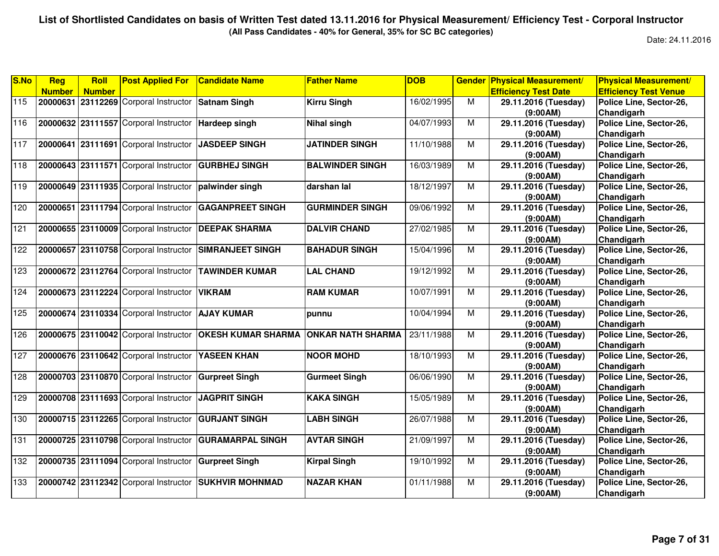**(All Pass Candidates - 40% for General, 35% for SC BC categories)**

| S.No             | Reg           | Roll          | <b>Post Applied For</b>                               | <b>Candidate Name</b>                                  | <b>Father Name</b>       | <b>DOB</b> | <b>Gender</b>  | <b>Physical Measurement/</b> | <b>Physical Measurement/</b> |
|------------------|---------------|---------------|-------------------------------------------------------|--------------------------------------------------------|--------------------------|------------|----------------|------------------------------|------------------------------|
|                  | <b>Number</b> | <b>Number</b> |                                                       |                                                        |                          |            |                | <b>Efficiency Test Date</b>  | <b>Efficiency Test Venue</b> |
| 115              |               |               | 20000631 23112269 Corporal Instructor Satnam Singh    |                                                        | <b>Kirru Singh</b>       | 16/02/1995 | M              | 29.11.2016 (Tuesday)         | Police Line, Sector-26,      |
|                  |               |               |                                                       |                                                        |                          |            |                | (9:00AM)                     | Chandigarh                   |
| 116              |               |               | 20000632 23111557 Corporal Instructor Hardeep singh   |                                                        | <b>Nihal singh</b>       | 04/07/1993 | M              | 29.11.2016 (Tuesday)         | Police Line, Sector-26,      |
|                  |               |               |                                                       |                                                        |                          |            |                | (9:00AM)                     | Chandigarh                   |
| 117              |               |               | 20000641 23111691 Corporal Instructor                 | <b>JASDEEP SINGH</b>                                   | <b>JATINDER SINGH</b>    | 11/10/1988 | M              | 29.11.2016 (Tuesday)         | Police Line, Sector-26,      |
|                  |               |               |                                                       |                                                        |                          |            |                | (9:00AM)                     | Chandigarh                   |
| 118              |               |               | 20000643 23111571 Corporal Instructor                 | <b>GURBHEJ SINGH</b>                                   | <b>BALWINDER SINGH</b>   | 16/03/1989 | M              | 29.11.2016 (Tuesday)         | Police Line, Sector-26,      |
|                  |               |               |                                                       |                                                        |                          |            |                | (9:00AM)                     | Chandigarh                   |
| 119              |               |               | 20000649 23111935 Corporal Instructor palwinder singh |                                                        | darshan lal              | 18/12/1997 | $\overline{M}$ | 29.11.2016 (Tuesday)         | Police Line, Sector-26,      |
|                  |               |               |                                                       |                                                        |                          |            |                | (9:00AM)                     | Chandigarh                   |
| 120              |               |               | 20000651 23111794 Corporal Instructor                 | <b>GAGANPREET SINGH</b>                                | <b>GURMINDER SINGH</b>   | 09/06/1992 | M              | 29.11.2016 (Tuesday)         | Police Line, Sector-26,      |
|                  |               |               |                                                       |                                                        |                          |            |                | (9:00AM)                     | Chandigarh                   |
| 121              |               |               | 20000655 23110009 Corporal Instructor                 | <b>DEEPAK SHARMA</b>                                   | <b>DALVIR CHAND</b>      | 27/02/1985 | M              | 29.11.2016 (Tuesday)         | Police Line, Sector-26,      |
|                  |               |               |                                                       |                                                        |                          |            |                | (9:00AM)                     | Chandigarh                   |
| 122              |               |               |                                                       | 20000657 23110758 Corporal Instructor SIMRANJEET SINGH | <b>BAHADUR SINGH</b>     | 15/04/1996 | M              | 29.11.2016 (Tuesday)         | Police Line, Sector-26,      |
|                  |               |               |                                                       |                                                        |                          |            |                | (9:00AM)                     | Chandigarh                   |
| $\overline{123}$ |               |               |                                                       | 20000672 23112764 Corporal Instructor TAWINDER KUMAR   | <b>LAL CHAND</b>         | 19/12/1992 | $\overline{M}$ | 29.11.2016 (Tuesday)         | Police Line, Sector-26,      |
|                  |               |               |                                                       |                                                        |                          |            |                | (9:00AM)                     | Chandigarh                   |
| 124              |               |               | 20000673 23112224 Corporal Instructor                 | <b>VIKRAM</b>                                          | <b>RAM KUMAR</b>         | 10/07/1991 | M              | 29.11.2016 (Tuesday)         | Police Line, Sector-26,      |
|                  |               |               |                                                       |                                                        |                          |            |                | (9:00AM)                     | Chandigarh                   |
| 125              |               |               | 20000674 23110334 Corporal Instructor                 | <b>AJAY KUMAR</b>                                      | punnu                    | 10/04/1994 | M              | 29.11.2016 (Tuesday)         | Police Line, Sector-26,      |
|                  |               |               |                                                       |                                                        |                          |            |                | (9:00AM)                     | Chandigarh                   |
| 126              |               |               | 20000675 23110042 Corporal Instructor                 | <b>OKESH KUMAR SHARMA</b>                              | <b>ONKAR NATH SHARMA</b> | 23/11/1988 | M              | 29.11.2016 (Tuesday)         | Police Line, Sector-26,      |
|                  |               |               |                                                       |                                                        |                          |            |                | (9:00AM)                     | Chandigarh                   |
| 127              |               |               | 20000676 23110642 Corporal Instructor YASEEN KHAN     |                                                        | <b>NOOR MOHD</b>         | 18/10/1993 | M              | 29.11.2016 (Tuesday)         | Police Line, Sector-26,      |
|                  |               |               |                                                       |                                                        |                          |            |                | (9:00AM)                     | Chandigarh                   |
| 128              |               |               | 20000703 23110870 Corporal Instructor                 | <b>Gurpreet Singh</b>                                  | <b>Gurmeet Singh</b>     | 06/06/1990 | M              | 29.11.2016 (Tuesday)         | Police Line, Sector-26,      |
|                  |               |               |                                                       |                                                        |                          |            |                | (9:00AM)                     | Chandigarh                   |
| 129              |               |               | 20000708 23111693 Corporal Instructor                 | <b>JAGPRIT SINGH</b>                                   | <b>KAKA SINGH</b>        | 15/05/1989 | M              | 29.11.2016 (Tuesday)         | Police Line, Sector-26,      |
|                  |               |               |                                                       |                                                        |                          |            |                | (9:00AM)                     | Chandigarh                   |
| 130              |               |               | 20000715 23112265 Corporal Instructor                 | <b>GURJANT SINGH</b>                                   | <b>LABH SINGH</b>        | 26/07/1988 | M              | 29.11.2016 (Tuesday)         | Police Line, Sector-26,      |
|                  |               |               |                                                       |                                                        |                          |            |                | (9:00AM)                     | Chandigarh                   |
| 131              |               |               | 20000725 23110798 Corporal Instructor                 | <b>GURAMARPAL SINGH</b>                                | <b>AVTAR SINGH</b>       | 21/09/1997 | M              | 29.11.2016 (Tuesday)         | Police Line, Sector-26,      |
|                  |               |               |                                                       |                                                        |                          |            |                | (9:00AM)                     | Chandigarh                   |
| 132              |               |               | 20000735 23111094 Corporal Instructor                 | <b>Gurpreet Singh</b>                                  | <b>Kirpal Singh</b>      | 19/10/1992 | M              | 29.11.2016 (Tuesday)         | Police Line, Sector-26,      |
|                  |               |               |                                                       |                                                        |                          |            |                | (9:00AM)                     | Chandigarh                   |
| 133              |               |               | 20000742 23112342 Corporal Instructor                 | <b>SUKHVIR MOHNMAD</b>                                 | <b>NAZAR KHAN</b>        | 01/11/1988 | $\overline{M}$ | 29.11.2016 (Tuesday)         | Police Line, Sector-26,      |
|                  |               |               |                                                       |                                                        |                          |            |                | (9:00AM)                     | Chandigarh                   |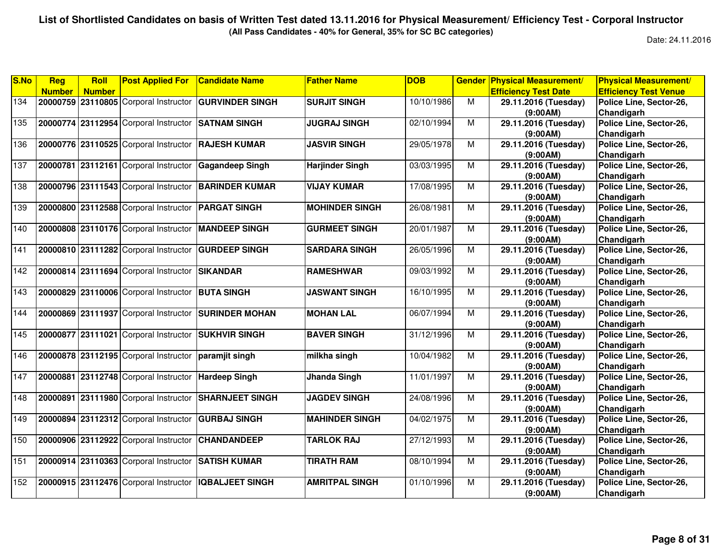**(All Pass Candidates - 40% for General, 35% for SC BC categories)**

| <b>Number</b><br><b>Number</b><br>20000759 23110805 Corporal Instructor<br><b>GURVINDER SINGH</b><br>134 | <b>SURJIT SINGH</b>    | 10/10/1986 | M              | <b>Efficiency Test Date</b> | <b>Efficiency Test Venue</b> |
|----------------------------------------------------------------------------------------------------------|------------------------|------------|----------------|-----------------------------|------------------------------|
|                                                                                                          |                        |            |                |                             |                              |
|                                                                                                          |                        |            |                | 29.11.2016 (Tuesday)        | Police Line, Sector-26,      |
|                                                                                                          |                        |            |                | (9:00AM)                    | Chandigarh                   |
| 135<br>20000774 23112954 Corporal Instructor<br><b>SATNAM SINGH</b>                                      | <b>JUGRAJ SINGH</b>    | 02/10/1994 | $\overline{M}$ | 29.11.2016 (Tuesday)        | Police Line, Sector-26,      |
|                                                                                                          |                        |            |                | (9:00AM)                    | Chandigarh                   |
| 136<br>20000776 23110525 Corporal Instructor<br><b>RAJESH KUMAR</b>                                      | <b>JASVIR SINGH</b>    | 29/05/1978 | М              | 29.11.2016 (Tuesday)        | Police Line, Sector-26,      |
|                                                                                                          |                        |            |                | (9:00AM)                    | Chandigarh                   |
| 137<br>20000781<br>23112161 Corporal Instructor<br><b>Gagandeep Singh</b>                                | <b>Harjinder Singh</b> | 03/03/1995 | M              | 29.11.2016 (Tuesday)        | Police Line, Sector-26,      |
|                                                                                                          |                        |            |                | (9:00AM)                    | Chandigarh                   |
| 138<br>20000796 23111543 Corporal Instructor<br><b>BARINDER KUMAR</b>                                    | <b>VIJAY KUMAR</b>     | 17/08/1995 | M              | 29.11.2016 (Tuesday)        | Police Line, Sector-26,      |
|                                                                                                          |                        |            |                | (9:00AM)                    | Chandigarh                   |
| 139<br>20000800 23112588 Corporal Instructor<br><b>PARGAT SINGH</b>                                      | <b>MOHINDER SINGH</b>  | 26/08/1981 | М              | 29.11.2016 (Tuesday)        | Police Line, Sector-26,      |
|                                                                                                          |                        |            |                | (9:00AM)                    | Chandigarh                   |
| 140<br>20000808 23110176 Corporal Instructor<br><b>MANDEEP SINGH</b>                                     | <b>GURMEET SINGH</b>   | 20/01/1987 | $\overline{M}$ | 29.11.2016 (Tuesday)        | Police Line, Sector-26,      |
|                                                                                                          |                        |            |                | (9:00AM)                    | Chandigarh                   |
| 141<br>20000810 23111282 Corporal Instructor<br><b>GURDEEP SINGH</b>                                     | <b>SARDARA SINGH</b>   | 26/05/1996 | M              | 29.11.2016 (Tuesday)        | Police Line, Sector-26,      |
|                                                                                                          |                        |            |                | (9:00AM)                    | Chandigarh                   |
| $\overline{142}$<br>20000814 23111694 Corporal Instructor<br><b>SIKANDAR</b>                             | <b>RAMESHWAR</b>       | 09/03/1992 | M              | 29.11.2016 (Tuesday)        | Police Line, Sector-26,      |
|                                                                                                          |                        |            |                | (9:00AM)                    | Chandigarh                   |
| 143<br>23110006 Corporal Instructor<br>20000829<br><b>BUTA SINGH</b>                                     | <b>JASWANT SINGH</b>   | 16/10/1995 | M              | 29.11.2016 (Tuesday)        | Police Line, Sector-26,      |
|                                                                                                          |                        |            |                | (9:00AM)                    | Chandigarh                   |
| 144<br>20000869 23111937 Corporal Instructor<br><b>SURINDER MOHAN</b>                                    | <b>MOHAN LAL</b>       | 06/07/1994 | M              | 29.11.2016 (Tuesday)        | Police Line, Sector-26,      |
|                                                                                                          |                        |            |                | (9:00AM)                    | Chandigarh                   |
| $\overline{145}$<br>20000877 23111021 Corporal Instructor<br><b>SUKHVIR SINGH</b>                        | <b>BAVER SINGH</b>     | 31/12/1996 | $\overline{M}$ | 29.11.2016 (Tuesday)        | Police Line, Sector-26,      |
|                                                                                                          |                        |            |                | (9:00AM)                    | Chandigarh                   |
| 146<br>20000878 23112195 Corporal Instructor<br>paramjit singh                                           | milkha singh           | 10/04/1982 | М              | 29.11.2016 (Tuesday)        | Police Line, Sector-26,      |
|                                                                                                          |                        |            |                | (9:00AM)                    | Chandigarh                   |
| 147<br>23112748 Corporal Instructor<br>20000881<br><b>Hardeep Singh</b>                                  | Jhanda Singh           | 11/01/1997 | М              | 29.11.2016 (Tuesday)        | Police Line, Sector-26,      |
|                                                                                                          |                        |            |                | (9:00AM)                    | Chandigarh                   |
| 148<br>20000891 23111980 Corporal Instructor<br><b>SHARNJEET SINGH</b>                                   | <b>JAGDEV SINGH</b>    | 24/08/1996 | M              | 29.11.2016 (Tuesday)        | Police Line, Sector-26,      |
|                                                                                                          |                        |            |                | (9:00AM)                    | Chandigarh                   |
| 20000894 23112312 Corporal Instructor<br>149<br><b>GURBAJ SINGH</b>                                      | <b>MAHINDER SINGH</b>  | 04/02/1975 | M              | 29.11.2016 (Tuesday)        | Police Line, Sector-26,      |
|                                                                                                          |                        |            |                | (9:00AM)                    | Chandigarh                   |
| 150<br>20000906 23112922 Corporal Instructor<br><b>CHANDANDEEP</b>                                       | <b>TARLOK RAJ</b>      | 27/12/1993 | M              | 29.11.2016 (Tuesday)        | Police Line, Sector-26,      |
|                                                                                                          |                        |            |                | (9:00AM)                    | Chandigarh                   |
| 151<br>20000914 23110363 Corporal Instructor<br><b>SATISH KUMAR</b>                                      | <b>TIRATH RAM</b>      | 08/10/1994 | $\overline{M}$ | 29.11.2016 (Tuesday)        | Police Line, Sector-26,      |
|                                                                                                          |                        |            |                | (9:00AM)                    | Chandigarh                   |
| 152<br>20000915 23112476 Corporal Instructor<br><b>IQBALJEET SINGH</b>                                   | <b>AMRITPAL SINGH</b>  | 01/10/1996 | M              | 29.11.2016 (Tuesday)        | Police Line, Sector-26,      |
|                                                                                                          |                        |            |                | (9:00AM)                    | Chandigarh                   |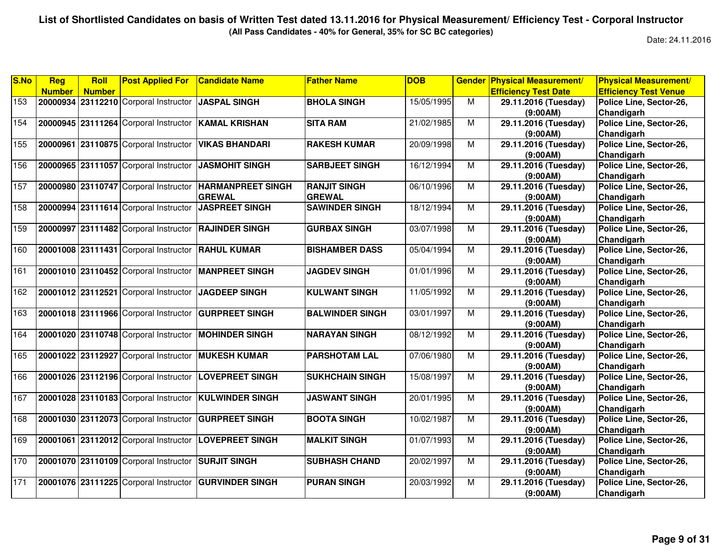**(All Pass Candidates - 40% for General, 35% for SC BC categories)**

| S.No | Reg           | Roll          | <b>Post Applied For</b>               | <b>Candidate Name</b>    | <b>Father Name</b>     | <b>DOB</b> | <b>Gender</b>           | <b>Physical Measurement/</b> | <b>Physical Measurement/</b> |
|------|---------------|---------------|---------------------------------------|--------------------------|------------------------|------------|-------------------------|------------------------------|------------------------------|
|      | <b>Number</b> | <b>Number</b> |                                       |                          |                        |            |                         | <b>Efficiency Test Date</b>  | <b>Efficiency Test Venue</b> |
| 153  |               |               | 20000934 23112210 Corporal Instructor | <b>JASPAL SINGH</b>      | <b>BHOLA SINGH</b>     | 15/05/1995 | M                       | 29.11.2016 (Tuesday)         | Police Line, Sector-26,      |
|      |               |               |                                       |                          |                        |            |                         | (9:00AM)                     | Chandigarh                   |
| 154  |               |               | 20000945 23111264 Corporal Instructor | <b>KAMAL KRISHAN</b>     | <b>SITA RAM</b>        | 21/02/1985 | M                       | 29.11.2016 (Tuesday)         | Police Line, Sector-26,      |
|      |               |               |                                       |                          |                        |            |                         | (9:00AM)                     | Chandigarh                   |
| 155  | 20000961      |               | 23110875 Corporal Instructor          | <b>VIKAS BHANDARI</b>    | <b>RAKESH KUMAR</b>    | 20/09/1998 | M                       | 29.11.2016 (Tuesday)         | Police Line, Sector-26,      |
|      |               |               |                                       |                          |                        |            |                         | (9:00AM)                     | Chandigarh                   |
| 156  |               |               | 20000965 23111057 Corporal Instructor | <b>JASMOHIT SINGH</b>    | <b>SARBJEET SINGH</b>  | 16/12/1994 | $\overline{M}$          | 29.11.2016 (Tuesday)         | Police Line, Sector-26,      |
|      |               |               |                                       |                          |                        |            |                         | (9:00AM)                     | Chandigarh                   |
| 157  |               |               | 20000980 23110747 Corporal Instructor | <b>HARMANPREET SINGH</b> | <b>RANJIT SINGH</b>    | 06/10/1996 | $\overline{\mathsf{M}}$ | 29.11.2016 (Tuesday)         | Police Line, Sector-26,      |
|      |               |               |                                       | <b>GREWAL</b>            | <b>GREWAL</b>          |            |                         | (9:00AM)                     | Chandigarh                   |
| 158  |               |               | 20000994 23111614 Corporal Instructor | <b>JASPREET SINGH</b>    | <b>SAWINDER SINGH</b>  | 18/12/1994 | M                       | 29.11.2016 (Tuesday)         | Police Line, Sector-26,      |
|      |               |               |                                       |                          |                        |            |                         | (9:00AM)                     | Chandigarh                   |
| 159  | 20000997      |               | 23111482 Corporal Instructor          | <b>RAJINDER SINGH</b>    | <b>GURBAX SINGH</b>    | 03/07/1998 | M                       | 29.11.2016 (Tuesday)         | Police Line, Sector-26,      |
|      |               |               |                                       |                          |                        |            |                         | (9:00AM)                     | Chandigarh                   |
| 160  |               |               | 20001008 23111431 Corporal Instructor | <b>RAHUL KUMAR</b>       | <b>BISHAMBER DASS</b>  | 05/04/1994 | M                       | 29.11.2016 (Tuesday)         | Police Line, Sector-26,      |
|      |               |               |                                       |                          |                        |            |                         | (9:00AM)                     | Chandigarh                   |
| 161  |               |               | 20001010 23110452 Corporal Instructor | <b>MANPREET SINGH</b>    | <b>JAGDEV SINGH</b>    | 01/01/1996 | M                       | 29.11.2016 (Tuesday)         | Police Line, Sector-26,      |
|      |               |               |                                       |                          |                        |            |                         | (9:00AM)                     | Chandigarh                   |
| 162  |               |               | 20001012 23112521 Corporal Instructor | <b>JAGDEEP SINGH</b>     | <b>KULWANT SINGH</b>   | 11/05/1992 | M                       | 29.11.2016 (Tuesday)         | Police Line, Sector-26,      |
|      |               |               |                                       |                          |                        |            |                         | (9:00AM)                     | Chandigarh                   |
| 163  |               |               | 20001018 23111966 Corporal Instructor | <b>GURPREET SINGH</b>    | <b>BALWINDER SINGH</b> | 03/01/1997 | $\overline{M}$          | 29.11.2016 (Tuesday)         | Police Line, Sector-26,      |
|      |               |               |                                       |                          |                        |            |                         | (9:00AM)                     | Chandigarh                   |
| 164  |               |               | 20001020 23110748 Corporal Instructor | <b>MOHINDER SINGH</b>    | <b>NARAYAN SINGH</b>   | 08/12/1992 | $\overline{M}$          | 29.11.2016 (Tuesday)         | Police Line, Sector-26,      |
|      |               |               |                                       |                          |                        |            |                         | (9:00AM)                     | Chandigarh                   |
| 165  |               |               | 20001022 23112927 Corporal Instructor | <b>MUKESH KUMAR</b>      | <b>PARSHOTAM LAL</b>   | 07/06/1980 | M                       | 29.11.2016 (Tuesday)         | Police Line, Sector-26,      |
|      |               |               |                                       |                          |                        |            |                         | (9:00AM)                     | Chandigarh                   |
| 166  |               |               | 20001026 23112196 Corporal Instructor | <b>LOVEPREET SINGH</b>   | <b>SUKHCHAIN SINGH</b> | 15/08/1997 | M                       | 29.11.2016 (Tuesday)         | Police Line, Sector-26,      |
|      |               |               |                                       |                          |                        |            |                         | (9:00AM)                     | Chandigarh                   |
| 167  |               |               | 20001028 23110183 Corporal Instructor | <b>KULWINDER SINGH</b>   | <b>JASWANT SINGH</b>   | 20/01/1995 | M                       | 29.11.2016 (Tuesday)         | Police Line, Sector-26,      |
|      |               |               |                                       |                          |                        |            |                         | (9:00AM)                     | Chandigarh                   |
| 168  |               |               | 20001030 23112073 Corporal Instructor | <b>GURPREET SINGH</b>    | <b>BOOTA SINGH</b>     | 10/02/1987 | M                       | 29.11.2016 (Tuesday)         | Police Line, Sector-26,      |
|      |               |               |                                       |                          |                        |            |                         | (9:00AM)                     | Chandigarh                   |
| 169  | 20001061      |               | 23112012 Corporal Instructor          | <b>LOVEPREET SINGH</b>   | <b>MALKIT SINGH</b>    | 01/07/1993 | M                       | 29.11.2016 (Tuesday)         | Police Line, Sector-26,      |
|      |               |               |                                       |                          |                        |            |                         | (9:00AM)                     | Chandigarh                   |
| 170  |               |               | 20001070 23110109 Corporal Instructor | <b>SURJIT SINGH</b>      | <b>SUBHASH CHAND</b>   | 20/02/1997 | M                       | 29.11.2016 (Tuesday)         | Police Line, Sector-26,      |
|      |               |               |                                       |                          |                        |            |                         | (9:00AM)                     | Chandigarh                   |
| 171  |               |               | 20001076 23111225 Corporal Instructor | <b>GURVINDER SINGH</b>   | <b>PURAN SINGH</b>     | 20/03/1992 | $\overline{M}$          | 29.11.2016 (Tuesday)         | Police Line, Sector-26,      |
|      |               |               |                                       |                          |                        |            |                         | (9:00AM)                     | Chandigarh                   |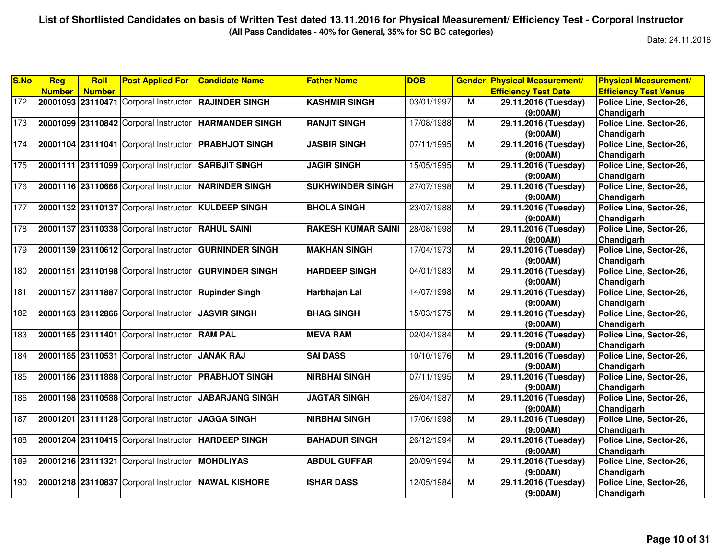**(All Pass Candidates - 40% for General, 35% for SC BC categories)**

| <b>Efficiency Test Date</b><br><b>Efficiency Test Venue</b><br><b>Number</b><br><b>Number</b><br>172<br>20001093 23110471 Corporal Instructor RAJINDER SINGH<br><b>KASHMIR SINGH</b><br>03/01/1997<br>M<br>Police Line, Sector-26,<br>29.11.2016 (Tuesday)<br>Chandigarh<br>(9:00AM)<br>173<br>M<br>20001099 23110842 Corporal Instructor HARMANDER SINGH<br>17/08/1988<br><b>RANJIT SINGH</b><br>29.11.2016 (Tuesday)<br>Police Line, Sector-26,<br>Chandigarh<br>(9:00AM) | Police Line, Sector-26, |
|-----------------------------------------------------------------------------------------------------------------------------------------------------------------------------------------------------------------------------------------------------------------------------------------------------------------------------------------------------------------------------------------------------------------------------------------------------------------------------|-------------------------|
|                                                                                                                                                                                                                                                                                                                                                                                                                                                                             |                         |
|                                                                                                                                                                                                                                                                                                                                                                                                                                                                             |                         |
|                                                                                                                                                                                                                                                                                                                                                                                                                                                                             |                         |
|                                                                                                                                                                                                                                                                                                                                                                                                                                                                             |                         |
|                                                                                                                                                                                                                                                                                                                                                                                                                                                                             |                         |
| 174<br>20001104 23111041 Corporal Instructor<br><b>PRABHJOT SINGH</b><br><b>JASBIR SINGH</b><br>07/11/1995<br>м<br>29.11.2016 (Tuesday)                                                                                                                                                                                                                                                                                                                                     |                         |
| Chandigarh<br>(9:00AM)                                                                                                                                                                                                                                                                                                                                                                                                                                                      |                         |
| 175<br>15/05/1995<br>20001111 23111099 Corporal Instructor<br><b>SARBJIT SINGH</b><br>м<br>Police Line, Sector-26,<br><b>JAGIR SINGH</b><br>29.11.2016 (Tuesday)                                                                                                                                                                                                                                                                                                            |                         |
| Chandigarh<br>(9:00AM)                                                                                                                                                                                                                                                                                                                                                                                                                                                      |                         |
| 176<br>27/07/1998<br>M<br>20001116 23110666 Corporal Instructor NARINDER SINGH<br><b>SUKHWINDER SINGH</b><br>Police Line, Sector-26,<br>29.11.2016 (Tuesday)                                                                                                                                                                                                                                                                                                                |                         |
| Chandigarh<br>(9:00AM)                                                                                                                                                                                                                                                                                                                                                                                                                                                      |                         |
| 177<br>20001132 23110137 Corporal Instructor KULDEEP SINGH<br><b>BHOLA SINGH</b><br>23/07/1988<br>м<br>29.11.2016 (Tuesday)<br>Police Line, Sector-26,                                                                                                                                                                                                                                                                                                                      |                         |
| Chandigarh<br>(9:00AM)                                                                                                                                                                                                                                                                                                                                                                                                                                                      |                         |
| 178<br>20001137 23110338 Corporal Instructor<br><b>RAHUL SAINI</b><br><b>RAKESH KUMAR SAINI</b><br>28/08/1998<br>M<br>29.11.2016 (Tuesday)<br>Police Line, Sector-26,                                                                                                                                                                                                                                                                                                       |                         |
| Chandigarh<br>(9:00AM)                                                                                                                                                                                                                                                                                                                                                                                                                                                      |                         |
| 179<br>20001139 23110612 Corporal Instructor GURNINDER SINGH<br>29.11.2016 (Tuesday)<br>Police Line, Sector-26,<br><b>MAKHAN SINGH</b><br>17/04/1973<br>M                                                                                                                                                                                                                                                                                                                   |                         |
| Chandigarh<br>(9:00AM)                                                                                                                                                                                                                                                                                                                                                                                                                                                      |                         |
| 180<br>20001151 23110198 Corporal Instructor<br><b>GURVINDER SINGH</b><br>M<br>Police Line, Sector-26,<br><b>HARDEEP SINGH</b><br>04/01/1983<br>29.11.2016 (Tuesday)                                                                                                                                                                                                                                                                                                        |                         |
| Chandigarh<br>(9:00AM)                                                                                                                                                                                                                                                                                                                                                                                                                                                      |                         |
| 181<br>20001157 23111887 Corporal Instructor<br>14/07/1998<br>м<br>Police Line, Sector-26,<br><b>Rupinder Singh</b><br>Harbhajan Lal<br>29.11.2016 (Tuesday)                                                                                                                                                                                                                                                                                                                |                         |
| Chandigarh<br>(9:00AM)                                                                                                                                                                                                                                                                                                                                                                                                                                                      |                         |
| 182<br>15/03/1975<br>20001163 23112866 Corporal Instructor<br><b>JASVIR SINGH</b><br><b>BHAG SINGH</b><br>M<br>29.11.2016 (Tuesday)<br>Police Line, Sector-26,                                                                                                                                                                                                                                                                                                              |                         |
| Chandigarh<br>(9:00AM)                                                                                                                                                                                                                                                                                                                                                                                                                                                      |                         |
| 183<br>20001165 23111401 Corporal Instructor RAM PAL<br>02/04/1984<br>M<br><b>MEVA RAM</b><br>29.11.2016 (Tuesday)<br>Police Line, Sector-26,                                                                                                                                                                                                                                                                                                                               |                         |
| Chandigarh<br>(9:00AM)                                                                                                                                                                                                                                                                                                                                                                                                                                                      |                         |
| 184<br>20001185 23110531 Corporal Instructor<br><b>JANAK RAJ</b><br><b>SAI DASS</b><br>10/10/1976<br>M<br>Police Line, Sector-26,<br>29.11.2016 (Tuesday)                                                                                                                                                                                                                                                                                                                   |                         |
| Chandigarh<br>(9:00AM)                                                                                                                                                                                                                                                                                                                                                                                                                                                      |                         |
| 185<br>Police Line, Sector-26,<br>20001186 23111888 Corporal Instructor<br><b>PRABHJOT SINGH</b><br><b>NIRBHAI SINGH</b><br>07/11/1995<br>M<br>29.11.2016 (Tuesday)                                                                                                                                                                                                                                                                                                         |                         |
| Chandigarh<br>(9:00AM)                                                                                                                                                                                                                                                                                                                                                                                                                                                      |                         |
| 186<br>20001198 23110588 Corporal Instructor<br><b>JAGTAR SINGH</b><br>26/04/1987<br>м<br>29.11.2016 (Tuesday)<br>Police Line, Sector-26,<br><b>JABARJANG SINGH</b>                                                                                                                                                                                                                                                                                                         |                         |
| Chandigarh<br>(9:00AM)                                                                                                                                                                                                                                                                                                                                                                                                                                                      |                         |
| 187<br>20001201 23111128 Corporal Instructor<br>JAGGA SINGH<br><b>NIRBHAI SINGH</b><br>17/06/1998<br>M<br>Police Line, Sector-26,<br>29.11.2016 (Tuesday)                                                                                                                                                                                                                                                                                                                   |                         |
| Chandigarh<br>(9:00AM)                                                                                                                                                                                                                                                                                                                                                                                                                                                      |                         |
| 188<br>20001204 23110415 Corporal Instructor<br><b>BAHADUR SINGH</b><br>M<br>Police Line, Sector-26,<br><b>HARDEEP SINGH</b><br>26/12/1994<br>29.11.2016 (Tuesday)                                                                                                                                                                                                                                                                                                          |                         |
| Chandigarh<br>(9:00AM)                                                                                                                                                                                                                                                                                                                                                                                                                                                      |                         |
| 189<br>20001216 23111321 Corporal Instructor MOHDLIYAS<br><b>ABDUL GUFFAR</b><br>20/09/1994<br>M<br>29.11.2016 (Tuesday)<br>Police Line, Sector-26,                                                                                                                                                                                                                                                                                                                         |                         |
| (9:00AM)<br>Chandigarh                                                                                                                                                                                                                                                                                                                                                                                                                                                      |                         |
| 190<br>20001218 23110837 Corporal Instructor NAWAL KISHORE<br><b>ISHAR DASS</b><br>M<br>Police Line, Sector-26,<br>12/05/1984<br>29.11.2016 (Tuesday)                                                                                                                                                                                                                                                                                                                       |                         |
| Chandigarh<br>(9:00AM)                                                                                                                                                                                                                                                                                                                                                                                                                                                      |                         |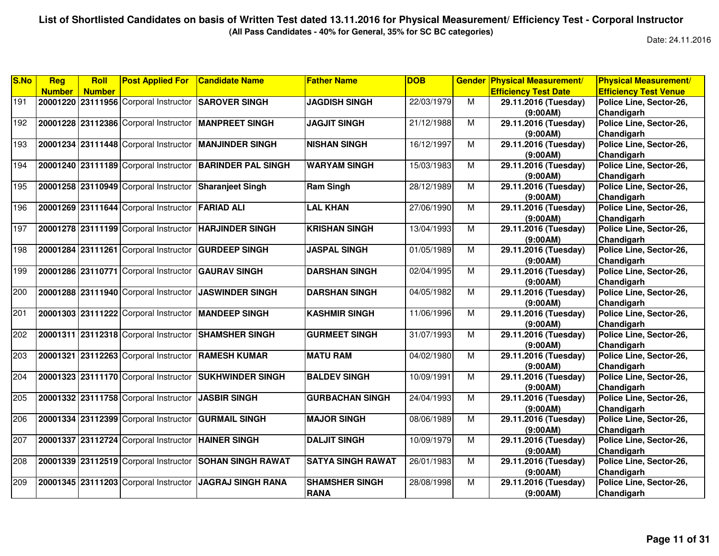**(All Pass Candidates - 40% for General, 35% for SC BC categories)**

| S.No | <b>Reg</b>    | Roll          | <b>Post Applied For</b>                             | <b>Candidate Name</b>                                | <b>Father Name</b>       | <b>DOB</b> |   | <b>Gender Physical Measurement/</b> | <b>Physical Measurement/</b> |
|------|---------------|---------------|-----------------------------------------------------|------------------------------------------------------|--------------------------|------------|---|-------------------------------------|------------------------------|
|      | <b>Number</b> | <b>Number</b> |                                                     |                                                      |                          |            |   | <b>Efficiency Test Date</b>         | <b>Efficiency Test Venue</b> |
| 191  |               |               | 20001220 23111956 Corporal Instructor SAROVER SINGH |                                                      | <b>JAGDISH SINGH</b>     | 22/03/1979 | M | 29.11.2016 (Tuesday)                | Police Line, Sector-26,      |
|      |               |               |                                                     |                                                      |                          |            |   | (9:00AM)                            | Chandigarh                   |
| 192  |               |               |                                                     | 20001228 23112386 Corporal Instructor MANPREET SINGH | <b>JAGJIT SINGH</b>      | 21/12/1988 | M | 29.11.2016 (Tuesday)                | Police Line, Sector-26,      |
|      |               |               |                                                     |                                                      |                          |            |   | (9:00AM)                            | Chandigarh                   |
| 193  |               |               | 20001234 23111448 Corporal Instructor               | <b>MANJINDER SINGH</b>                               | <b>NISHAN SINGH</b>      | 16/12/1997 | м | 29.11.2016 (Tuesday)                | Police Line, Sector-26,      |
|      |               |               |                                                     |                                                      |                          |            |   | (9:00AM)                            | Chandigarh                   |
| 194  |               |               | 20001240 23111189 Corporal Instructor               | <b>BARINDER PAL SINGH</b>                            | <b>WARYAM SINGH</b>      | 15/03/1983 | M | 29.11.2016 (Tuesday)                | Police Line, Sector-26,      |
|      |               |               |                                                     |                                                      |                          |            |   | (9:00AM)                            | Chandigarh                   |
| 195  |               |               | 20001258 23110949 Corporal Instructor               | <b>Sharanjeet Singh</b>                              | <b>Ram Singh</b>         | 28/12/1989 | м | 29.11.2016 (Tuesday)                | Police Line, Sector-26,      |
|      |               |               |                                                     |                                                      |                          |            |   | (9:00AM)                            | Chandigarh                   |
| 196  |               |               | 20001269 23111644 Corporal Instructor FARIAD ALI    |                                                      | <b>LAL KHAN</b>          | 27/06/1990 | м | 29.11.2016 (Tuesday)                | Police Line, Sector-26,      |
|      |               |               |                                                     |                                                      |                          |            |   | (9:00AM)                            | Chandigarh                   |
| 197  |               |               | 20001278 23111199 Corporal Instructor               | <b>HARJINDER SINGH</b>                               | <b>KRISHAN SINGH</b>     | 13/04/1993 | M | 29.11.2016 (Tuesday)                | Police Line, Sector-26,      |
|      |               |               |                                                     |                                                      |                          |            |   | (9:00AM)                            | Chandigarh                   |
| 198  |               |               | 20001284 23111261 Corporal Instructor GURDEEP SINGH |                                                      | <b>JASPAL SINGH</b>      | 01/05/1989 | M | 29.11.2016 (Tuesday)                | Police Line, Sector-26,      |
|      |               |               |                                                     |                                                      |                          |            |   | (9:00AM)                            | Chandigarh                   |
| 199  |               |               | 20001286 23110771 Corporal Instructor               | <b>GAURAV SINGH</b>                                  | <b>DARSHAN SINGH</b>     | 02/04/1995 | M | 29.11.2016 (Tuesday)                | Police Line, Sector-26,      |
|      |               |               |                                                     |                                                      |                          |            |   | (9:00AM)                            | Chandigarh                   |
| 200  |               |               | 20001288 23111940 Corporal Instructor               | <b>JASWINDER SINGH</b>                               | <b>DARSHAN SINGH</b>     | 04/05/1982 | M | 29.11.2016 (Tuesday)                | Police Line, Sector-26,      |
|      |               |               |                                                     |                                                      |                          |            |   | (9:00AM)                            | Chandigarh                   |
| 201  |               |               | 20001303 23111222 Corporal Instructor MANDEEP SINGH |                                                      | <b>KASHMIR SINGH</b>     | 11/06/1996 | M | 29.11.2016 (Tuesday)                | Police Line, Sector-26,      |
|      |               |               |                                                     |                                                      |                          |            |   | (9:00AM)                            | Chandigarh                   |
| 202  |               |               | 20001311 23112318 Corporal Instructor               | <b>SHAMSHER SINGH</b>                                | <b>GURMEET SINGH</b>     | 31/07/1993 | M | 29.11.2016 (Tuesday)                | Police Line, Sector-26,      |
|      |               |               |                                                     |                                                      |                          |            |   | (9:00AM)                            | Chandigarh                   |
| 203  |               |               | 20001321 23112263 Corporal Instructor RAMESH KUMAR  |                                                      | <b>MATU RAM</b>          | 04/02/1980 | M | 29.11.2016 (Tuesday)                | Police Line, Sector-26,      |
|      |               |               |                                                     |                                                      |                          |            |   | (9:00AM)                            | Chandigarh                   |
| 204  |               |               | 20001323 23111170 Corporal Instructor               | <b>SUKHWINDER SINGH</b>                              | <b>BALDEV SINGH</b>      | 10/09/1991 | м | 29.11.2016 (Tuesday)                | Police Line, Sector-26,      |
|      |               |               |                                                     |                                                      |                          |            |   | (9:00AM)                            | Chandigarh                   |
| 205  |               |               | 20001332 23111758 Corporal Instructor JJASBIR SINGH |                                                      | <b>GURBACHAN SINGH</b>   | 24/04/1993 | м | 29.11.2016 (Tuesday)                | Police Line, Sector-26,      |
|      |               |               |                                                     |                                                      |                          |            |   | (9:00AM)                            | Chandigarh                   |
| 206  |               |               | 20001334 23112399 Corporal Instructor               | <b>GURMAIL SINGH</b>                                 | <b>MAJOR SINGH</b>       | 08/06/1989 | M | 29.11.2016 (Tuesday)                | Police Line, Sector-26,      |
|      |               |               |                                                     |                                                      |                          |            |   | (9:00AM)                            | Chandigarh                   |
| 207  | 20001337      |               | 23112724 Corporal Instructor                        | <b>HAINER SINGH</b>                                  | <b>DALJIT SINGH</b>      | 10/09/1979 | M | 29.11.2016 (Tuesday)                | Police Line, Sector-26,      |
|      |               |               |                                                     |                                                      |                          |            |   | (9:00AM)                            | Chandigarh                   |
| 208  |               |               | 20001339 23112519 Corporal Instructor               | <b>SOHAN SINGH RAWAT</b>                             | <b>SATYA SINGH RAWAT</b> | 26/01/1983 | M | 29.11.2016 (Tuesday)                | Police Line, Sector-26,      |
|      |               |               |                                                     |                                                      |                          |            |   | (9:00AM)                            | Chandigarh                   |
| 209  |               |               | 20001345 23111203 Corporal Instructor               | JAGRAJ SINGH RANA                                    | <b>SHAMSHER SINGH</b>    | 28/08/1998 | м | 29.11.2016 (Tuesday)                | Police Line, Sector-26,      |
|      |               |               |                                                     |                                                      | <b>RANA</b>              |            |   | (9:00AM)                            | Chandigarh                   |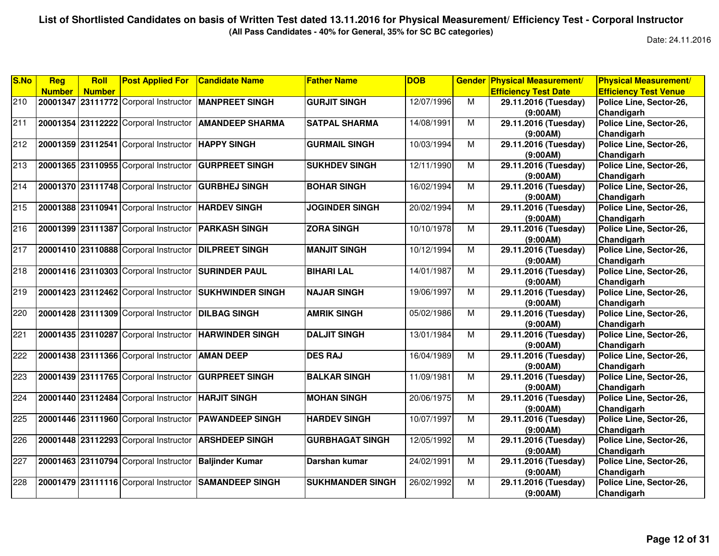**(All Pass Candidates - 40% for General, 35% for SC BC categories)**

| S.No | Reg           | <b>Roll</b>   | <b>Post Applied For</b>                             | <b>Candidate Name</b>                                 | <b>Father Name</b>      | <b>DOB</b> |   | <b>Gender Physical Measurement/</b> | <b>Physical Measurement/</b> |
|------|---------------|---------------|-----------------------------------------------------|-------------------------------------------------------|-------------------------|------------|---|-------------------------------------|------------------------------|
|      | <b>Number</b> | <b>Number</b> |                                                     |                                                       |                         |            |   | <b>Efficiency Test Date</b>         | <b>Efficiency Test Venue</b> |
| 210  |               |               |                                                     | 20001347 23111772 Corporal Instructor MANPREET SINGH  | <b>GURJIT SINGH</b>     | 12/07/1996 | M | 29.11.2016 (Tuesday)                | Police Line, Sector-26,      |
|      |               |               |                                                     |                                                       |                         |            |   | (9:00AM)                            | Chandigarh                   |
| 211  |               |               | 20001354 23112222 Corporal Instructor               | <b>AMANDEEP SHARMA</b>                                | <b>SATPAL SHARMA</b>    | 14/08/1991 | M | 29.11.2016 (Tuesday)                | Police Line, Sector-26,      |
|      |               |               |                                                     |                                                       |                         |            |   | (9:00AM)                            | <b>Chandigarh</b>            |
| 212  |               |               | 20001359 23112541 Corporal Instructor               | <b>HAPPY SINGH</b>                                    | <b>GURMAIL SINGH</b>    | 10/03/1994 | M | 29.11.2016 (Tuesday)                | Police Line, Sector-26,      |
|      |               |               |                                                     |                                                       |                         |            |   | (9:00AM)                            | Chandigarh                   |
| 213  |               |               | 20001365 23110955 Corporal Instructor               | <b>GURPREET SINGH</b>                                 | <b>SUKHDEV SINGH</b>    | 12/11/1990 | M | 29.11.2016 (Tuesday)                | Police Line, Sector-26,      |
|      |               |               |                                                     |                                                       |                         |            |   | (9:00AM)                            | Chandigarh                   |
| 214  |               |               | 20001370 23111748 Corporal Instructor               | <b>GURBHEJ SINGH</b>                                  | <b>BOHAR SINGH</b>      | 16/02/1994 | M | 29.11.2016 (Tuesday)                | Police Line, Sector-26,      |
|      |               |               |                                                     |                                                       |                         |            |   | (9:00AM)                            | Chandigarh                   |
| 215  |               |               | 20001388 23110941 Corporal Instructor HARDEV SINGH  |                                                       | <b>JOGINDER SINGH</b>   | 20/02/1994 | M | 29.11.2016 (Tuesday)                | Police Line, Sector-26,      |
|      |               |               |                                                     |                                                       |                         |            |   | (9:00AM)                            | Chandigarh                   |
| 216  |               |               | 20001399 23111387 Corporal Instructor PARKASH SINGH |                                                       | <b>ZORA SINGH</b>       | 10/10/1978 | M | 29.11.2016 (Tuesday)                | Police Line, Sector-26,      |
|      |               |               |                                                     |                                                       |                         |            |   | (9:00AM)                            | Chandigarh                   |
| 217  |               |               | 20001410 23110888 Corporal Instructor               | <b>DILPREET SINGH</b>                                 | <b>MANJIT SINGH</b>     | 10/12/1994 | M | 29.11.2016 (Tuesday)                | Police Line, Sector-26,      |
|      |               |               |                                                     |                                                       |                         |            |   | (9:00AM)                            | Chandigarh                   |
| 218  |               |               | 20001416 23110303 Corporal Instructor               | <b>SURINDER PAUL</b>                                  | <b>BIHARI LAL</b>       | 14/01/1987 | M | 29.11.2016 (Tuesday)                | Police Line, Sector-26,      |
|      |               |               |                                                     |                                                       |                         |            |   | (9:00AM)                            | Chandigarh                   |
| 219  |               |               | 20001423 23112462 Corporal Instructor               | <b>SUKHWINDER SINGH</b>                               | <b>NAJAR SINGH</b>      | 19/06/1997 | M | 29.11.2016 (Tuesday)                | Police Line, Sector-26,      |
|      |               |               |                                                     |                                                       |                         |            |   | (9:00AM)                            | Chandigarh                   |
| 220  |               |               | 20001428 23111309 Corporal Instructor               | <b>DILBAG SINGH</b>                                   | <b>AMRIK SINGH</b>      | 05/02/1986 | M | 29.11.2016 (Tuesday)                | Police Line, Sector-26,      |
|      |               |               |                                                     |                                                       |                         |            |   | (9:00AM)                            | Chandigarh                   |
| 221  |               |               |                                                     | 20001435 23110287 Corporal Instructor HARWINDER SINGH | <b>DALJIT SINGH</b>     | 13/01/1984 | M | 29.11.2016 (Tuesday)                | Police Line, Sector-26,      |
|      |               |               |                                                     |                                                       |                         |            |   | (9:00AM)                            | Chandigarh                   |
| 222  |               |               | 20001438 23111366 Corporal Instructor               | <b>AMAN DEEP</b>                                      | <b>DES RAJ</b>          | 16/04/1989 | M | 29.11.2016 (Tuesday)                | Police Line, Sector-26,      |
|      |               |               |                                                     |                                                       |                         |            |   | (9:00AM)                            | Chandigarh                   |
| 223  |               |               | 20001439 23111765 Corporal Instructor               | <b>GURPREET SINGH</b>                                 | <b>BALKAR SINGH</b>     | 11/09/1981 | M | 29.11.2016 (Tuesday)                | Police Line, Sector-26,      |
|      |               |               |                                                     |                                                       |                         |            |   | (9:00AM)                            | Chandigarh                   |
| 224  |               |               | 20001440 23112484 Corporal Instructor HARJIT SINGH  |                                                       | <b>MOHAN SINGH</b>      | 20/06/1975 | м | 29.11.2016 (Tuesday)                | Police Line, Sector-26,      |
|      |               |               |                                                     |                                                       |                         |            |   | (9:00AM)                            | Chandigarh                   |
| 225  |               |               |                                                     | 20001446 23111960 Corporal Instructor PAWANDEEP SINGH | <b>HARDEV SINGH</b>     | 10/07/1997 | M | 29.11.2016 (Tuesday)                | Police Line, Sector-26,      |
|      |               |               |                                                     |                                                       |                         |            |   | (9:00AM)                            | Chandigarh                   |
| 226  |               |               | 20001448 23112293 Corporal Instructor               | <b>ARSHDEEP SINGH</b>                                 | <b>GURBHAGAT SINGH</b>  | 12/05/1992 | M | 29.11.2016 (Tuesday)                | Police Line, Sector-26,      |
|      |               |               |                                                     |                                                       |                         |            |   | (9:00AM)                            | Chandigarh                   |
| 227  |               |               | 20001463 23110794 Corporal Instructor               | <b>Baljinder Kumar</b>                                | Darshan kumar           | 24/02/1991 | M | 29.11.2016 (Tuesday)                | Police Line, Sector-26,      |
|      |               |               |                                                     |                                                       |                         |            |   | (9:00AM)                            | Chandigarh                   |
| 228  |               |               | 20001479 23111116 Corporal Instructor               | <b>SAMANDEEP SINGH</b>                                | <b>SUKHMANDER SINGH</b> | 26/02/1992 | м | 29.11.2016 (Tuesday)                | Police Line, Sector-26,      |
|      |               |               |                                                     |                                                       |                         |            |   | (9:00AM)                            | Chandigarh                   |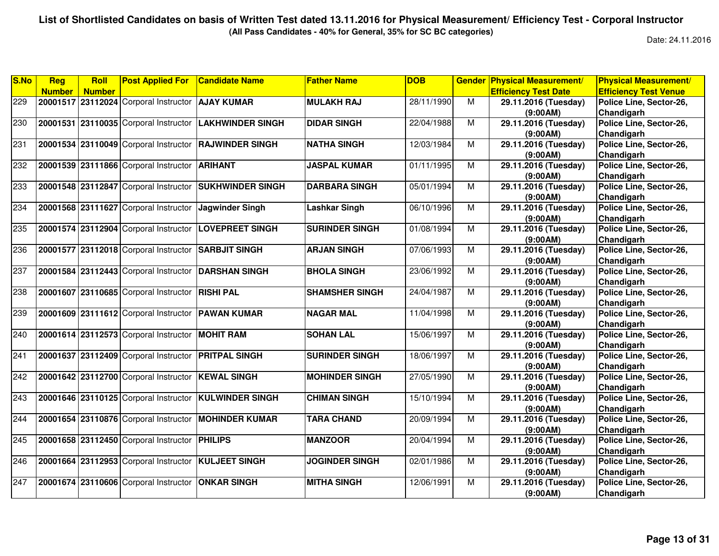**(All Pass Candidates - 40% for General, 35% for SC BC categories)**

| S.No | <b>Reg</b>    | Roll          | <b>Post Applied For</b>                             | <b>Candidate Name</b>                                 | <b>Father Name</b>    | <b>DOB</b> |                | <b>Gender Physical Measurement/</b> | <b>Physical Measurement/</b> |
|------|---------------|---------------|-----------------------------------------------------|-------------------------------------------------------|-----------------------|------------|----------------|-------------------------------------|------------------------------|
|      | <b>Number</b> | <b>Number</b> |                                                     |                                                       |                       |            |                | <b>Efficiency Test Date</b>         | <b>Efficiency Test Venue</b> |
| 229  |               |               | 20001517 23112024 Corporal Instructor               | <b>AJAY KUMAR</b>                                     | <b>MULAKH RAJ</b>     | 28/11/1990 | М              | 29.11.2016 (Tuesday)                | Police Line, Sector-26,      |
|      |               |               |                                                     |                                                       |                       |            |                | (9:00AM)                            | Chandigarh                   |
| 230  |               |               | 20001531 23110035 Corporal Instructor               | <b>LAKHWINDER SINGH</b>                               | <b>DIDAR SINGH</b>    | 22/04/1988 | M              | 29.11.2016 (Tuesday)                | Police Line, Sector-26,      |
|      |               |               |                                                     |                                                       |                       |            |                | (9:00AM)                            | Chandigarh                   |
| 231  |               |               | 20001534 23110049 Corporal Instructor               | <b>RAJWINDER SINGH</b>                                | <b>NATHA SINGH</b>    | 12/03/1984 | M              | 29.11.2016 (Tuesday)                | Police Line, Sector-26,      |
|      |               |               |                                                     |                                                       |                       |            |                | (9:00AM)                            | Chandigarh                   |
| 232  |               |               | 20001539 23111866 Corporal Instructor               | <b>ARIHANT</b>                                        | <b>JASPAL KUMAR</b>   | 01/11/1995 | M              | 29.11.2016 (Tuesday)                | Police Line, Sector-26,      |
|      |               |               |                                                     |                                                       |                       |            |                | (9:00AM)                            | Chandigarh                   |
| 233  |               |               | 20001548 23112847 Corporal Instructor               | <b>SUKHWINDER SINGH</b>                               | <b>DARBARA SINGH</b>  | 05/01/1994 | M              | 29.11.2016 (Tuesday)                | Police Line, Sector-26,      |
|      |               |               |                                                     |                                                       |                       |            |                | (9:00AM)                            | Chandigarh                   |
| 234  |               |               | 20001568 23111627 Corporal Instructor               | Jagwinder Singh                                       | Lashkar Singh         | 06/10/1996 | M              | 29.11.2016 (Tuesday)                | Police Line, Sector-26,      |
|      |               |               |                                                     |                                                       |                       |            |                | (9:00AM)                            | Chandigarh                   |
| 235  |               |               | 20001574 23112904 Corporal Instructor               | <b>LOVEPREET SINGH</b>                                | <b>SURINDER SINGH</b> | 01/08/1994 | M              | 29.11.2016 (Tuesday)                | Police Line, Sector-26,      |
|      |               |               |                                                     |                                                       |                       |            |                | (9:00AM)                            | Chandigarh                   |
| 236  |               |               | 20001577 23112018 Corporal Instructor               | <b>SARBJIT SINGH</b>                                  | <b>ARJAN SINGH</b>    | 07/06/1993 | M              | 29.11.2016 (Tuesday)                | Police Line, Sector-26,      |
|      |               |               |                                                     |                                                       |                       |            |                | (9:00AM)                            | Chandigarh                   |
| 237  |               |               | 20001584 23112443 Corporal Instructor               | <b>DARSHAN SINGH</b>                                  | <b>BHOLA SINGH</b>    | 23/06/1992 | $\overline{M}$ | 29.11.2016 (Tuesday)                | Police Line, Sector-26,      |
|      |               |               |                                                     |                                                       |                       |            |                | (9:00AM)                            | Chandigarh                   |
| 238  | 20001607      |               | 23110685 Corporal Instructor                        | <b>RISHI PAL</b>                                      | <b>SHAMSHER SINGH</b> | 24/04/1987 | M              | 29.11.2016 (Tuesday)                | Police Line, Sector-26,      |
|      |               |               |                                                     |                                                       |                       |            |                | (9:00AM)                            | Chandigarh                   |
| 239  |               |               | 20001609 23111612 Corporal Instructor   PAWAN KUMAR |                                                       | <b>NAGAR MAL</b>      | 11/04/1998 | M              | 29.11.2016 (Tuesday)                | Police Line, Sector-26,      |
|      |               |               |                                                     |                                                       |                       |            |                | (9:00AM)                            | Chandigarh                   |
| 240  |               |               | 20001614 23112573 Corporal Instructor               | <b>MOHIT RAM</b>                                      | <b>SOHAN LAL</b>      | 15/06/1997 | M              | 29.11.2016 (Tuesday)                | Police Line, Sector-26,      |
|      |               |               |                                                     |                                                       |                       |            |                | (9:00AM)                            | Chandigarh                   |
| 241  |               |               | 20001637 23112409 Corporal Instructor PRITPAL SINGH |                                                       | <b>SURINDER SINGH</b> | 18/06/1997 | M              | 29.11.2016 (Tuesday)                | Police Line, Sector-26,      |
|      |               |               |                                                     |                                                       |                       |            |                | (9:00AM)                            | Chandigarh                   |
| 242  |               |               | 20001642 23112700 Corporal Instructor KEWAL SINGH   |                                                       | <b>MOHINDER SINGH</b> | 27/05/1990 | M              | 29.11.2016 (Tuesday)                | Police Line, Sector-26,      |
|      |               |               |                                                     |                                                       |                       |            |                | (9:00AM)                            | Chandigarh                   |
| 243  |               |               |                                                     | 20001646 23110125 Corporal Instructor KULWINDER SINGH | <b>CHIMAN SINGH</b>   | 15/10/1994 | M              | 29.11.2016 (Tuesday)                | Police Line, Sector-26,      |
|      |               |               |                                                     |                                                       |                       |            |                | (9:00AM)                            | Chandigarh                   |
| 244  |               |               | 20001654 23110876 Corporal Instructor               | <b>MOHINDER KUMAR</b>                                 | <b>TARA CHAND</b>     | 20/09/1994 | M              | 29.11.2016 (Tuesday)                | Police Line, Sector-26,      |
|      |               |               |                                                     |                                                       |                       |            |                | (9:00AM)                            | Chandigarh                   |
| 245  |               |               | 20001658 23112450 Corporal Instructor               | <b>PHILIPS</b>                                        | <b>MANZOOR</b>        | 20/04/1994 | M              | 29.11.2016 (Tuesday)                | Police Line, Sector-26,      |
|      |               |               |                                                     |                                                       |                       |            |                | (9:00AM)                            | Chandigarh                   |
| 246  |               |               | 20001664 23112953 Corporal Instructor KULJEET SINGH |                                                       | <b>JOGINDER SINGH</b> | 02/01/1986 | M              | 29.11.2016 (Tuesday)                | Police Line, Sector-26,      |
|      |               |               |                                                     |                                                       |                       |            |                | (9:00AM)                            | Chandigarh                   |
| 247  |               |               | 20001674 23110606 Corporal Instructor               | <b>ONKAR SINGH</b>                                    | <b>MITHA SINGH</b>    | 12/06/1991 | M              | 29.11.2016 (Tuesday)                | Police Line, Sector-26,      |
|      |               |               |                                                     |                                                       |                       |            |                | (9:00AM)                            | Chandigarh                   |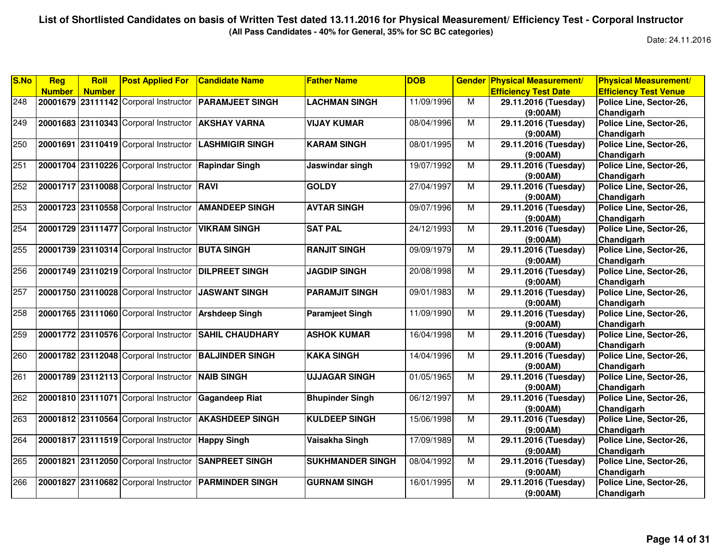**(All Pass Candidates - 40% for General, 35% for SC BC categories)**

| S.No | Reg           | <b>Roll</b>   | <b>Post Applied For</b>                              | <b>Candidate Name</b>                                 | <b>Father Name</b>      | <b>DOB</b> | <b>Gender</b>  | <b>Physical Measurement/</b> | <b>Physical Measurement/</b> |
|------|---------------|---------------|------------------------------------------------------|-------------------------------------------------------|-------------------------|------------|----------------|------------------------------|------------------------------|
|      | <b>Number</b> | <b>Number</b> |                                                      |                                                       |                         |            |                | <b>Efficiency Test Date</b>  | <b>Efficiency Test Venue</b> |
| 248  |               |               |                                                      | 20001679 23111142 Corporal Instructor PARAMJEET SINGH | <b>LACHMAN SINGH</b>    | 11/09/1996 | M              | 29.11.2016 (Tuesday)         | Police Line, Sector-26,      |
|      |               |               |                                                      |                                                       |                         |            |                | (9:00AM)                     | Chandigarh                   |
| 249  |               |               | 20001683 23110343 Corporal Instructor                | <b>AKSHAY VARNA</b>                                   | <b>VIJAY KUMAR</b>      | 08/04/1996 | M              | 29.11.2016 (Tuesday)         | Police Line, Sector-26,      |
|      |               |               |                                                      |                                                       |                         |            |                | (9:00AM)                     | Chandigarh                   |
| 250  | 20001691      |               | 23110419 Corporal Instructor                         | <b>LASHMIGIR SINGH</b>                                | <b>KARAM SINGH</b>      | 08/01/1995 | $\overline{M}$ | 29.11.2016 (Tuesday)         | Police Line, Sector-26,      |
|      |               |               |                                                      |                                                       |                         |            |                | (9:00AM)                     | Chandigarh                   |
| 251  |               |               | 20001704 23110226 Corporal Instructor                | <b>Rapindar Singh</b>                                 | Jaswindar singh         | 19/07/1992 | M              | 29.11.2016 (Tuesday)         | Police Line, Sector-26,      |
|      |               |               |                                                      |                                                       |                         |            |                | (9:00AM)                     | Chandigarh                   |
| 252  |               |               | 20001717 23110088 Corporal Instructor RAVI           |                                                       | <b>GOLDY</b>            | 27/04/1997 | $\overline{M}$ | 29.11.2016 (Tuesday)         | Police Line, Sector-26,      |
|      |               |               |                                                      |                                                       |                         |            |                | (9:00AM)                     | Chandigarh                   |
| 253  |               |               | 20001723 23110558 Corporal Instructor                | <b>AMANDEEP SINGH</b>                                 | <b>AVTAR SINGH</b>      | 09/07/1996 | M              | 29.11.2016 (Tuesday)         | Police Line, Sector-26,      |
|      |               |               |                                                      |                                                       |                         |            |                | (9:00AM)                     | Chandigarh                   |
| 254  |               |               | 20001729 23111477 Corporal Instructor                | <b>VIKRAM SINGH</b>                                   | <b>SAT PAL</b>          | 24/12/1993 | $\overline{M}$ | 29.11.2016 (Tuesday)         | Police Line, Sector-26,      |
|      |               |               |                                                      |                                                       |                         |            |                | (9:00AM)                     | Chandigarh                   |
| 255  |               |               | 20001739 23110314 Corporal Instructor BUTA SINGH     |                                                       | <b>RANJIT SINGH</b>     | 09/09/1979 | M              | 29.11.2016 (Tuesday)         | Police Line, Sector-26,      |
|      |               |               |                                                      |                                                       |                         |            |                | (9:00AM)                     | Chandigarh                   |
| 256  |               |               | 20001749 23110219 Corporal Instructor                | <b>DILPREET SINGH</b>                                 | <b>JAGDIP SINGH</b>     | 20/08/1998 | M              | 29.11.2016 (Tuesday)         | Police Line, Sector-26,      |
|      |               |               |                                                      |                                                       |                         |            |                | (9:00AM)                     | Chandigarh                   |
| 257  |               |               | 20001750 23110028 Corporal Instructor                | <b>JASWANT SINGH</b>                                  | <b>PARAMJIT SINGH</b>   | 09/01/1983 | M              | 29.11.2016 (Tuesday)         | Police Line, Sector-26,      |
|      |               |               |                                                      |                                                       |                         |            |                | (9:00AM)                     | Chandigarh                   |
| 258  |               |               | 20001765 23111060 Corporal Instructor                | <b>Arshdeep Singh</b>                                 | <b>Paramjeet Singh</b>  | 11/09/1990 | M              | 29.11.2016 (Tuesday)         | Police Line, Sector-26,      |
|      |               |               |                                                      |                                                       |                         |            |                | (9:00AM)                     | Chandigarh                   |
| 259  |               |               | 20001772 23110576 Corporal Instructor                | <b>SAHIL CHAUDHARY</b>                                | <b>ASHOK KUMAR</b>      | 16/04/1998 | $\overline{M}$ | 29.11.2016 (Tuesday)         | Police Line, Sector-26,      |
|      |               |               |                                                      |                                                       |                         |            |                | (9:00AM)                     | Chandigarh                   |
| 260  |               |               | 20001782 23112048 Corporal Instructor                | <b>BALJINDER SINGH</b>                                | <b>KAKA SINGH</b>       | 14/04/1996 | M              | 29.11.2016 (Tuesday)         | Police Line, Sector-26,      |
|      |               |               |                                                      |                                                       |                         |            |                | (9:00AM)                     | Chandigarh                   |
| 261  |               |               | 20001789 23112113 Corporal Instructor                | <b>NAIB SINGH</b>                                     | <b>UJJAGAR SINGH</b>    | 01/05/1965 | M              | 29.11.2016 (Tuesday)         | Police Line, Sector-26,      |
|      |               |               |                                                      |                                                       |                         |            |                | (9:00AM)                     | Chandigarh                   |
| 262  |               |               | 20001810 23111071 Corporal Instructor Gagandeep Riat |                                                       | <b>Bhupinder Singh</b>  | 06/12/1997 | M              | 29.11.2016 (Tuesday)         | Police Line, Sector-26,      |
|      |               |               |                                                      |                                                       |                         |            |                | (9:00AM)                     | Chandigarh                   |
| 263  |               |               | 20001812 23110564 Corporal Instructor                | <b>AKASHDEEP SINGH</b>                                | <b>KULDEEP SINGH</b>    | 15/06/1998 | $\overline{M}$ | 29.11.2016 (Tuesday)         | Police Line, Sector-26,      |
|      |               |               |                                                      |                                                       |                         |            |                | (9:00AM)                     | Chandigarh                   |
| 264  |               |               | 20001817 23111519 Corporal Instructor                | <b>Happy Singh</b>                                    | Vaisakha Singh          | 17/09/1989 | M              | 29.11.2016 (Tuesday)         | Police Line, Sector-26,      |
|      |               |               |                                                      |                                                       |                         |            |                | (9:00AM)                     | Chandigarh                   |
| 265  |               |               | 20001821 23112050 Corporal Instructor                | <b>SANPREET SINGH</b>                                 | <b>SUKHMANDER SINGH</b> | 08/04/1992 | M              | 29.11.2016 (Tuesday)         | Police Line, Sector-26,      |
|      |               |               |                                                      |                                                       |                         |            |                | (9:00AM)                     | Chandigarh                   |
| 266  | 20001827      |               | 23110682 Corporal Instructor                         | <b>PARMINDER SINGH</b>                                | <b>GURNAM SINGH</b>     | 16/01/1995 | M              | 29.11.2016 (Tuesday)         | Police Line, Sector-26,      |
|      |               |               |                                                      |                                                       |                         |            |                | (9:00AM)                     | Chandigarh                   |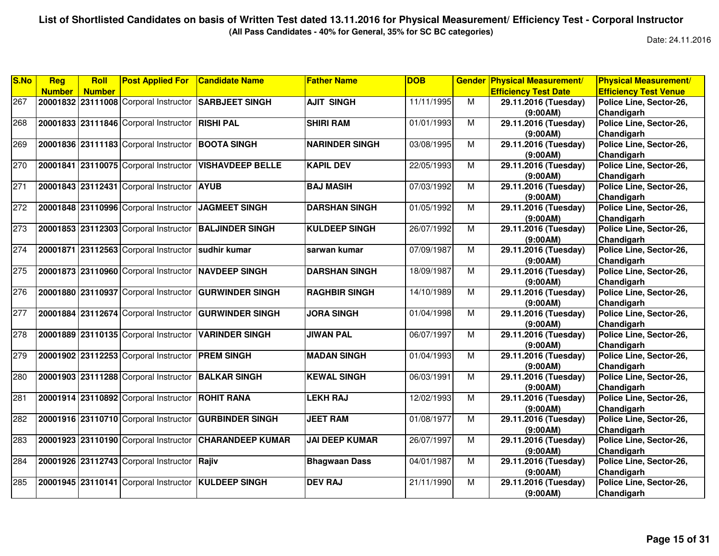**(All Pass Candidates - 40% for General, 35% for SC BC categories)**

| S.No | Reg           | <b>Roll</b>   | <b>Post Applied For</b>                              | <b>Candidate Name</b>   | <b>Father Name</b>    | <b>DOB</b> |   | <b>Gender Physical Measurement/</b> | <b>Physical Measurement/</b> |
|------|---------------|---------------|------------------------------------------------------|-------------------------|-----------------------|------------|---|-------------------------------------|------------------------------|
|      | <b>Number</b> | <b>Number</b> |                                                      |                         |                       |            |   | <b>Efficiency Test Date</b>         | <b>Efficiency Test Venue</b> |
| 267  |               |               | 20001832 23111008 Corporal Instructor SARBJEET SINGH |                         | <b>AJIT SINGH</b>     | 11/11/1995 | M | 29.11.2016 (Tuesday)                | Police Line, Sector-26,      |
|      |               |               |                                                      |                         |                       |            |   | (9:00AM)                            | Chandigarh                   |
| 268  |               |               | 20001833 23111846 Corporal Instructor                | <b>RISHI PAL</b>        | <b>SHIRI RAM</b>      | 01/01/1993 | M | 29.11.2016 (Tuesday)                | Police Line, Sector-26,      |
|      |               |               |                                                      |                         |                       |            |   | (9:00AM)                            | Chandigarh                   |
| 269  |               |               | 20001836 23111183 Corporal Instructor                | <b>BOOTA SINGH</b>      | <b>NARINDER SINGH</b> | 03/08/1995 | M | 29.11.2016 (Tuesday)                | Police Line, Sector-26,      |
|      |               |               |                                                      |                         |                       |            |   | (9:00AM)                            | Chandigarh                   |
| 270  | 20001841      |               | 23110075 Corporal Instructor                         | <b>VISHAVDEEP BELLE</b> | <b>KAPIL DEV</b>      | 22/05/1993 | M | 29.11.2016 (Tuesday)                | Police Line, Sector-26,      |
|      |               |               |                                                      |                         |                       |            |   | (9:00AM)                            | Chandigarh                   |
| 271  |               |               | 20001843 23112431 Corporal Instructor AYUB           |                         | <b>BAJ MASIH</b>      | 07/03/1992 | м | 29.11.2016 (Tuesday)                | Police Line, Sector-26,      |
|      |               |               |                                                      |                         |                       |            |   | (9:00AM)                            | Chandigarh                   |
| 272  |               |               | 20001848 23110996 Corporal Instructor                | <b>JAGMEET SINGH</b>    | <b>DARSHAN SINGH</b>  | 01/05/1992 | M | 29.11.2016 (Tuesday)                | Police Line, Sector-26,      |
|      |               |               |                                                      |                         |                       |            |   | (9:00AM)                            | Chandigarh                   |
| 273  |               |               | 20001853 23112303 Corporal Instructor                | <b>BALJINDER SINGH</b>  | <b>KULDEEP SINGH</b>  | 26/07/1992 | м | 29.11.2016 (Tuesday)                | Police Line, Sector-26,      |
|      |               |               |                                                      |                         |                       |            |   | (9:00AM)                            | Chandigarh                   |
| 274  |               |               | 20001871 23112563 Corporal Instructor sudhir kumar   |                         | sarwan kumar          | 07/09/1987 | M | 29.11.2016 (Tuesday)                | Police Line, Sector-26,      |
|      |               |               |                                                      |                         |                       |            |   | (9:00AM)                            | Chandigarh                   |
| 275  |               |               | 20001873 23110960 Corporal Instructor NAVDEEP SINGH  |                         | <b>DARSHAN SINGH</b>  | 18/09/1987 | M | 29.11.2016 (Tuesday)                | Police Line, Sector-26,      |
|      |               |               |                                                      |                         |                       |            |   | (9:00AM)                            | Chandigarh                   |
| 276  |               |               | 20001880 23110937 Corporal Instructor                | <b>GURWINDER SINGH</b>  | <b>RAGHBIR SINGH</b>  | 14/10/1989 | м | 29.11.2016 (Tuesday)                | Police Line, Sector-26,      |
|      |               |               |                                                      |                         |                       |            |   | (9:00AM)                            | Chandigarh                   |
| 277  |               |               | 20001884 23112674 Corporal Instructor                | <b>GURWINDER SINGH</b>  | <b>JORA SINGH</b>     | 01/04/1998 | M | 29.11.2016 (Tuesday)                | Police Line, Sector-26,      |
|      |               |               |                                                      |                         |                       |            |   | (9:00AM)                            | Chandigarh                   |
| 278  |               |               | 20001889 23110135 Corporal Instructor                | <b>VARINDER SINGH</b>   | <b>JIWAN PAL</b>      | 06/07/1997 | M | 29.11.2016 (Tuesday)                | Police Line, Sector-26,      |
|      |               |               |                                                      |                         |                       |            |   | (9:00AM)                            | Chandigarh                   |
| 279  |               |               | 20001902 23112253 Corporal Instructor PREM SINGH     |                         | <b>MADAN SINGH</b>    | 01/04/1993 | M | 29.11.2016 (Tuesday)                | Police Line, Sector-26,      |
|      |               |               |                                                      |                         |                       |            |   | (9:00AM)                            | Chandigarh                   |
| 280  |               |               | 20001903 23111288 Corporal Instructor                | <b>BALKAR SINGH</b>     | <b>KEWAL SINGH</b>    | 06/03/1991 | M | 29.11.2016 (Tuesday)                | Police Line, Sector-26,      |
|      |               |               |                                                      |                         |                       |            |   | (9:00AM)                            | Chandigarh                   |
| 281  |               |               | 20001914 23110892 Corporal Instructor ROHIT RANA     |                         | <b>LEKH RAJ</b>       | 12/02/1993 | M | 29.11.2016 (Tuesday)                | Police Line, Sector-26,      |
|      |               |               |                                                      |                         |                       |            |   | (9:00AM)                            | Chandigarh                   |
| 282  |               |               | 20001916 23110710 Corporal Instructor                | <b>GURBINDER SINGH</b>  | <b>JEET RAM</b>       | 01/08/1977 | M | 29.11.2016 (Tuesday)                | Police Line, Sector-26,      |
|      |               |               |                                                      |                         |                       |            |   | (9:00AM)                            | Chandigarh                   |
| 283  |               |               | 20001923 23110190 Corporal Instructor                | <b>CHARANDEEP KUMAR</b> | <b>JAI DEEP KUMAR</b> | 26/07/1997 | м | 29.11.2016 (Tuesday)                | Police Line, Sector-26,      |
|      |               |               |                                                      |                         |                       |            |   | (9:00AM)                            | Chandigarh                   |
| 284  |               |               | 20001926 23112743 Corporal Instructor Rajiv          |                         | <b>Bhagwaan Dass</b>  | 04/01/1987 | M | 29.11.2016 (Tuesday)                | Police Line, Sector-26,      |
|      |               |               |                                                      |                         |                       |            |   | (9:00AM)                            | Chandigarh                   |
| 285  |               |               | 20001945 23110141 Corporal Instructor KULDEEP SINGH  |                         | <b>DEV RAJ</b>        | 21/11/1990 | M | 29.11.2016 (Tuesday)                | Police Line, Sector-26,      |
|      |               |               |                                                      |                         |                       |            |   | (9:00AM)                            | Chandigarh                   |
|      |               |               |                                                      |                         |                       |            |   |                                     |                              |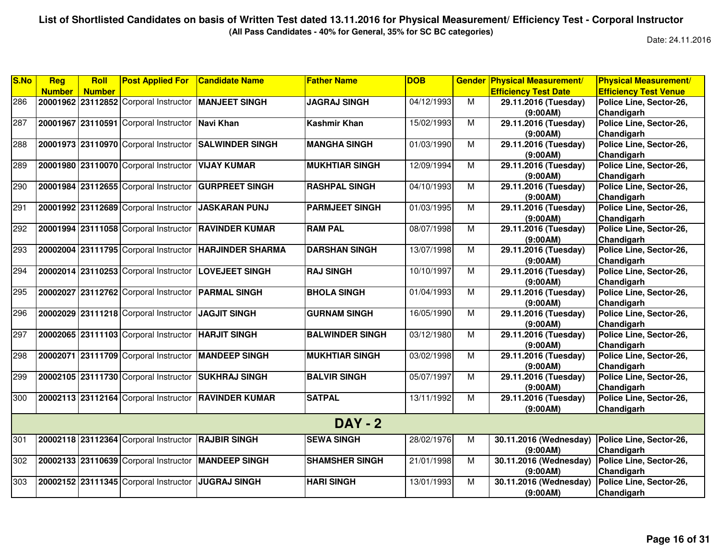**(All Pass Candidates - 40% for General, 35% for SC BC categories)**

| S.No | Reg           | <b>Roll</b>   | <b>Post Applied For</b>                              | <b>Candidate Name</b>                                | <b>Father Name</b>     | <b>DOB</b> |   | <b>Gender Physical Measurement/</b> | <b>Physical Measurement/</b> |
|------|---------------|---------------|------------------------------------------------------|------------------------------------------------------|------------------------|------------|---|-------------------------------------|------------------------------|
|      | <b>Number</b> | <b>Number</b> |                                                      |                                                      |                        |            |   | <b>Efficiency Test Date</b>         | <b>Efficiency Test Venue</b> |
| 286  |               |               | 20001962 23112852 Corporal Instructor MANJEET SINGH  |                                                      | <b>JAGRAJ SINGH</b>    | 04/12/1993 | M | 29.11.2016 (Tuesday)                | Police Line, Sector-26,      |
|      |               |               |                                                      |                                                      |                        |            |   | (9:00AM)                            | Chandigarh                   |
| 287  |               |               | 20001967 23110591 Corporal Instructor                | Navi Khan                                            | <b>Kashmir Khan</b>    | 15/02/1993 | M | 29.11.2016 (Tuesday)                | Police Line, Sector-26,      |
|      |               |               |                                                      |                                                      |                        |            |   | (9:00AM)                            | Chandigarh                   |
| 288  |               |               | 20001973 23110970 Corporal Instructor                | <b>SALWINDER SINGH</b>                               | <b>MANGHA SINGH</b>    | 01/03/1990 | М | 29.11.2016 (Tuesday)                | Police Line, Sector-26,      |
|      |               |               |                                                      |                                                      |                        |            |   | (9:00AM)                            | Chandigarh                   |
| 289  |               |               | 20001980 23110070 Corporal Instructor                | <b>VIJAY KUMAR</b>                                   | <b>MUKHTIAR SINGH</b>  | 12/09/1994 | М | 29.11.2016 (Tuesday)                | Police Line, Sector-26,      |
|      |               |               |                                                      |                                                      |                        |            |   | (9:00AM)                            | Chandigarh                   |
| 290  |               |               |                                                      | 20001984 23112655 Corporal Instructor GURPREET SINGH | <b>RASHPAL SINGH</b>   | 04/10/1993 | M | 29.11.2016 (Tuesday)                | Police Line, Sector-26,      |
|      |               |               |                                                      |                                                      |                        |            |   | (9:00AM)                            | Chandigarh                   |
| 291  |               |               | 20001992 23112689 Corporal Instructor                | <b>JASKARAN PUNJ</b>                                 | <b>PARMJEET SINGH</b>  | 01/03/1995 | M | 29.11.2016 (Tuesday)                | Police Line, Sector-26,      |
|      |               |               |                                                      |                                                      |                        |            |   | (9:00AM)                            | Chandigarh                   |
| 292  |               |               |                                                      | 20001994 23111058 Corporal Instructor RAVINDER KUMAR | <b>RAM PAL</b>         | 08/07/1998 | M | 29.11.2016 (Tuesday)                | Police Line, Sector-26,      |
|      |               |               |                                                      |                                                      |                        |            |   | (9:00AM)                            | Chandigarh                   |
| 293  |               |               | 20002004 23111795 Corporal Instructor                | <b>HARJINDER SHARMA</b>                              | <b>DARSHAN SINGH</b>   | 13/07/1998 | М | 29.11.2016 (Tuesday)                | Police Line, Sector-26,      |
|      |               |               |                                                      |                                                      |                        |            |   | (9:00AM)                            | Chandigarh                   |
| 294  |               |               | 20002014 23110253 Corporal Instructor LOVEJEET SINGH |                                                      | <b>RAJ SINGH</b>       | 10/10/1997 | M | 29.11.2016 (Tuesday)                | Police Line, Sector-26,      |
|      |               |               |                                                      |                                                      |                        |            |   | (9:00AM)                            | Chandigarh                   |
| 295  |               |               | 20002027 23112762 Corporal Instructor                | <b>PARMAL SINGH</b>                                  | <b>BHOLA SINGH</b>     | 01/04/1993 | M | 29.11.2016 (Tuesday)                | Police Line, Sector-26,      |
|      |               |               |                                                      |                                                      |                        |            |   | (9:00AM)                            | Chandigarh                   |
| 296  |               |               | 20002029 23111218 Corporal Instructor                | <b>JAGJIT SINGH</b>                                  | <b>GURNAM SINGH</b>    | 16/05/1990 | М | 29.11.2016 (Tuesday)                | Police Line, Sector-26,      |
|      |               |               |                                                      |                                                      |                        |            |   | (9:00AM)                            | Chandigarh                   |
| 297  |               |               | 20002065 23111103 Corporal Instructor                | <b>HARJIT SINGH</b>                                  | <b>BALWINDER SINGH</b> | 03/12/1980 | M | 29.11.2016 (Tuesday)                | Police Line, Sector-26,      |
|      |               |               |                                                      |                                                      |                        |            |   | (9:00AM)                            | Chandigarh                   |
| 298  |               |               | 20002071 23111709 Corporal Instructor                | <b>IMANDEEP SINGH</b>                                | <b>MUKHTIAR SINGH</b>  | 03/02/1998 | M | 29.11.2016 (Tuesday)                | Police Line, Sector-26,      |
|      |               |               |                                                      |                                                      |                        |            |   | (9:00AM)                            | Chandigarh                   |
| 299  |               |               | 20002105 23111730 Corporal Instructor                | <b>SUKHRAJ SINGH</b>                                 | <b>BALVIR SINGH</b>    | 05/07/1997 | M | 29.11.2016 (Tuesday)                | Police Line, Sector-26,      |
|      |               |               |                                                      |                                                      |                        |            |   | (9:00AM)                            | Chandigarh                   |
| 300  |               |               |                                                      | 20002113 23112164 Corporal Instructor RAVINDER KUMAR | <b>SATPAL</b>          | 13/11/1992 | M | 29.11.2016 (Tuesday)                | Police Line, Sector-26,      |
|      |               |               |                                                      |                                                      |                        |            |   | (9:00AM)                            | Chandigarh                   |
|      |               |               |                                                      |                                                      | $DAY - 2$              |            |   |                                     |                              |
|      |               |               |                                                      |                                                      |                        |            |   |                                     |                              |
| 301  |               |               | 20002118 23112364 Corporal Instructor RAJBIR SINGH   |                                                      | <b>SEWA SINGH</b>      | 28/02/1976 | M | 30.11.2016 (Wednesday)              | Police Line, Sector-26,      |
|      |               |               |                                                      |                                                      |                        |            |   | (9:00AM)                            | Chandigarh                   |
| 302  |               |               | 20002133 23110639 Corporal Instructor                | <b>MANDEEP SINGH</b>                                 | <b>SHAMSHER SINGH</b>  | 21/01/1998 | M | 30.11.2016 (Wednesday)              | Police Line, Sector-26,      |
|      |               |               |                                                      |                                                      |                        |            |   | (9:00AM)                            | Chandigarh                   |
| 303  |               |               | 20002152 23111345 Corporal Instructor                | <b>JUGRAJ SINGH</b>                                  | <b>HARI SINGH</b>      | 13/01/1993 | M | 30.11.2016 (Wednesday)              | Police Line, Sector-26,      |
|      |               |               |                                                      |                                                      |                        |            |   | (9:00AM)                            | Chandigarh                   |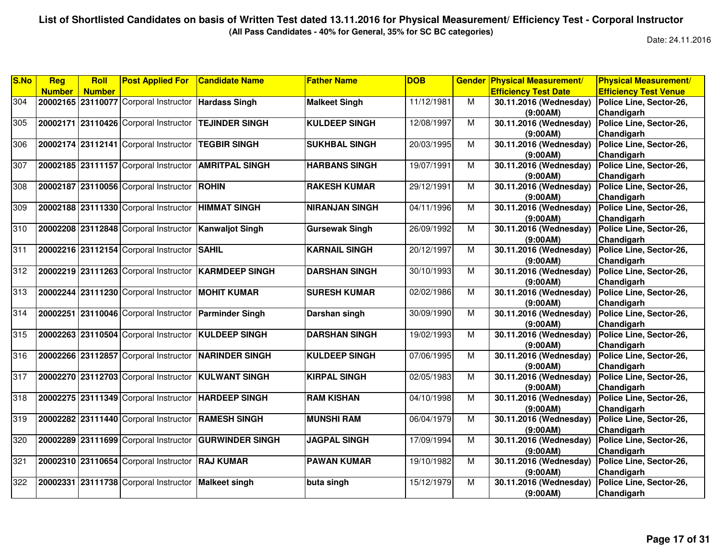**(All Pass Candidates - 40% for General, 35% for SC BC categories)**

| S.No | Reg           | <b>Roll</b>   | <b>Post Applied For</b>                               | <b>Candidate Name</b>                                | <b>Father Name</b>    | <b>DOB</b> | <b>Gender</b>  | <b>Physical Measurement/</b> | <b>Physical Measurement/</b> |
|------|---------------|---------------|-------------------------------------------------------|------------------------------------------------------|-----------------------|------------|----------------|------------------------------|------------------------------|
|      | <b>Number</b> | <b>Number</b> |                                                       |                                                      |                       |            |                | <b>Efficiency Test Date</b>  | <b>Efficiency Test Venue</b> |
| 304  |               |               | 20002165 23110077 Corporal Instructor Hardass Singh   |                                                      | <b>Malkeet Singh</b>  | 11/12/1981 | M              | 30.11.2016 (Wednesday)       | Police Line, Sector-26,      |
|      |               |               |                                                       |                                                      |                       |            |                | (9:00AM)                     | Chandigarh                   |
| 305  |               |               | 20002171 23110426 Corporal Instructor                 | <b>ITEJINDER SINGH</b>                               | <b>KULDEEP SINGH</b>  | 12/08/1997 | M              | 30.11.2016 (Wednesday)       | Police Line, Sector-26,      |
|      |               |               |                                                       |                                                      |                       |            |                | (9:00AM)                     | Chandigarh                   |
| 306  |               |               | 20002174 23112141 Corporal Instructor                 | <b>TEGBIR SINGH</b>                                  | <b>SUKHBAL SINGH</b>  | 20/03/1995 | M              | 30.11.2016 (Wednesday)       | Police Line, Sector-26,      |
|      |               |               |                                                       |                                                      |                       |            |                | (9:00AM)                     | Chandigarh                   |
| 307  |               |               | 20002185 23111157 Corporal Instructor                 | <b>AMRITPAL SINGH</b>                                | <b>HARBANS SINGH</b>  | 19/07/1991 | M              | 30.11.2016 (Wednesday)       | Police Line, Sector-26,      |
|      |               |               |                                                       |                                                      |                       |            |                | (9:00AM)                     | Chandigarh                   |
| 308  |               |               | 20002187 23110056 Corporal Instructor ROHIN           |                                                      | <b>RAKESH KUMAR</b>   | 29/12/1991 | M              | 30.11.2016 (Wednesday)       | Police Line, Sector-26,      |
|      |               |               |                                                       |                                                      |                       |            |                | (9:00AM)                     | Chandigarh                   |
| 309  |               |               | 20002188 23111330 Corporal Instructor                 | <b>HIMMAT SINGH</b>                                  | <b>NIRANJAN SINGH</b> | 04/11/1996 | $\overline{M}$ | 30.11.2016 (Wednesday)       | Police Line, Sector-26,      |
|      |               |               |                                                       |                                                      |                       |            |                | (9:00AM)                     | Chandigarh                   |
| 310  |               |               | 20002208 23112848 Corporal Instructor                 | <b>Kanwaljot Singh</b>                               | <b>Gursewak Singh</b> | 26/09/1992 | M              | 30.11.2016 (Wednesday)       | Police Line, Sector-26,      |
|      |               |               |                                                       |                                                      |                       |            |                | (9:00AM)                     | Chandigarh                   |
| 311  |               |               | 20002216 23112154 Corporal Instructor                 | <b>SAHIL</b>                                         | <b>KARNAIL SINGH</b>  | 20/12/1997 | M              | 30.11.2016 (Wednesday)       | Police Line, Sector-26,      |
|      |               |               |                                                       |                                                      |                       |            |                | (9:00AM)                     | Chandigarh                   |
| 312  |               |               |                                                       | 20002219 23111263 Corporal Instructor KARMDEEP SINGH | <b>DARSHAN SINGH</b>  | 30/10/1993 | M              | 30.11.2016 (Wednesday)       | Police Line, Sector-26,      |
|      |               |               |                                                       |                                                      |                       |            |                | (9:00AM)                     | Chandigarh                   |
| 313  |               |               | 20002244 23111230 Corporal Instructor                 | <b>MOHIT KUMAR</b>                                   | <b>SURESH KUMAR</b>   | 02/02/1986 | M              | 30.11.2016 (Wednesday)       | Police Line, Sector-26,      |
|      |               |               |                                                       |                                                      |                       |            |                | (9:00AM)                     | Chandigarh                   |
| 314  |               |               | 20002251 23110046 Corporal Instructor Parminder Singh |                                                      | Darshan singh         | 30/09/1990 | M              | 30.11.2016 (Wednesday)       | Police Line, Sector-26,      |
|      |               |               |                                                       |                                                      |                       |            |                | (9:00AM)                     | Chandigarh                   |
| 315  |               |               | 20002263 23110504 Corporal Instructor KULDEEP SINGH   |                                                      | <b>DARSHAN SINGH</b>  | 19/02/1993 | M              | 30.11.2016 (Wednesday)       | Police Line, Sector-26,      |
|      |               |               |                                                       |                                                      |                       |            |                | (9:00AM)                     | Chandigarh                   |
| 316  |               |               | 20002266 23112857 Corporal Instructor NARINDER SINGH  |                                                      | <b>KULDEEP SINGH</b>  | 07/06/1995 | M              | 30.11.2016 (Wednesday)       | Police Line, Sector-26,      |
|      |               |               |                                                       |                                                      |                       |            |                | (9:00AM)                     | Chandigarh                   |
| 317  |               |               | 20002270 23112703 Corporal Instructor KULWANT SINGH   |                                                      | <b>KIRPAL SINGH</b>   | 02/05/1983 | M              | 30.11.2016 (Wednesday)       | Police Line, Sector-26,      |
|      |               |               |                                                       |                                                      |                       |            |                | (9:00AM)                     | Chandigarh                   |
| 318  |               |               | 20002275 23111349 Corporal Instructor   HARDEEP SINGH |                                                      | <b>RAM KISHAN</b>     | 04/10/1998 | M              | 30.11.2016 (Wednesday)       | Police Line, Sector-26,      |
|      |               |               |                                                       |                                                      |                       |            |                | (9:00AM)                     | Chandigarh                   |
| 319  |               |               | 20002282 23111440 Corporal Instructor RAMESH SINGH    |                                                      | <b>MUNSHI RAM</b>     | 06/04/1979 | M              | 30.11.2016 (Wednesday)       | Police Line, Sector-26,      |
|      |               |               |                                                       |                                                      |                       |            |                | (9:00AM)                     | Chandigarh                   |
| 320  |               |               | 20002289 23111699 Corporal Instructor                 | <b>GURWINDER SINGH</b>                               | <b>JAGPAL SINGH</b>   | 17/09/1994 | M              | 30.11.2016 (Wednesday)       | Police Line, Sector-26,      |
|      |               |               |                                                       |                                                      |                       |            |                | (9:00AM)                     | Chandigarh                   |
| 321  |               |               | 20002310 23110654 Corporal Instructor                 | <b>RAJ KUMAR</b>                                     | <b>PAWAN KUMAR</b>    | 19/10/1982 | M              | 30.11.2016 (Wednesday)       | Police Line, Sector-26,      |
|      |               |               |                                                       |                                                      |                       |            |                | (9:00AM)                     | Chandigarh                   |
| 322  |               |               | 20002331 23111738 Corporal Instructor Malkeet singh   |                                                      | buta singh            | 15/12/1979 | $\overline{M}$ | 30.11.2016 (Wednesday)       | Police Line, Sector-26,      |
|      |               |               |                                                       |                                                      |                       |            |                | (9:00AM)                     | Chandigarh                   |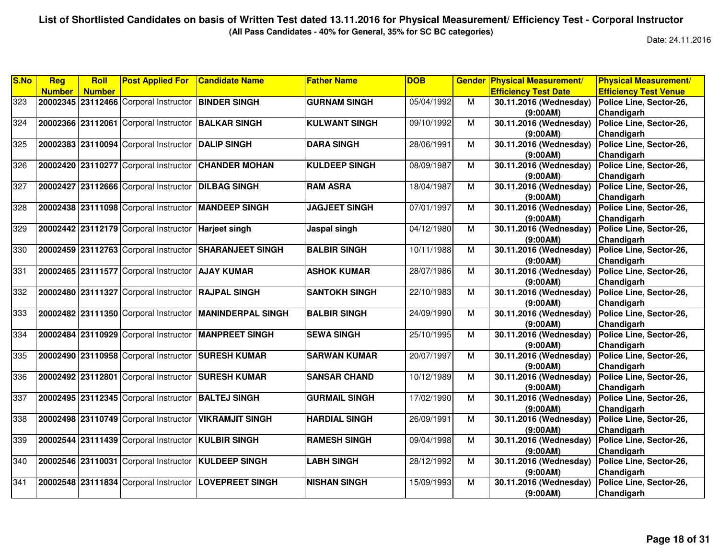**(All Pass Candidates - 40% for General, 35% for SC BC categories)**

| S.No | Reg           | <b>Roll</b>   | <b>Post Applied For</b>                             | <b>Candidate Name</b>                                   | <b>Father Name</b>   | <b>DOB</b> | <b>Gender</b>  | <b>Physical Measurement/</b> | <b>Physical Measurement/</b> |
|------|---------------|---------------|-----------------------------------------------------|---------------------------------------------------------|----------------------|------------|----------------|------------------------------|------------------------------|
|      | <b>Number</b> | <b>Number</b> |                                                     |                                                         |                      |            |                | <b>Efficiency Test Date</b>  | <b>Efficiency Test Venue</b> |
| 323  |               |               | 20002345 23112466 Corporal Instructor BINDER SINGH  |                                                         | <b>GURNAM SINGH</b>  | 05/04/1992 | M              | 30.11.2016 (Wednesday)       | Police Line, Sector-26,      |
|      |               |               |                                                     |                                                         |                      |            |                | (9:00AM)                     | Chandigarh                   |
| 324  |               |               | 20002366 23112061 Corporal Instructor BALKAR SINGH  |                                                         | <b>KULWANT SINGH</b> | 09/10/1992 | M              | 30.11.2016 (Wednesday)       | Police Line, Sector-26,      |
|      |               |               |                                                     |                                                         |                      |            |                | (9:00AM)                     | Chandigarh                   |
| 325  |               |               | 20002383 23110094 Corporal Instructor               | <b>DALIP SINGH</b>                                      | <b>DARA SINGH</b>    | 28/06/1991 | M              | 30.11.2016 (Wednesday)       | Police Line, Sector-26,      |
|      |               |               |                                                     |                                                         |                      |            |                | (9:00AM)                     | Chandigarh                   |
| 326  |               |               | 20002420 23110277 Corporal Instructor               | <b>CHANDER MOHAN</b>                                    | <b>KULDEEP SINGH</b> | 08/09/1987 | M              | 30.11.2016 (Wednesday)       | Police Line, Sector-26,      |
|      |               |               |                                                     |                                                         |                      |            |                | (9:00AM)                     | Chandigarh                   |
| 327  |               |               | 20002427 23112666 Corporal Instructor               | <b>IDILBAG SINGH</b>                                    | <b>RAM ASRA</b>      | 18/04/1987 | M              | 30.11.2016 (Wednesday)       | Police Line, Sector-26,      |
|      |               |               |                                                     |                                                         |                      |            |                | (9:00AM)                     | Chandigarh                   |
| 328  |               |               | 20002438 23111098 Corporal Instructor MANDEEP SINGH |                                                         | <b>JAGJEET SINGH</b> | 07/01/1997 | $\overline{M}$ | 30.11.2016 (Wednesday)       | Police Line, Sector-26,      |
|      |               |               |                                                     |                                                         |                      |            |                | (9:00AM)                     | Chandigarh                   |
| 329  |               |               | 20002442 23112179 Corporal Instructor               | <b>Harjeet singh</b>                                    | Jaspal singh         | 04/12/1980 | M              | 30.11.2016 (Wednesday)       | Police Line, Sector-26,      |
|      |               |               |                                                     |                                                         |                      |            |                | (9:00AM)                     | Chandigarh                   |
| 330  |               |               | 20002459 23112763 Corporal Instructor               | <b>SHARANJEET SINGH</b>                                 | <b>BALBIR SINGH</b>  | 10/11/1988 | M              | 30.11.2016 (Wednesday)       | Police Line, Sector-26,      |
|      |               |               |                                                     |                                                         |                      |            |                | (9:00AM)                     | Chandigarh                   |
| 331  |               |               | 20002465 23111577 Corporal Instructor   AJAY KUMAR  |                                                         | <b>ASHOK KUMAR</b>   | 28/07/1986 | M              | 30.11.2016 (Wednesday)       | Police Line, Sector-26,      |
|      |               |               |                                                     |                                                         |                      |            |                | (9:00AM)                     | Chandigarh                   |
| 332  |               |               | 20002480 23111327 Corporal Instructor               | <b>RAJPAL SINGH</b>                                     | <b>SANTOKH SINGH</b> | 22/10/1983 | M              | 30.11.2016 (Wednesday)       | Police Line, Sector-26,      |
|      |               |               |                                                     |                                                         |                      |            |                | (9:00AM)                     | Chandigarh                   |
| 333  |               |               |                                                     | 20002482 23111350 Corporal Instructor MANINDERPAL SINGH | <b>BALBIR SINGH</b>  | 24/09/1990 | M              | 30.11.2016 (Wednesday)       | Police Line, Sector-26,      |
|      |               |               |                                                     |                                                         |                      |            |                | (9:00AM)                     | Chandigarh                   |
| 334  |               |               |                                                     | 20002484 23110929 Corporal Instructor MANPREET SINGH    | <b>SEWA SINGH</b>    | 25/10/1995 | $\overline{M}$ | 30.11.2016 (Wednesday)       | Police Line, Sector-26,      |
|      |               |               |                                                     |                                                         |                      |            |                | (9:00AM)                     | Chandigarh                   |
| 335  |               |               | 20002490 23110958 Corporal Instructor SURESH KUMAR  |                                                         | <b>SARWAN KUMAR</b>  | 20/07/1997 | M              | 30.11.2016 (Wednesday)       | Police Line, Sector-26,      |
|      |               |               |                                                     |                                                         |                      |            |                | (9:00AM)                     | Chandigarh                   |
| 336  |               |               | 20002492 23112801 Corporal Instructor               | <b>SURESH KUMAR</b>                                     | <b>SANSAR CHAND</b>  | 10/12/1989 | M              | 30.11.2016 (Wednesday)       | Police Line, Sector-26,      |
|      |               |               |                                                     |                                                         |                      |            |                | (9:00AM)                     | Chandigarh                   |
| 337  |               |               | 20002495 23112345 Corporal Instructor BALTEJ SINGH  |                                                         | <b>GURMAIL SINGH</b> | 17/02/1990 | M              | 30.11.2016 (Wednesday)       | Police Line, Sector-26,      |
|      |               |               |                                                     |                                                         |                      |            |                | (9:00AM)                     | Chandigarh                   |
| 338  |               |               | 20002498 23110749 Corporal Instructor               | <b>VIKRAMJIT SINGH</b>                                  | <b>HARDIAL SINGH</b> | 26/09/1991 | M              | 30.11.2016 (Wednesday)       | Police Line, Sector-26,      |
|      |               |               |                                                     |                                                         |                      |            |                | (9:00AM)                     | Chandigarh                   |
| 339  |               |               | 20002544 23111439 Corporal Instructor               | <b>KULBIR SINGH</b>                                     | <b>RAMESH SINGH</b>  | 09/04/1998 | M              | 30.11.2016 (Wednesday)       | Police Line, Sector-26,      |
|      |               |               |                                                     |                                                         |                      |            |                | (9:00AM)                     | Chandigarh                   |
| 340  |               |               | 20002546 23110031 Corporal Instructor KULDEEP SINGH |                                                         | <b>LABH SINGH</b>    | 28/12/1992 | M              | 30.11.2016 (Wednesday)       | Police Line, Sector-26,      |
|      |               |               |                                                     |                                                         |                      |            |                | (9:00AM)                     | Chandigarh                   |
| 341  |               |               |                                                     | 20002548 23111834 Corporal Instructor LOVEPREET SINGH   | <b>NISHAN SINGH</b>  | 15/09/1993 | $\overline{M}$ | 30.11.2016 (Wednesday)       | Police Line, Sector-26,      |
|      |               |               |                                                     |                                                         |                      |            |                | (9:00AM)                     | Chandigarh                   |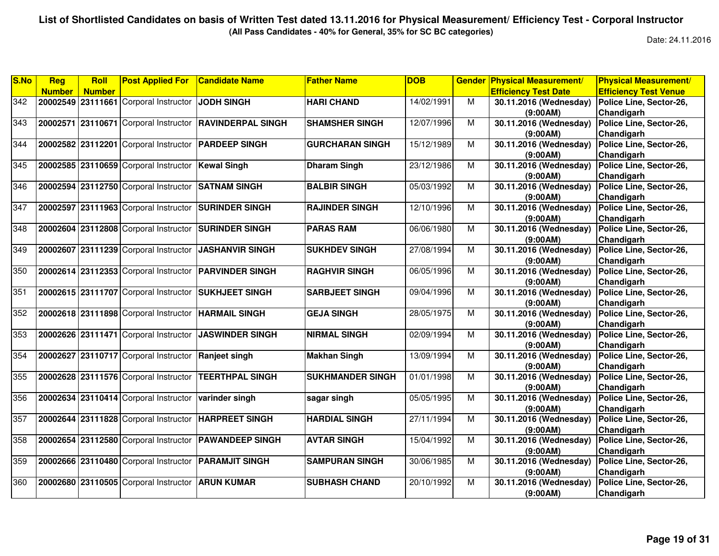**(All Pass Candidates - 40% for General, 35% for SC BC categories)**

| S.No | <b>Reg</b>    | <b>Roll</b>   | <b>Post Applied For</b>                              | <b>Candidate Name</b>    | <b>Father Name</b>      | <b>DOB</b> | <b>Gender</b>  | <b>Physical Measurement/</b> | <b>Physical Measurement/</b> |
|------|---------------|---------------|------------------------------------------------------|--------------------------|-------------------------|------------|----------------|------------------------------|------------------------------|
|      | <b>Number</b> | <b>Number</b> |                                                      |                          |                         |            |                | <b>Efficiency Test Date</b>  | <b>Efficiency Test Venue</b> |
| 342  |               |               | 20002549 23111661 Corporal Instructor                | JODH SINGH               | <b>HARI CHAND</b>       | 14/02/1991 | M              | 30.11.2016 (Wednesday)       | Police Line, Sector-26,      |
|      |               |               |                                                      |                          |                         |            |                | (9:00AM)                     | Chandigarh                   |
| 343  |               |               | 20002571 23110671 Corporal Instructor                | <b>RAVINDERPAL SINGH</b> | <b>SHAMSHER SINGH</b>   | 12/07/1996 | М              | 30.11.2016 (Wednesday)       | Police Line, Sector-26,      |
|      |               |               |                                                      |                          |                         |            |                | (9:00AM)                     | Chandigarh                   |
| 344  |               |               | 20002582 23112201 Corporal Instructor                | <b>PARDEEP SINGH</b>     | <b>GURCHARAN SINGH</b>  | 15/12/1989 | M              | 30.11.2016 (Wednesday)       | Police Line, Sector-26,      |
|      |               |               |                                                      |                          |                         |            |                | (9:00AM)                     | Chandigarh                   |
| 345  |               |               | 20002585 23110659 Corporal Instructor                | <b>Kewal Singh</b>       | <b>Dharam Singh</b>     | 23/12/1986 | M              | 30.11.2016 (Wednesday)       | Police Line, Sector-26,      |
|      |               |               |                                                      |                          |                         |            |                | (9:00AM)                     | Chandigarh                   |
| 346  |               |               | 20002594 23112750 Corporal Instructor                | <b>SATNAM SINGH</b>      | <b>BALBIR SINGH</b>     | 05/03/1992 | M              | 30.11.2016 (Wednesday)       | Police Line, Sector-26,      |
|      |               |               |                                                      |                          |                         |            |                | (9:00AM)                     | Chandigarh                   |
| 347  |               |               | 20002597 23111963 Corporal Instructor                | <b>SURINDER SINGH</b>    | <b>RAJINDER SINGH</b>   | 12/10/1996 | M              | 30.11.2016 (Wednesday)       | Police Line, Sector-26,      |
|      |               |               |                                                      |                          |                         |            |                | (9:00AM)                     | Chandigarh                   |
| 348  |               |               | 20002604 23112808 Corporal Instructor                | <b>SURINDER SINGH</b>    | <b>PARAS RAM</b>        | 06/06/1980 | M              | 30.11.2016 (Wednesday)       | Police Line, Sector-26,      |
|      |               |               |                                                      |                          |                         |            |                | (9:00AM)                     | Chandigarh                   |
| 349  |               |               | 20002607 23111239 Corporal Instructor                | <b>JASHANVIR SINGH</b>   | <b>SUKHDEV SINGH</b>    | 27/08/1994 | M              | 30.11.2016 (Wednesday)       | Police Line, Sector-26,      |
|      |               |               |                                                      |                          |                         |            |                | (9:00AM)                     | Chandigarh                   |
| 350  |               |               | 20002614 23112353 Corporal Instructor                | <b>PARVINDER SINGH</b>   | <b>RAGHVIR SINGH</b>    | 06/05/1996 | M              | 30.11.2016 (Wednesday)       | Police Line, Sector-26,      |
|      |               |               |                                                      |                          |                         |            |                | (9:00AM)                     | Chandigarh                   |
| 351  |               |               | 20002615 23111707 Corporal Instructor                | <b>SUKHJEET SINGH</b>    | <b>SARBJEET SINGH</b>   | 09/04/1996 | M              | 30.11.2016 (Wednesday)       | Police Line, Sector-26,      |
|      |               |               |                                                      |                          |                         |            |                | (9:00AM)                     | Chandigarh                   |
| 352  |               |               | 20002618 23111898 Corporal Instructor                | <b>HARMAIL SINGH</b>     | <b>GEJA SINGH</b>       | 28/05/1975 | M              | 30.11.2016 (Wednesday)       | Police Line, Sector-26,      |
|      |               |               |                                                      |                          |                         |            |                | (9:00AM)                     | Chandigarh                   |
| 353  |               |               | 20002626 23111471 Corporal Instructor                | <b>JASWINDER SINGH</b>   | <b>NIRMAL SINGH</b>     | 02/09/1994 | $\overline{M}$ | 30.11.2016 (Wednesday)       | Police Line, Sector-26,      |
|      |               |               |                                                      |                          |                         |            |                | (9:00AM)                     | Chandigarh                   |
| 354  |               |               | 20002627 23110717 Corporal Instructor                | <b>Ranjeet singh</b>     | <b>Makhan Singh</b>     | 13/09/1994 | M              | 30.11.2016 (Wednesday)       | Police Line, Sector-26,      |
|      |               |               |                                                      |                          |                         |            |                | (9:00AM)                     | Chandigarh                   |
| 355  |               |               | 20002628 23111576 Corporal Instructor                | <b>TEERTHPAL SINGH</b>   | <b>SUKHMANDER SINGH</b> | 01/01/1998 | M              | 30.11.2016 (Wednesday)       | Police Line, Sector-26,      |
|      |               |               |                                                      |                          |                         |            |                | (9:00AM)                     | Chandigarh                   |
| 356  |               |               | 20002634 23110414 Corporal Instructor varinder singh |                          | sagar singh             | 05/05/1995 | M              | 30.11.2016 (Wednesday)       | Police Line, Sector-26,      |
|      |               |               |                                                      |                          |                         |            |                | (9:00AM)                     | Chandigarh                   |
| 357  |               |               | 20002644 23111828 Corporal Instructor                | <b>HARPREET SINGH</b>    | <b>HARDIAL SINGH</b>    | 27/11/1994 | M              | 30.11.2016 (Wednesday)       | Police Line, Sector-26,      |
|      |               |               |                                                      |                          |                         |            |                | (9:00AM)                     | Chandigarh                   |
| 358  |               |               | 20002654 23112580 Corporal Instructor                | <b>PAWANDEEP SINGH</b>   | <b>AVTAR SINGH</b>      | 15/04/1992 | M              | 30.11.2016 (Wednesday)       | Police Line, Sector-26,      |
|      |               |               |                                                      |                          |                         |            |                | (9:00AM)                     | Chandigarh                   |
| 359  |               |               | 20002666 23110480 Corporal Instructor PARAMJIT SINGH |                          | <b>SAMPURAN SINGH</b>   | 30/06/1985 | M              | 30.11.2016 (Wednesday)       | Police Line, Sector-26,      |
|      |               |               |                                                      |                          |                         |            |                | (9:00AM)                     | Chandigarh                   |
| 360  |               |               | 20002680 23110505 Corporal Instructor                | <b>ARUN KUMAR</b>        | <b>SUBHASH CHAND</b>    | 20/10/1992 | М              | 30.11.2016 (Wednesday)       | Police Line, Sector-26,      |
|      |               |               |                                                      |                          |                         |            |                | (9:00AM)                     | Chandigarh                   |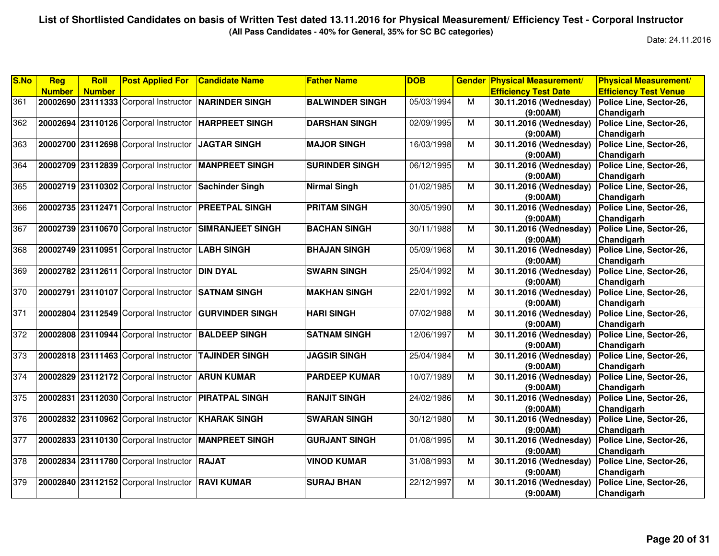**(All Pass Candidates - 40% for General, 35% for SC BC categories)**

| <b>Efficiency Test Venue</b><br><b>Number</b><br><b>Efficiency Test Date</b><br><b>Number</b><br>05/03/1994<br>361<br>20002690 23111333 Corporal Instructor NARINDER SINGH<br><b>BALWINDER SINGH</b><br>M<br>30.11.2016 (Wednesday)<br>Police Line, Sector-26,<br>(9:00AM)<br>Chandigarh<br>362<br>20002694 23110126 Corporal Instructor HARPREET SINGH<br>02/09/1995<br>M<br>30.11.2016 (Wednesday)<br>Police Line, Sector-26,<br><b>DARSHAN SINGH</b><br>Chandigarh<br>(9:00AM)<br>363<br>20002700 23112698 Corporal Instructor<br>16/03/1998<br><b>JAGTAR SINGH</b><br><b>MAJOR SINGH</b><br>M<br>30.11.2016 (Wednesday)<br>Police Line, Sector-26,<br>Chandigarh<br>(9:00AM)<br>20002709 23112839 Corporal Instructor MANPREET SINGH<br>06/12/1995<br><b>SURINDER SINGH</b><br>M<br>30.11.2016 (Wednesday)<br>Police Line, Sector-26,<br>Chandigarh<br>(9:00AM)<br>01/02/1985<br>20002719 23110302 Corporal Instructor<br>M<br>30.11.2016 (Wednesday)<br>Police Line, Sector-26,<br>Sachinder Singh<br><b>Nirmal Singh</b><br>Chandigarh<br>(9:00AM) | <b>Physical Measurement/</b> |
|----------------------------------------------------------------------------------------------------------------------------------------------------------------------------------------------------------------------------------------------------------------------------------------------------------------------------------------------------------------------------------------------------------------------------------------------------------------------------------------------------------------------------------------------------------------------------------------------------------------------------------------------------------------------------------------------------------------------------------------------------------------------------------------------------------------------------------------------------------------------------------------------------------------------------------------------------------------------------------------------------------------------------------------------------------|------------------------------|
| 364<br>365                                                                                                                                                                                                                                                                                                                                                                                                                                                                                                                                                                                                                                                                                                                                                                                                                                                                                                                                                                                                                                               |                              |
|                                                                                                                                                                                                                                                                                                                                                                                                                                                                                                                                                                                                                                                                                                                                                                                                                                                                                                                                                                                                                                                          |                              |
|                                                                                                                                                                                                                                                                                                                                                                                                                                                                                                                                                                                                                                                                                                                                                                                                                                                                                                                                                                                                                                                          |                              |
|                                                                                                                                                                                                                                                                                                                                                                                                                                                                                                                                                                                                                                                                                                                                                                                                                                                                                                                                                                                                                                                          |                              |
|                                                                                                                                                                                                                                                                                                                                                                                                                                                                                                                                                                                                                                                                                                                                                                                                                                                                                                                                                                                                                                                          |                              |
|                                                                                                                                                                                                                                                                                                                                                                                                                                                                                                                                                                                                                                                                                                                                                                                                                                                                                                                                                                                                                                                          |                              |
|                                                                                                                                                                                                                                                                                                                                                                                                                                                                                                                                                                                                                                                                                                                                                                                                                                                                                                                                                                                                                                                          |                              |
|                                                                                                                                                                                                                                                                                                                                                                                                                                                                                                                                                                                                                                                                                                                                                                                                                                                                                                                                                                                                                                                          |                              |
|                                                                                                                                                                                                                                                                                                                                                                                                                                                                                                                                                                                                                                                                                                                                                                                                                                                                                                                                                                                                                                                          |                              |
|                                                                                                                                                                                                                                                                                                                                                                                                                                                                                                                                                                                                                                                                                                                                                                                                                                                                                                                                                                                                                                                          |                              |
|                                                                                                                                                                                                                                                                                                                                                                                                                                                                                                                                                                                                                                                                                                                                                                                                                                                                                                                                                                                                                                                          |                              |
| 20002735 23112471 Corporal Instructor PREETPAL SINGH<br><b>PRITAM SINGH</b><br>30/05/1990<br>366<br>M<br>30.11.2016 (Wednesday)<br>Police Line, Sector-26,                                                                                                                                                                                                                                                                                                                                                                                                                                                                                                                                                                                                                                                                                                                                                                                                                                                                                               |                              |
| Chandigarh<br>(9:00AM)                                                                                                                                                                                                                                                                                                                                                                                                                                                                                                                                                                                                                                                                                                                                                                                                                                                                                                                                                                                                                                   |                              |
| Police Line, Sector-26,<br>367<br>20002739 23110670 Corporal Instructor<br><b>SIMRANJEET SINGH</b><br><b>BACHAN SINGH</b><br>30/11/1988<br>M<br>30.11.2016 (Wednesday)                                                                                                                                                                                                                                                                                                                                                                                                                                                                                                                                                                                                                                                                                                                                                                                                                                                                                   |                              |
| Chandigarh<br>(9:00AM)                                                                                                                                                                                                                                                                                                                                                                                                                                                                                                                                                                                                                                                                                                                                                                                                                                                                                                                                                                                                                                   |                              |
| 368<br>30.11.2016 (Wednesday)<br>20002749 23110951 Corporal Instructor<br><b>LABH SINGH</b><br><b>BHAJAN SINGH</b><br>05/09/1968<br>M<br>Police Line, Sector-26,                                                                                                                                                                                                                                                                                                                                                                                                                                                                                                                                                                                                                                                                                                                                                                                                                                                                                         |                              |
| Chandigarh<br>(9:00AM)                                                                                                                                                                                                                                                                                                                                                                                                                                                                                                                                                                                                                                                                                                                                                                                                                                                                                                                                                                                                                                   |                              |
| 369<br>20002782 23112611 Corporal Instructor DIN DYAL<br><b>SWARN SINGH</b><br>25/04/1992<br>M<br>30.11.2016 (Wednesday)<br>Police Line, Sector-26,                                                                                                                                                                                                                                                                                                                                                                                                                                                                                                                                                                                                                                                                                                                                                                                                                                                                                                      |                              |
| Chandigarh<br>(9:00AM)                                                                                                                                                                                                                                                                                                                                                                                                                                                                                                                                                                                                                                                                                                                                                                                                                                                                                                                                                                                                                                   |                              |
| 370<br>20002791 23110107 Corporal Instructor<br>M<br><b>SATNAM SINGH</b><br>22/01/1992<br>30.11.2016 (Wednesday)<br>Police Line, Sector-26,<br><b>MAKHAN SINGH</b>                                                                                                                                                                                                                                                                                                                                                                                                                                                                                                                                                                                                                                                                                                                                                                                                                                                                                       |                              |
| Chandigarh<br>(9:00AM)                                                                                                                                                                                                                                                                                                                                                                                                                                                                                                                                                                                                                                                                                                                                                                                                                                                                                                                                                                                                                                   |                              |
| 371<br>20002804 23112549 Corporal Instructor<br>07/02/1988<br><b>GURVINDER SINGH</b><br><b>HARI SINGH</b><br>M<br>30.11.2016 (Wednesday)<br>Police Line, Sector-26,                                                                                                                                                                                                                                                                                                                                                                                                                                                                                                                                                                                                                                                                                                                                                                                                                                                                                      |                              |
| (9:00AM)<br>Chandigarh                                                                                                                                                                                                                                                                                                                                                                                                                                                                                                                                                                                                                                                                                                                                                                                                                                                                                                                                                                                                                                   |                              |
| 372<br>20002808 23110944 Corporal Instructor BALDEEP SINGH<br>12/06/1997<br>$\overline{M}$<br><b>SATNAM SINGH</b><br>30.11.2016 (Wednesday)<br>Police Line, Sector-26,                                                                                                                                                                                                                                                                                                                                                                                                                                                                                                                                                                                                                                                                                                                                                                                                                                                                                   |                              |
| Chandigarh<br>(9:00AM)                                                                                                                                                                                                                                                                                                                                                                                                                                                                                                                                                                                                                                                                                                                                                                                                                                                                                                                                                                                                                                   |                              |
| 373<br>20002818 23111463 Corporal Instructor<br><b>TAJINDER SINGH</b><br><b>JAGSIR SINGH</b><br>25/04/1984<br>M<br>30.11.2016 (Wednesday)<br>Police Line, Sector-26,                                                                                                                                                                                                                                                                                                                                                                                                                                                                                                                                                                                                                                                                                                                                                                                                                                                                                     |                              |
| Chandigarh<br>(9:00AM)                                                                                                                                                                                                                                                                                                                                                                                                                                                                                                                                                                                                                                                                                                                                                                                                                                                                                                                                                                                                                                   |                              |
| 374<br>20002829 23112172 Corporal Instructor<br>Police Line, Sector-26,<br><b>ARUN KUMAR</b><br><b>PARDEEP KUMAR</b><br>10/07/1989<br>M<br>30.11.2016 (Wednesday)                                                                                                                                                                                                                                                                                                                                                                                                                                                                                                                                                                                                                                                                                                                                                                                                                                                                                        |                              |
| Chandigarh<br>(9:00AM)                                                                                                                                                                                                                                                                                                                                                                                                                                                                                                                                                                                                                                                                                                                                                                                                                                                                                                                                                                                                                                   |                              |
| 375<br>30.11.2016 (Wednesday)<br>20002831 23112030 Corporal Instructor PIRATPAL SINGH<br><b>RANJIT SINGH</b><br>24/02/1986<br>Police Line, Sector-26,<br>M                                                                                                                                                                                                                                                                                                                                                                                                                                                                                                                                                                                                                                                                                                                                                                                                                                                                                               |                              |
| (9:00AM)<br>Chandigarh                                                                                                                                                                                                                                                                                                                                                                                                                                                                                                                                                                                                                                                                                                                                                                                                                                                                                                                                                                                                                                   |                              |
| 376<br>20002832 23110962 Corporal Instructor KHARAK SINGH<br><b>SWARAN SINGH</b><br>30/12/1980<br>M<br>30.11.2016 (Wednesday)<br>Police Line, Sector-26,                                                                                                                                                                                                                                                                                                                                                                                                                                                                                                                                                                                                                                                                                                                                                                                                                                                                                                 |                              |
| (9:00AM)<br>Chandigarh                                                                                                                                                                                                                                                                                                                                                                                                                                                                                                                                                                                                                                                                                                                                                                                                                                                                                                                                                                                                                                   |                              |
| 377<br>20002833 23110130 Corporal Instructor<br><b>GURJANT SINGH</b><br>M<br>30.11.2016 (Wednesday)<br>Police Line, Sector-26,<br><b>MANPREET SINGH</b><br>01/08/1995                                                                                                                                                                                                                                                                                                                                                                                                                                                                                                                                                                                                                                                                                                                                                                                                                                                                                    |                              |
| Chandigarh<br>(9:00AM)                                                                                                                                                                                                                                                                                                                                                                                                                                                                                                                                                                                                                                                                                                                                                                                                                                                                                                                                                                                                                                   |                              |
| 31/08/1993<br>378<br>20002834 23111780 Corporal Instructor RAJAT<br><b>VINOD KUMAR</b><br>M<br>30.11.2016 (Wednesday)<br>Police Line, Sector-26,                                                                                                                                                                                                                                                                                                                                                                                                                                                                                                                                                                                                                                                                                                                                                                                                                                                                                                         |                              |
| (9:00AM)<br>Chandigarh                                                                                                                                                                                                                                                                                                                                                                                                                                                                                                                                                                                                                                                                                                                                                                                                                                                                                                                                                                                                                                   |                              |
| 379<br>20002840 23112152 Corporal Instructor RAVI KUMAR<br><b>SURAJ BHAN</b><br>$\overline{M}$<br>Police Line, Sector-26,<br>22/12/1997<br>30.11.2016 (Wednesday)                                                                                                                                                                                                                                                                                                                                                                                                                                                                                                                                                                                                                                                                                                                                                                                                                                                                                        |                              |
| (9:00AM)<br>Chandigarh                                                                                                                                                                                                                                                                                                                                                                                                                                                                                                                                                                                                                                                                                                                                                                                                                                                                                                                                                                                                                                   |                              |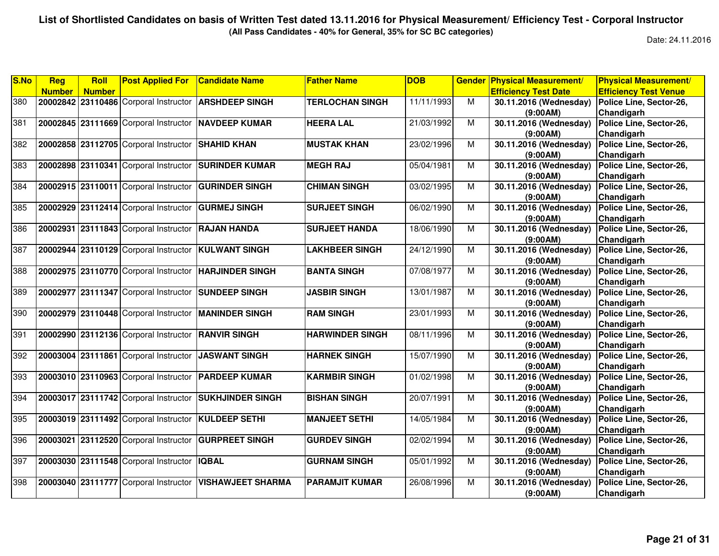**(All Pass Candidates - 40% for General, 35% for SC BC categories)**

| <b>Number</b><br><b>Efficiency Test Date</b><br><b>Number</b>                                                                                               | <b>Efficiency Test Venue</b> |
|-------------------------------------------------------------------------------------------------------------------------------------------------------------|------------------------------|
|                                                                                                                                                             |                              |
| <b>ARSHDEEP SINGH</b><br><b>TERLOCHAN SINGH</b><br>380<br>20002842 23110486 Corporal Instructor<br>11/11/1993<br>M<br>30.11.2016 (Wednesday)                | Police Line, Sector-26,      |
| (9:00AM)                                                                                                                                                    | Chandigarh                   |
| 381<br>20002845 23111669 Corporal Instructor NAVDEEP KUMAR<br>21/03/1992<br>M<br>30.11.2016 (Wednesday)<br><b>HEERA LAL</b>                                 | Police Line, Sector-26,      |
| (9:00AM)                                                                                                                                                    | Chandigarh                   |
| 382<br>20002858 23112705 Corporal Instructor<br><b>SHAHID KHAN</b><br><b>MUSTAK KHAN</b><br>23/02/1996<br>M<br>30.11.2016 (Wednesday)                       | Police Line, Sector-26,      |
| (9:00AM)                                                                                                                                                    | Chandigarh                   |
| 383<br>20002898 23110341 Corporal Instructor<br>05/04/1981<br><b>SURINDER KUMAR</b><br>M<br>30.11.2016 (Wednesday)<br><b>MEGH RAJ</b>                       | Police Line, Sector-26,      |
| (9:00AM)                                                                                                                                                    | Chandigarh                   |
| 384<br>03/02/1995<br>20002915 23110011 Corporal Instructor<br><b>GURINDER SINGH</b><br><b>CHIMAN SINGH</b><br>M<br>30.11.2016 (Wednesday)                   | Police Line, Sector-26,      |
| (9:00AM)                                                                                                                                                    | Chandigarh                   |
| 20002929 23112414 Corporal Instructor<br><b>GURMEJ SINGH</b><br><b>SURJEET SINGH</b><br>06/02/1990<br>385<br>M<br>30.11.2016 (Wednesday)                    | Police Line, Sector-26,      |
| (9:00AM)                                                                                                                                                    | Chandigarh                   |
| 386<br>20002931 23111843 Corporal Instructor RAJAN HANDA<br><b>SURJEET HANDA</b><br>18/06/1990<br>M<br>30.11.2016 (Wednesday)                               | Police Line, Sector-26,      |
| (9:00AM)                                                                                                                                                    | Chandigarh                   |
| 387<br>24/12/1990<br>30.11.2016 (Wednesday)<br>20002944 23110129 Corporal Instructor KULWANT SINGH<br><b>LAKHBEER SINGH</b><br>M                            | Police Line, Sector-26,      |
| (9:00AM)                                                                                                                                                    | Chandigarh                   |
| 388<br>20002975 23110770 Corporal Instructor<br><b>HARJINDER SINGH</b><br><b>BANTA SINGH</b><br>07/08/1977<br>M<br>30.11.2016 (Wednesday)                   | Police Line, Sector-26,      |
| (9:00AM)                                                                                                                                                    | Chandigarh                   |
| 389<br>20002977 23111347 Corporal Instructor<br>13/01/1987<br>M<br><b>SUNDEEP SINGH</b><br><b>JASBIR SINGH</b><br>30.11.2016 (Wednesday)                    | Police Line, Sector-26,      |
| (9:00AM)                                                                                                                                                    | Chandigarh                   |
| 390<br>23/01/1993<br>20002979 23110448 Corporal Instructor<br><b>MANINDER SINGH</b><br><b>RAM SINGH</b><br>M<br>30.11.2016 (Wednesday)                      | Police Line, Sector-26,      |
| (9:00AM)                                                                                                                                                    | Chandigarh                   |
| 391<br>08/11/1996<br>$\overline{M}$<br>20002990 23112136 Corporal Instructor RANVIR SINGH<br><b>HARWINDER SINGH</b><br>30.11.2016 (Wednesday)               | Police Line, Sector-26,      |
| (9:00AM)                                                                                                                                                    | Chandigarh                   |
| 15/07/1990<br>392<br>20003004 23111861 Corporal Instructor<br>M<br>30.11.2016 (Wednesday)<br><b>JASWANT SINGH</b><br><b>HARNEK SINGH</b>                    | Police Line, Sector-26,      |
| (9:00AM)                                                                                                                                                    | Chandigarh                   |
| 393<br>20003010 23110963 Corporal Instructor<br><b>PARDEEP KUMAR</b><br><b>KARMBIR SINGH</b><br>01/02/1998<br>M<br>30.11.2016 (Wednesday)                   | Police Line, Sector-26,      |
| (9:00AM)                                                                                                                                                    | Chandigarh                   |
| 30.11.2016 (Wednesday)<br>394<br>20003017 23111742 Corporal Instructor SUKHJINDER SINGH<br><b>BISHAN SINGH</b><br>20/07/1991<br>М                           | Police Line, Sector-26,      |
| (9:00AM)                                                                                                                                                    | Chandigarh                   |
| 395<br>20003019 23111492 Corporal Instructor KULDEEP SETHI<br><b>MANJEET SETHI</b><br>14/05/1984<br>M<br>30.11.2016 (Wednesday)                             | Police Line, Sector-26,      |
| (9:00AM)                                                                                                                                                    | Chandigarh                   |
| 396<br>20003021 23112520 Corporal Instructor<br>M<br>30.11.2016 (Wednesday)<br><b>GURPREET SINGH</b><br><b>GURDEV SINGH</b><br>02/02/1994                   | Police Line, Sector-26,      |
| (9:00AM)                                                                                                                                                    | Chandigarh                   |
| 05/01/1992<br>397<br>20003030 23111548 Corporal Instructor<br><b>IQBAL</b><br><b>GURNAM SINGH</b><br>M<br>30.11.2016 (Wednesday)                            | Police Line, Sector-26,      |
| (9:00AM)                                                                                                                                                    | Chandigarh                   |
| 398<br>20003040 23111777 Corporal Instructor<br><b>VISHAWJEET SHARMA</b><br><b>PARAMJIT KUMAR</b><br>$\overline{M}$<br>26/08/1996<br>30.11.2016 (Wednesday) | Police Line, Sector-26,      |
| (9:00AM)                                                                                                                                                    | Chandigarh                   |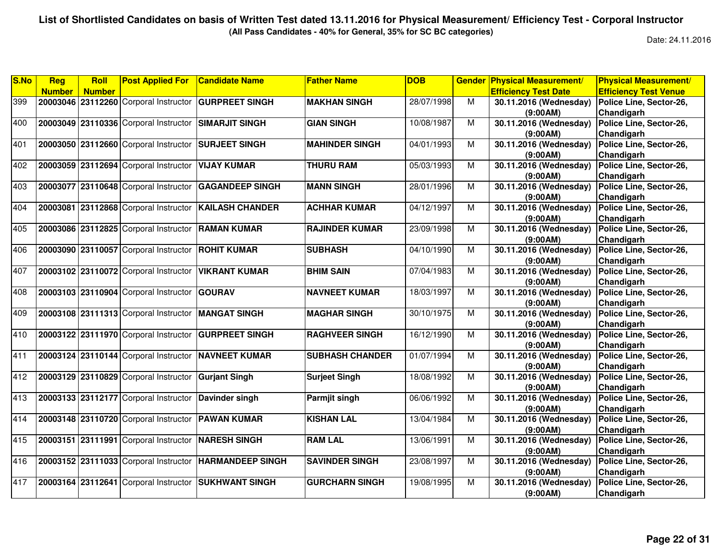**(All Pass Candidates - 40% for General, 35% for SC BC categories)**

| S.No | Reg           | Roll          | <b>Post Applied For</b>               | <b>Candidate Name</b>   | <b>Father Name</b>     | <b>DOB</b> | <b>Gender</b> | <b>Physical Measurement/</b> | <b>Physical Measurement/</b> |
|------|---------------|---------------|---------------------------------------|-------------------------|------------------------|------------|---------------|------------------------------|------------------------------|
|      | <b>Number</b> | <b>Number</b> |                                       |                         |                        |            |               | <b>Efficiency Test Date</b>  | <b>Efficiency Test Venue</b> |
| 399  |               |               | 20003046 23112260 Corporal Instructor | <b>GURPREET SINGH</b>   | <b>MAKHAN SINGH</b>    | 28/07/1998 | M             | 30.11.2016 (Wednesday)       | Police Line, Sector-26,      |
|      |               |               |                                       |                         |                        |            |               | (9:00AM)                     | Chandigarh                   |
| 400  |               |               | 20003049 23110336 Corporal Instructor | <b>SIMARJIT SINGH</b>   | <b>GIAN SINGH</b>      | 10/08/1987 | M             | 30.11.2016 (Wednesday)       | Police Line, Sector-26,      |
|      |               |               |                                       |                         |                        |            |               | (9:00AM)                     | Chandigarh                   |
| 401  | 20003050      |               | 23112660 Corporal Instructor          | <b>SURJEET SINGH</b>    | <b>MAHINDER SINGH</b>  | 04/01/1993 | M             | 30.11.2016 (Wednesday)       | Police Line, Sector-26,      |
|      |               |               |                                       |                         |                        |            |               | (9:00AM)                     | Chandigarh                   |
| 402  |               |               | 20003059 23112694 Corporal Instructor | <b>VIJAY KUMAR</b>      | <b>THURU RAM</b>       | 05/03/1993 | M             | 30.11.2016 (Wednesday)       | Police Line, Sector-26,      |
|      |               |               |                                       |                         |                        |            |               | (9:00AM)                     | Chandigarh                   |
| 403  |               |               | 20003077 23110648 Corporal Instructor | <b>GAGANDEEP SINGH</b>  | <b>MANN SINGH</b>      | 28/01/1996 | M             | 30.11.2016 (Wednesday)       | Police Line, Sector-26,      |
|      |               |               |                                       |                         |                        |            |               | (9:00AM)                     | Chandigarh                   |
| 404  |               |               | 20003081 23112868 Corporal Instructor | <b>KAILASH CHANDER</b>  | <b>ACHHAR KUMAR</b>    | 04/12/1997 | M             | 30.11.2016 (Wednesday)       | Police Line, Sector-26,      |
|      |               |               |                                       |                         |                        |            |               | (9:00AM)                     | Chandigarh                   |
| 405  | 20003086      |               | 23112825 Corporal Instructor          | <b>RAMAN KUMAR</b>      | <b>RAJINDER KUMAR</b>  | 23/09/1998 | M             | 30.11.2016 (Wednesday)       | Police Line, Sector-26,      |
|      |               |               |                                       |                         |                        |            |               | (9:00AM)                     | Chandigarh                   |
| 406  |               |               | 20003090 23110057 Corporal Instructor | <b>ROHIT KUMAR</b>      | <b>SUBHASH</b>         | 04/10/1990 | M             | 30.11.2016 (Wednesday)       | Police Line, Sector-26,      |
|      |               |               |                                       |                         |                        |            |               | (9:00AM)                     | Chandigarh                   |
| 407  |               |               | 20003102 23110072 Corporal Instructor | <b>VIKRANT KUMAR</b>    | <b>BHIM SAIN</b>       | 07/04/1983 | M             | 30.11.2016 (Wednesday)       | Police Line, Sector-26,      |
|      |               |               |                                       |                         |                        |            |               | (9:00AM)                     | Chandigarh                   |
| 408  | 20003103      |               | 23110904 Corporal Instructor          | <b>GOURAV</b>           | <b>NAVNEET KUMAR</b>   | 18/03/1997 | M             | 30.11.2016 (Wednesday)       | Police Line, Sector-26,      |
|      |               |               |                                       |                         |                        |            |               | (9:00AM)                     | Chandigarh                   |
| 409  |               |               | 20003108 23111313 Corporal Instructor | <b>MANGAT SINGH</b>     | <b>MAGHAR SINGH</b>    | 30/10/1975 | M             | 30.11.2016 (Wednesday)       | Police Line, Sector-26,      |
|      |               |               |                                       |                         |                        |            |               | (9:00AM)                     | Chandigarh                   |
| 410  |               |               | 20003122 23111970 Corporal Instructor | <b>GURPREET SINGH</b>   | <b>RAGHVEER SINGH</b>  | 16/12/1990 | M             | 30.11.2016 (Wednesday)       | Police Line, Sector-26,      |
|      |               |               |                                       |                         |                        |            |               | (9:00AM)                     | Chandigarh                   |
| 411  |               |               | 20003124 23110144 Corporal Instructor | <b>NAVNEET KUMAR</b>    | <b>SUBHASH CHANDER</b> | 01/07/1994 | M             | 30.11.2016 (Wednesday)       | Police Line, Sector-26,      |
|      |               |               |                                       |                         |                        |            |               | (9:00AM)                     | Chandigarh                   |
| 412  |               |               | 20003129 23110829 Corporal Instructor | <b>Gurjant Singh</b>    | <b>Surjeet Singh</b>   | 18/08/1992 | M             | 30.11.2016 (Wednesday)       | Police Line, Sector-26,      |
|      |               |               |                                       |                         |                        |            |               | (9:00AM)                     | Chandigarh                   |
| 413  |               |               | 20003133 23112177 Corporal Instructor | Davinder singh          | Parmjit singh          | 06/06/1992 | M             | 30.11.2016 (Wednesday)       | Police Line, Sector-26,      |
|      |               |               |                                       |                         |                        |            |               | (9:00AM)                     | Chandigarh                   |
| 414  |               |               | 20003148 23110720 Corporal Instructor | <b>PAWAN KUMAR</b>      | <b>KISHAN LAL</b>      | 13/04/1984 | M             | 30.11.2016 (Wednesday)       | Police Line, Sector-26,      |
|      |               |               |                                       |                         |                        |            |               | (9:00AM)                     | Chandigarh                   |
| 415  | 20003151      |               | 23111991 Corporal Instructor          | <b>NARESH SINGH</b>     | <b>RAM LAL</b>         | 13/06/1991 | M             | 30.11.2016 (Wednesday)       | Police Line, Sector-26,      |
|      |               |               |                                       |                         |                        |            |               | (9:00AM)                     | Chandigarh                   |
| 416  |               |               | 20003152 23111033 Corporal Instructor | <b>HARMANDEEP SINGH</b> | <b>SAVINDER SINGH</b>  | 23/08/1997 | M             | 30.11.2016 (Wednesday)       | Police Line, Sector-26,      |
|      |               |               |                                       |                         |                        |            |               | (9:00AM)                     | Chandigarh                   |
| 417  |               |               | 20003164 23112641 Corporal Instructor | <b>ISUKHWANT SINGH</b>  | <b>GURCHARN SINGH</b>  | 19/08/1995 | M             | 30.11.2016 (Wednesday)       | Police Line, Sector-26,      |
|      |               |               |                                       |                         |                        |            |               | (9:00AM)                     | Chandigarh                   |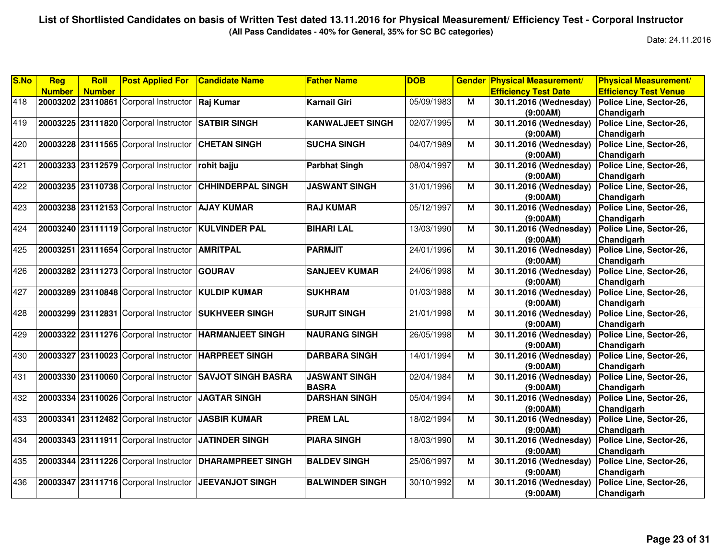**(All Pass Candidates - 40% for General, 35% for SC BC categories)**

| S.No             | Reg           | Roll          | <b>Post Applied For</b>               | <b>Candidate Name</b>     | <b>Father Name</b>      | <b>DOB</b> | <b>Gender</b> | <b>Physical Measurement/</b> | <b>Physical Measurement/</b> |
|------------------|---------------|---------------|---------------------------------------|---------------------------|-------------------------|------------|---------------|------------------------------|------------------------------|
|                  | <b>Number</b> | <b>Number</b> |                                       |                           |                         |            |               | <b>Efficiency Test Date</b>  | <b>Efficiency Test Venue</b> |
| 418              |               |               | 20003202 23110861 Corporal Instructor | Raj Kumar                 | Karnail Giri            | 05/09/1983 | M             | 30.11.2016 (Wednesday)       | Police Line, Sector-26,      |
|                  |               |               |                                       |                           |                         |            |               | (9:00AM)                     | Chandigarh                   |
| 419              |               |               | 20003225 23111820 Corporal Instructor | <b>SATBIR SINGH</b>       | <b>KANWALJEET SINGH</b> | 02/07/1995 | M             | 30.11.2016 (Wednesday)       | Police Line, Sector-26,      |
|                  |               |               |                                       |                           |                         |            |               | (9:00AM)                     | Chandigarh                   |
| 420              | 20003228      |               | 23111565 Corporal Instructor          | <b>CHETAN SINGH</b>       | <b>SUCHA SINGH</b>      | 04/07/1989 | M             | 30.11.2016 (Wednesday)       | Police Line, Sector-26,      |
|                  |               |               |                                       |                           |                         |            |               | (9:00AM)                     | Chandigarh                   |
| $\overline{421}$ |               |               | 20003233 23112579 Corporal Instructor | rohit bajju               | <b>Parbhat Singh</b>    | 08/04/1997 | M             | 30.11.2016 (Wednesday)       | Police Line, Sector-26,      |
|                  |               |               |                                       |                           |                         |            |               | (9:00AM)                     | Chandigarh                   |
| 422              |               |               | 20003235 23110738 Corporal Instructor | <b>CHHINDERPAL SINGH</b>  | <b>JASWANT SINGH</b>    | 31/01/1996 | M             | 30.11.2016 (Wednesday)       | Police Line, Sector-26,      |
|                  |               |               |                                       |                           |                         |            |               | (9:00AM)                     | Chandigarh                   |
| 423              |               |               | 20003238 23112153 Corporal Instructor | <b>AJAY KUMAR</b>         | <b>RAJ KUMAR</b>        | 05/12/1997 | M             | 30.11.2016 (Wednesday)       | Police Line, Sector-26,      |
|                  |               |               |                                       |                           |                         |            |               | (9:00AM)                     | Chandigarh                   |
| 424              |               |               | 20003240 23111119 Corporal Instructor | <b>KULVINDER PAL</b>      | <b>BIHARI LAL</b>       | 13/03/1990 | M             | 30.11.2016 (Wednesday)       | Police Line, Sector-26,      |
|                  |               |               |                                       |                           |                         |            |               | (9:00AM)                     | Chandigarh                   |
| 425              |               |               | 20003251 23111654 Corporal Instructor | <b>AMRITPAL</b>           | <b>PARMJIT</b>          | 24/01/1996 | M             | 30.11.2016 (Wednesday)       | Police Line, Sector-26,      |
|                  |               |               |                                       |                           |                         |            |               | (9:00AM)                     | Chandigarh                   |
| 426              |               |               | 20003282 23111273 Corporal Instructor | <b>GOURAV</b>             | <b>SANJEEV KUMAR</b>    | 24/06/1998 | M             | 30.11.2016 (Wednesday)       | Police Line, Sector-26,      |
|                  |               |               |                                       |                           |                         |            |               | (9:00AM)                     | Chandigarh                   |
| 427              | 20003289      |               | 23110848 Corporal Instructor          | <b>KULDIP KUMAR</b>       | <b>SUKHRAM</b>          | 01/03/1988 | M             | 30.11.2016 (Wednesday)       | Police Line, Sector-26,      |
|                  |               |               |                                       |                           |                         |            |               | (9:00AM)                     | Chandigarh                   |
| 428              | 20003299      |               | 23112831 Corporal Instructor          | <b>SUKHVEER SINGH</b>     | <b>SURJIT SINGH</b>     | 21/01/1998 | M             | 30.11.2016 (Wednesday)       | Police Line, Sector-26,      |
|                  |               |               |                                       |                           |                         |            |               | (9:00AM)                     | Chandigarh                   |
| 429              |               |               | 20003322 23111276 Corporal Instructor | <b>HARMANJEET SINGH</b>   | <b>NAURANG SINGH</b>    | 26/05/1998 | M             | 30.11.2016 (Wednesday)       | Police Line, Sector-26,      |
|                  |               |               |                                       |                           |                         |            |               | (9:00AM)                     | Chandigarh                   |
| 430              | 20003327      |               | 23110023 Corporal Instructor          | <b>HARPREET SINGH</b>     | <b>DARBARA SINGH</b>    | 14/01/1994 | M             | 30.11.2016 (Wednesday)       | Police Line, Sector-26,      |
|                  |               |               |                                       |                           |                         |            |               | (9:00AM)                     | Chandigarh                   |
| 431              | 20003330      |               | 23110060 Corporal Instructor          | <b>SAVJOT SINGH BASRA</b> | <b>JASWANT SINGH</b>    | 02/04/1984 | M             | 30.11.2016 (Wednesday)       | Police Line, Sector-26,      |
|                  |               |               |                                       |                           | <b>BASRA</b>            |            |               | (9:00AM)                     | Chandigarh                   |
| 432              |               |               | 20003334 23110026 Corporal Instructor | <b>JAGTAR SINGH</b>       | <b>DARSHAN SINGH</b>    | 05/04/1994 | M             | 30.11.2016 (Wednesday)       | Police Line, Sector-26,      |
|                  |               |               |                                       |                           |                         |            |               | (9:00AM)                     | Chandigarh                   |
| 433              |               |               | 20003341 23112482 Corporal Instructor | <b>JASBIR KUMAR</b>       | <b>PREM LAL</b>         | 18/02/1994 | M             | 30.11.2016 (Wednesday)       | Police Line, Sector-26,      |
|                  |               |               |                                       |                           |                         |            |               | (9:00AM)                     | Chandigarh                   |
| 434              |               |               | 20003343 23111911 Corporal Instructor | <b>JATINDER SINGH</b>     | <b>PIARA SINGH</b>      | 18/03/1990 | M             | 30.11.2016 (Wednesday)       | Police Line, Sector-26,      |
|                  |               |               |                                       |                           |                         |            |               | (9:00AM)                     | Chandigarh                   |
| 435              |               |               | 20003344 23111226 Corporal Instructor | <b>DHARAMPREET SINGH</b>  | <b>BALDEV SINGH</b>     | 25/06/1997 | M             | 30.11.2016 (Wednesday)       | Police Line, Sector-26,      |
|                  |               |               |                                       |                           |                         |            |               | (9:00AM)                     | Chandigarh                   |
| 436              | 20003347      |               | 23111716 Corporal Instructor          | <b>JEEVANJOT SINGH</b>    | <b>BALWINDER SINGH</b>  | 30/10/1992 | M             | 30.11.2016 (Wednesday)       | Police Line, Sector-26,      |
|                  |               |               |                                       |                           |                         |            |               |                              |                              |
|                  |               |               |                                       |                           |                         |            |               | (9:00AM)                     | Chandigarh                   |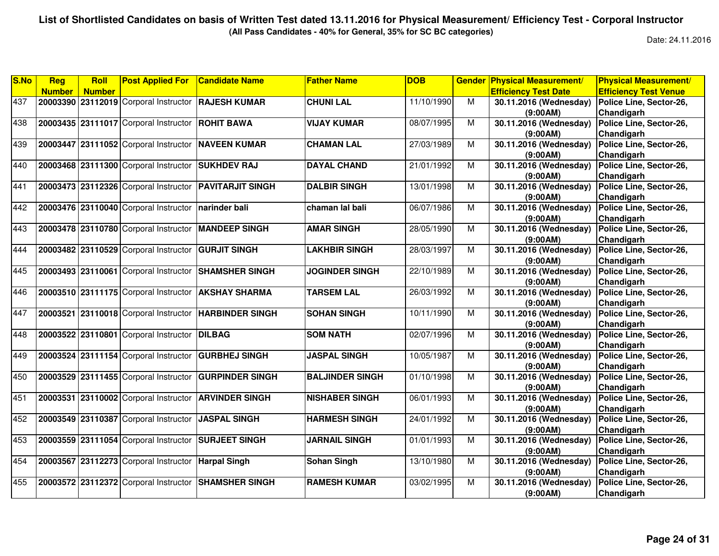**(All Pass Candidates - 40% for General, 35% for SC BC categories)**

| <b>Efficiency Test Date</b><br><b>Efficiency Test Venue</b><br><b>Number</b><br><b>Number</b><br>437<br>20003390 23112019 Corporal Instructor RAJESH KUMAR<br><b>CHUNI LAL</b><br>11/10/1990<br>M<br>30.11.2016 (Wednesday)<br>Police Line, Sector-26,<br>(9:00AM)<br>Chandigarh<br>20003435 23111017 Corporal Instructor<br><b>ROHIT BAWA</b><br><b>VIJAY KUMAR</b><br>08/07/1995<br>M<br>30.11.2016 (Wednesday)<br>Police Line, Sector-26,<br>Chandigarh<br>(9:00AM)<br>20003447 23111052 Corporal Instructor<br><b>NAVEEN KUMAR</b><br>27/03/1989<br>M<br>30.11.2016 (Wednesday)<br>Police Line, Sector-26,<br><b>CHAMAN LAL</b><br>Chandigarh<br>(9:00AM) |  |
|---------------------------------------------------------------------------------------------------------------------------------------------------------------------------------------------------------------------------------------------------------------------------------------------------------------------------------------------------------------------------------------------------------------------------------------------------------------------------------------------------------------------------------------------------------------------------------------------------------------------------------------------------------------|--|
| 438<br>439                                                                                                                                                                                                                                                                                                                                                                                                                                                                                                                                                                                                                                                    |  |
|                                                                                                                                                                                                                                                                                                                                                                                                                                                                                                                                                                                                                                                               |  |
|                                                                                                                                                                                                                                                                                                                                                                                                                                                                                                                                                                                                                                                               |  |
|                                                                                                                                                                                                                                                                                                                                                                                                                                                                                                                                                                                                                                                               |  |
|                                                                                                                                                                                                                                                                                                                                                                                                                                                                                                                                                                                                                                                               |  |
|                                                                                                                                                                                                                                                                                                                                                                                                                                                                                                                                                                                                                                                               |  |
|                                                                                                                                                                                                                                                                                                                                                                                                                                                                                                                                                                                                                                                               |  |
| 440<br>20003468 23111300 Corporal Instructor<br>M<br><b>SUKHDEV RAJ</b><br><b>DAYAL CHAND</b><br>21/01/1992<br>Police Line, Sector-26,<br>30.11.2016 (Wednesday)                                                                                                                                                                                                                                                                                                                                                                                                                                                                                              |  |
| Chandigarh<br>(9:00AM)                                                                                                                                                                                                                                                                                                                                                                                                                                                                                                                                                                                                                                        |  |
| 441<br>13/01/1998<br>20003473 23112326 Corporal Instructor PAVITARJIT SINGH<br><b>DALBIR SINGH</b><br>М<br>30.11.2016 (Wednesday)<br>Police Line, Sector-26,                                                                                                                                                                                                                                                                                                                                                                                                                                                                                                  |  |
| Chandigarh<br>(9:00AM)                                                                                                                                                                                                                                                                                                                                                                                                                                                                                                                                                                                                                                        |  |
| 442<br>20003476 23110040 Corporal Instructor<br>06/07/1986<br>chaman lal bali<br>М<br>30.11.2016 (Wednesday)<br>Police Line, Sector-26,<br>narinder bali                                                                                                                                                                                                                                                                                                                                                                                                                                                                                                      |  |
| (9:00AM)<br>Chandigarh                                                                                                                                                                                                                                                                                                                                                                                                                                                                                                                                                                                                                                        |  |
| Police Line, Sector-26,<br>443<br>20003478 23110780 Corporal Instructor<br><b>AMAR SINGH</b><br>28/05/1990<br>M<br>30.11.2016 (Wednesday)<br><b>MANDEEP SINGH</b>                                                                                                                                                                                                                                                                                                                                                                                                                                                                                             |  |
| Chandigarh<br>(9:00AM)                                                                                                                                                                                                                                                                                                                                                                                                                                                                                                                                                                                                                                        |  |
| 20003482 23110529 Corporal Instructor GURJIT SINGH<br><b>LAKHBIR SINGH</b><br>30.11.2016 (Wednesday)<br>444<br>28/03/1997<br>M<br>Police Line, Sector-26,                                                                                                                                                                                                                                                                                                                                                                                                                                                                                                     |  |
| Chandigarh<br>(9:00AM)                                                                                                                                                                                                                                                                                                                                                                                                                                                                                                                                                                                                                                        |  |
| 445<br>20003493 23110061 Corporal Instructor<br><b>SHAMSHER SINGH</b><br><b>JOGINDER SINGH</b><br>M<br>Police Line, Sector-26,<br>22/10/1989<br>30.11.2016 (Wednesday)                                                                                                                                                                                                                                                                                                                                                                                                                                                                                        |  |
| Chandigarh<br>(9:00AM)                                                                                                                                                                                                                                                                                                                                                                                                                                                                                                                                                                                                                                        |  |
| 446<br>20003510 23111175 Corporal Instructor<br>26/03/1992<br>M<br>Police Line, Sector-26,<br><b>AKSHAY SHARMA</b><br><b>TARSEM LAL</b><br>30.11.2016 (Wednesday)                                                                                                                                                                                                                                                                                                                                                                                                                                                                                             |  |
| Chandigarh<br>(9:00AM)                                                                                                                                                                                                                                                                                                                                                                                                                                                                                                                                                                                                                                        |  |
| 447<br>20003521 23110018 Corporal Instructor<br>10/11/1990<br><b>HARBINDER SINGH</b><br><b>SOHAN SINGH</b><br>м<br>Police Line, Sector-26,<br>30.11.2016 (Wednesday)                                                                                                                                                                                                                                                                                                                                                                                                                                                                                          |  |
| (9:00AM)<br>Chandigarh                                                                                                                                                                                                                                                                                                                                                                                                                                                                                                                                                                                                                                        |  |
| 448<br>02/07/1996<br>M<br>20003522 23110801 Corporal Instructor<br><b>DILBAG</b><br><b>SOM NATH</b><br>30.11.2016 (Wednesday)<br>Police Line, Sector-26,                                                                                                                                                                                                                                                                                                                                                                                                                                                                                                      |  |
| Chandigarh<br>(9:00AM)                                                                                                                                                                                                                                                                                                                                                                                                                                                                                                                                                                                                                                        |  |
| 10/05/1987<br>449<br>20003524 23111154 Corporal Instructor<br><b>GURBHEJ SINGH</b><br><b>JASPAL SINGH</b><br>M<br>30.11.2016 (Wednesday)<br>Police Line, Sector-26,                                                                                                                                                                                                                                                                                                                                                                                                                                                                                           |  |
| Chandigarh<br>(9:00AM)                                                                                                                                                                                                                                                                                                                                                                                                                                                                                                                                                                                                                                        |  |
| 450<br>20003529 23111455 Corporal Instructor<br><b>GURPINDER SINGH</b><br><b>BALJINDER SINGH</b><br>01/10/1998<br>M<br>30.11.2016 (Wednesday)<br>Police Line, Sector-26,                                                                                                                                                                                                                                                                                                                                                                                                                                                                                      |  |
| Chandigarh<br>(9:00AM)                                                                                                                                                                                                                                                                                                                                                                                                                                                                                                                                                                                                                                        |  |
| 451<br>30.11.2016 (Wednesday)<br>20003531 23110002 Corporal Instructor ARVINDER SINGH<br><b>NISHABER SINGH</b><br>06/01/1993<br>M<br>Police Line, Sector-26,                                                                                                                                                                                                                                                                                                                                                                                                                                                                                                  |  |
| (9:00AM)<br>Chandigarh                                                                                                                                                                                                                                                                                                                                                                                                                                                                                                                                                                                                                                        |  |
| 452<br>20003549 23110387 Corporal Instructor<br><b>JASPAL SINGH</b><br><b>HARMESH SINGH</b><br>24/01/1992<br>M<br>30.11.2016 (Wednesday)<br>Police Line, Sector-26,                                                                                                                                                                                                                                                                                                                                                                                                                                                                                           |  |
| Chandigarh<br>(9:00AM)                                                                                                                                                                                                                                                                                                                                                                                                                                                                                                                                                                                                                                        |  |
| 453<br>20003559 23111054 Corporal Instructor<br><b>SURJEET SINGH</b><br>M<br>Police Line, Sector-26,<br><b>JARNAIL SINGH</b><br>01/01/1993<br>30.11.2016 (Wednesday)                                                                                                                                                                                                                                                                                                                                                                                                                                                                                          |  |
| Chandigarh<br>(9:00AM)                                                                                                                                                                                                                                                                                                                                                                                                                                                                                                                                                                                                                                        |  |
| 454<br>20003567 23112273 Corporal Instructor<br><b>Sohan Singh</b><br>13/10/1980<br>M<br>30.11.2016 (Wednesday)<br>Police Line, Sector-26,<br><b>Harpal Singh</b>                                                                                                                                                                                                                                                                                                                                                                                                                                                                                             |  |
| (9:00AM)<br>Chandigarh                                                                                                                                                                                                                                                                                                                                                                                                                                                                                                                                                                                                                                        |  |
| 455<br>20003572 23112372 Corporal Instructor<br><b>SHAMSHER SINGH</b><br><b>RAMESH KUMAR</b><br>M<br>03/02/1995<br>30.11.2016 (Wednesday)<br>Police Line, Sector-26,                                                                                                                                                                                                                                                                                                                                                                                                                                                                                          |  |
| Chandigarh<br>(9:00AM)                                                                                                                                                                                                                                                                                                                                                                                                                                                                                                                                                                                                                                        |  |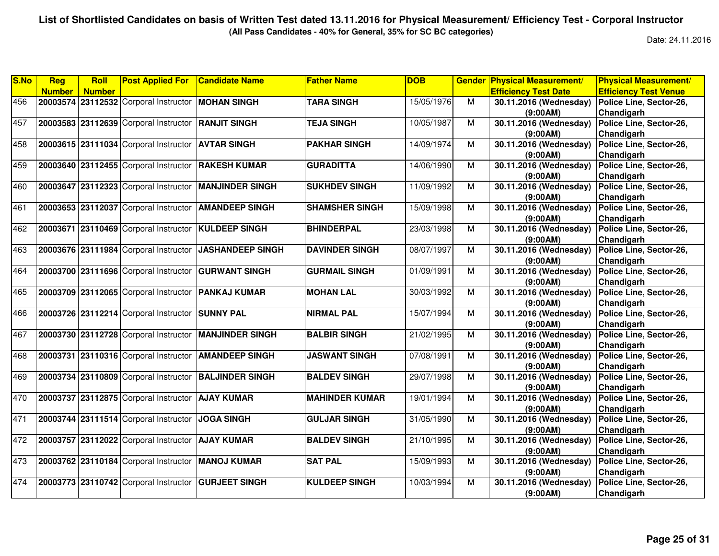**(All Pass Candidates - 40% for General, 35% for SC BC categories)**

| S.No | Reg           | Roll          | <b>Post Applied For</b>                            | <b>Candidate Name</b>   | <b>Father Name</b>    | <b>DOB</b> | <b>Gender</b>           | <b>Physical Measurement/</b> | <b>Physical Measurement/</b> |
|------|---------------|---------------|----------------------------------------------------|-------------------------|-----------------------|------------|-------------------------|------------------------------|------------------------------|
|      | <b>Number</b> | <b>Number</b> |                                                    |                         |                       |            |                         | <b>Efficiency Test Date</b>  | <b>Efficiency Test Venue</b> |
| 456  |               |               | 20003574 23112532 Corporal Instructor              | <b>MOHAN SINGH</b>      | <b>TARA SINGH</b>     | 15/05/1976 | M                       | 30.11.2016 (Wednesday)       | Police Line, Sector-26,      |
|      |               |               |                                                    |                         |                       |            |                         | (9:00AM)                     | Chandigarh                   |
| 457  |               |               | 20003583 23112639 Corporal Instructor              | <b>RANJIT SINGH</b>     | <b>TEJA SINGH</b>     | 10/05/1987 | M                       | 30.11.2016 (Wednesday)       | Police Line, Sector-26,      |
|      |               |               |                                                    |                         |                       |            |                         | (9:00AM)                     | Chandigarh                   |
| 458  |               |               | 20003615 23111034 Corporal Instructor              | <b>AVTAR SINGH</b>      | <b>PAKHAR SINGH</b>   | 14/09/1974 | M                       | 30.11.2016 (Wednesday)       | Police Line, Sector-26,      |
|      |               |               |                                                    |                         |                       |            |                         | (9:00AM)                     | Chandigarh                   |
| 459  | 20003640      |               | 23112455 Corporal Instructor                       | <b>RAKESH KUMAR</b>     | <b>GURADITTA</b>      | 14/06/1990 | M                       | 30.11.2016 (Wednesday)       | Police Line, Sector-26,      |
|      |               |               |                                                    |                         |                       |            |                         | (9:00AM)                     | Chandigarh                   |
| 460  |               |               | 20003647 23112323 Corporal Instructor              | <b>MANJINDER SINGH</b>  | <b>SUKHDEV SINGH</b>  | 11/09/1992 | $\overline{\mathsf{M}}$ | 30.11.2016 (Wednesday)       | Police Line, Sector-26,      |
|      |               |               |                                                    |                         |                       |            |                         | (9:00AM)                     | Chandigarh                   |
| 461  |               |               | 20003653 23112037 Corporal Instructor              | <b>AMANDEEP SINGH</b>   | <b>SHAMSHER SINGH</b> | 15/09/1998 | М                       | 30.11.2016 (Wednesday)       | Police Line, Sector-26,      |
|      |               |               |                                                    |                         |                       |            |                         | (9:00AM)                     | Chandigarh                   |
| 462  | 20003671      |               | 23110469 Corporal Instructor                       | <b>KULDEEP SINGH</b>    | <b>BHINDERPAL</b>     | 23/03/1998 | M                       | 30.11.2016 (Wednesday)       | Police Line, Sector-26,      |
|      |               |               |                                                    |                         |                       |            |                         | (9:00AM)                     | Chandigarh                   |
| 463  |               |               | 20003676 23111984 Corporal Instructor              | <b>JASHANDEEP SINGH</b> | <b>DAVINDER SINGH</b> | 08/07/1997 | M                       | 30.11.2016 (Wednesday)       | Police Line, Sector-26,      |
|      |               |               |                                                    |                         |                       |            |                         | (9:00AM)                     | Chandigarh                   |
| 464  |               |               | 20003700 23111696 Corporal Instructor              | <b>GURWANT SINGH</b>    | <b>GURMAIL SINGH</b>  | 01/09/1991 | M                       | 30.11.2016 (Wednesday)       | Police Line, Sector-26,      |
|      |               |               |                                                    |                         |                       |            |                         | (9:00AM)                     | Chandigarh                   |
| 465  | 20003709      |               | 23112065 Corporal Instructor                       | <b>PANKAJ KUMAR</b>     | <b>MOHAN LAL</b>      | 30/03/1992 | M                       | 30.11.2016 (Wednesday)       | Police Line, Sector-26,      |
|      |               |               |                                                    |                         |                       |            |                         | (9:00AM)                     | Chandigarh                   |
| 466  |               |               | 20003726 23112214 Corporal Instructor              | <b>SUNNY PAL</b>        | <b>NIRMAL PAL</b>     | 15/07/1994 | M                       | 30.11.2016 (Wednesday)       | Police Line, Sector-26,      |
|      |               |               |                                                    |                         |                       |            |                         | (9:00AM)                     | Chandigarh                   |
| 467  |               |               | 20003730 23112728 Corporal Instructor              | <b>MANJINDER SINGH</b>  | <b>BALBIR SINGH</b>   | 21/02/1995 | $\overline{M}$          | 30.11.2016 (Wednesday)       | Police Line, Sector-26,      |
|      |               |               |                                                    |                         |                       |            |                         | (9:00AM)                     | Chandigarh                   |
| 468  |               |               | 20003731 23110316 Corporal Instructor              | <b>AMANDEEP SINGH</b>   | <b>JASWANT SINGH</b>  | 07/08/1991 | M                       | 30.11.2016 (Wednesday)       | Police Line, Sector-26,      |
|      |               |               |                                                    |                         |                       |            |                         | (9:00AM)                     | Chandigarh                   |
| 469  |               |               | 20003734 23110809 Corporal Instructor              | <b>BALJINDER SINGH</b>  | <b>BALDEV SINGH</b>   | 29/07/1998 | M                       | 30.11.2016 (Wednesday)       | Police Line, Sector-26,      |
|      |               |               |                                                    |                         |                       |            |                         | (9:00AM)                     | Chandigarh                   |
| 470  |               |               | 20003737 23112875 Corporal Instructor   AJAY KUMAR |                         | <b>MAHINDER KUMAR</b> | 19/01/1994 | M                       | 30.11.2016 (Wednesday)       | Police Line, Sector-26,      |
|      |               |               |                                                    |                         |                       |            |                         | (9:00AM)                     | Chandigarh                   |
| 471  |               |               | 20003744 23111514 Corporal Instructor              | <b>JOGA SINGH</b>       | <b>GULJAR SINGH</b>   | 31/05/1990 | M                       | 30.11.2016 (Wednesday)       | Police Line, Sector-26,      |
|      |               |               |                                                    |                         |                       |            |                         | (9:00AM)                     | Chandigarh                   |
| 472  | 20003757      |               | 23112022 Corporal Instructor                       | <b>AJAY KUMAR</b>       | <b>BALDEV SINGH</b>   | 21/10/1995 | M                       | 30.11.2016 (Wednesday)       | Police Line, Sector-26,      |
|      |               |               |                                                    |                         |                       |            |                         | (9:00AM)                     | Chandigarh                   |
| 473  |               |               | 20003762 23110184 Corporal Instructor              | <b>MANOJ KUMAR</b>      | <b>SAT PAL</b>        | 15/09/1993 | M                       | 30.11.2016 (Wednesday)       | Police Line, Sector-26,      |
|      |               |               |                                                    |                         |                       |            |                         | (9:00AM)                     | Chandigarh                   |
| 474  |               |               | 20003773 23110742 Corporal Instructor              | <b>GURJEET SINGH</b>    | <b>KULDEEP SINGH</b>  | 10/03/1994 | $\overline{M}$          | 30.11.2016 (Wednesday)       | Police Line, Sector-26,      |
|      |               |               |                                                    |                         |                       |            |                         | (9:00AM)                     | Chandigarh                   |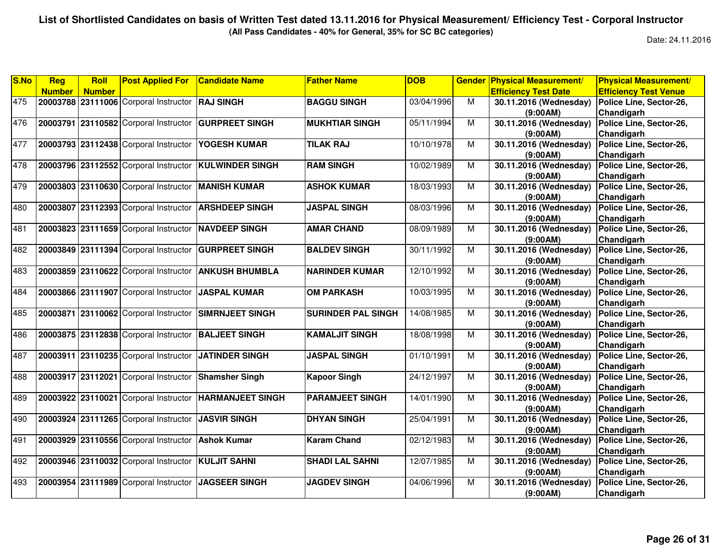**(All Pass Candidates - 40% for General, 35% for SC BC categories)**

| S.No | Reg           | Roll          | <b>Post Applied For</b>               | <b>Candidate Name</b>   | <b>Father Name</b>        | <b>DOB</b> | <b>Gender</b>  | <b>Physical Measurement/</b> | <b>Physical Measurement/</b> |
|------|---------------|---------------|---------------------------------------|-------------------------|---------------------------|------------|----------------|------------------------------|------------------------------|
|      | <b>Number</b> | <b>Number</b> |                                       |                         |                           |            |                | <b>Efficiency Test Date</b>  | <b>Efficiency Test Venue</b> |
| 475  |               |               | 20003788 23111006 Corporal Instructor | <b>RAJ SINGH</b>        | <b>BAGGU SINGH</b>        | 03/04/1996 | M              | 30.11.2016 (Wednesday)       | Police Line, Sector-26,      |
|      |               |               |                                       |                         |                           |            |                | (9:00AM)                     | Chandigarh                   |
| 476  | 20003791      |               | 23110582 Corporal Instructor          | <b>GURPREET SINGH</b>   | <b>MUKHTIAR SINGH</b>     | 05/11/1994 | M              | 30.11.2016 (Wednesday)       | Police Line, Sector-26,      |
|      |               |               |                                       |                         |                           |            |                | (9:00AM)                     | Chandigarh                   |
| 477  | 20003793      |               | 23112438 Corporal Instructor          | YOGESH KUMAR            | <b>TILAK RAJ</b>          | 10/10/1978 | M              | 30.11.2016 (Wednesday)       | Police Line, Sector-26,      |
|      |               |               |                                       |                         |                           |            |                | (9:00AM)                     | Chandigarh                   |
| 478  | 20003796      |               | 23112552 Corporal Instructor          | <b>KULWINDER SINGH</b>  | <b>RAM SINGH</b>          | 10/02/1989 | M              | 30.11.2016 (Wednesday)       | Police Line, Sector-26,      |
|      |               |               |                                       |                         |                           |            |                | (9:00AM)                     | Chandigarh                   |
| 479  |               |               | 20003803 23110630 Corporal Instructor | <b>MANISH KUMAR</b>     | <b>ASHOK KUMAR</b>        | 18/03/1993 | $\overline{M}$ | 30.11.2016 (Wednesday)       | Police Line, Sector-26,      |
|      |               |               |                                       |                         |                           |            |                | (9:00AM)                     | Chandigarh                   |
| 480  | 20003807      |               | 23112393 Corporal Instructor          | <b>ARSHDEEP SINGH</b>   | <b>JASPAL SINGH</b>       | 08/03/1996 | М              | 30.11.2016 (Wednesday)       | Police Line, Sector-26,      |
|      |               |               |                                       |                         |                           |            |                | (9:00AM)                     | Chandigarh                   |
| 481  | 20003823      |               | 23111659 Corporal Instructor          | <b>NAVDEEP SINGH</b>    | <b>AMAR CHAND</b>         | 08/09/1989 | M              | 30.11.2016 (Wednesday)       | Police Line, Sector-26,      |
|      |               |               |                                       |                         |                           |            |                | (9:00AM)                     | Chandigarh                   |
| 482  |               |               | 20003849 23111394 Corporal Instructor | <b>GURPREET SINGH</b>   | <b>BALDEV SINGH</b>       | 30/11/1992 | M              | 30.11.2016 (Wednesday)       | Police Line, Sector-26,      |
|      |               |               |                                       |                         |                           |            |                | (9:00AM)                     | Chandigarh                   |
| 483  |               |               | 20003859 23110622 Corporal Instructor | <b>ANKUSH BHUMBLA</b>   | <b>NARINDER KUMAR</b>     | 12/10/1992 | $\overline{M}$ | 30.11.2016 (Wednesday)       | Police Line, Sector-26,      |
|      |               |               |                                       |                         |                           |            |                | (9:00AM)                     | Chandigarh                   |
| 484  | 20003866      |               | 23111907 Corporal Instructor          | <b>JASPAL KUMAR</b>     | <b>OM PARKASH</b>         | 10/03/1995 | M              | 30.11.2016 (Wednesday)       | Police Line, Sector-26,      |
|      |               |               |                                       |                         |                           |            |                | (9:00AM)                     | Chandigarh                   |
| 485  |               |               | 20003871 23110062 Corporal Instructor | <b>SIMRNJEET SINGH</b>  | <b>SURINDER PAL SINGH</b> | 14/08/1985 | M              | 30.11.2016 (Wednesday)       | Police Line, Sector-26,      |
|      |               |               |                                       |                         |                           |            |                | (9:00AM)                     | Chandigarh                   |
| 486  |               |               | 20003875 23112838 Corporal Instructor | <b>BALJEET SINGH</b>    | <b>KAMALJIT SINGH</b>     | 18/08/1998 | $\overline{M}$ | 30.11.2016 (Wednesday)       | Police Line, Sector-26,      |
|      |               |               |                                       |                         |                           |            |                | (9:00AM)                     | Chandigarh                   |
| 487  |               |               | 20003911 23110235 Corporal Instructor | <b>JATINDER SINGH</b>   | <b>JASPAL SINGH</b>       | 01/10/1991 | M              | 30.11.2016 (Wednesday)       | Police Line, Sector-26,      |
|      |               |               |                                       |                         |                           |            |                | (9:00AM)                     | Chandigarh                   |
| 488  |               |               | 20003917 23112021 Corporal Instructor | <b>Shamsher Singh</b>   | <b>Kapoor Singh</b>       | 24/12/1997 | M              | 30.11.2016 (Wednesday)       | Police Line, Sector-26,      |
|      |               |               |                                       |                         |                           |            |                | (9:00AM)                     | Chandigarh                   |
| 489  |               |               | 20003922 23110021 Corporal Instructor | <b>HARMANJEET SINGH</b> | <b>PARAMJEET SINGH</b>    | 14/01/1990 | M              | 30.11.2016 (Wednesday)       | Police Line, Sector-26,      |
|      |               |               |                                       |                         |                           |            |                | (9:00AM)                     | Chandigarh                   |
| 490  |               |               | 20003924 23111265 Corporal Instructor | <b>JASVIR SINGH</b>     | <b>DHYAN SINGH</b>        | 25/04/1991 | M              | 30.11.2016 (Wednesday)       | Police Line, Sector-26,      |
|      |               |               |                                       |                         |                           |            |                | (9:00AM)                     | Chandigarh                   |
| 491  | 20003929      |               | 23110556 Corporal Instructor          | <b>Ashok Kumar</b>      | <b>Karam Chand</b>        | 02/12/1983 | M              | 30.11.2016 (Wednesday)       | Police Line, Sector-26,      |
|      |               |               |                                       |                         |                           |            |                | (9:00AM)                     | Chandigarh                   |
| 492  | 20003946      |               | 23110032 Corporal Instructor          | <b>KULJIT SAHNI</b>     | <b>SHADI LAL SAHNI</b>    | 12/07/1985 | M              | 30.11.2016 (Wednesday)       | Police Line, Sector-26,      |
|      |               |               |                                       |                         |                           |            |                | (9:00AM)                     | Chandigarh                   |
| 493  |               |               | 20003954 23111989 Corporal Instructor | <b>JAGSEER SINGH</b>    | <b>JAGDEV SINGH</b>       | 04/06/1996 | M              | 30.11.2016 (Wednesday)       | Police Line, Sector-26,      |
|      |               |               |                                       |                         |                           |            |                | (9:00AM)                     | Chandigarh                   |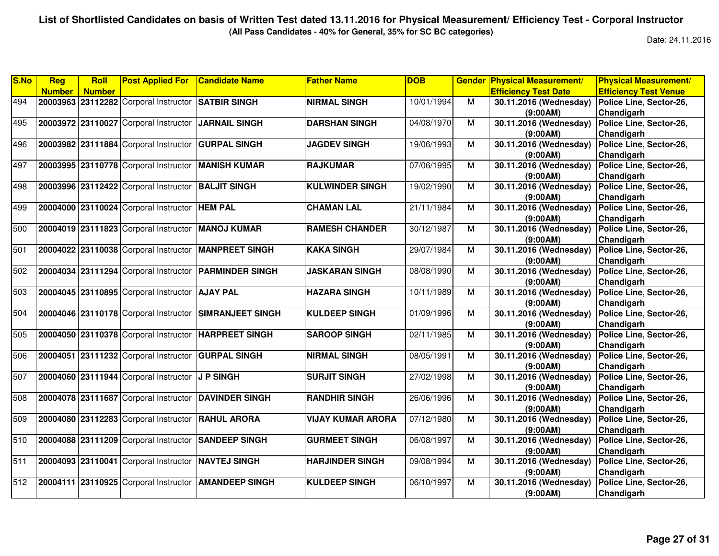**(All Pass Candidates - 40% for General, 35% for SC BC categories)**

| S.No | Reg           | Roll          | <b>Post Applied For</b>                              | <b>Candidate Name</b>   | <b>Father Name</b>       | <b>DOB</b> | <b>Gender</b>  | <b>Physical Measurement/</b> | <b>Physical Measurement/</b> |
|------|---------------|---------------|------------------------------------------------------|-------------------------|--------------------------|------------|----------------|------------------------------|------------------------------|
|      | <b>Number</b> | <b>Number</b> |                                                      |                         |                          |            |                | <b>Efficiency Test Date</b>  | <b>Efficiency Test Venue</b> |
| 494  |               |               | 20003963 23112282 Corporal Instructor                | <b>SATBIR SINGH</b>     | <b>NIRMAL SINGH</b>      | 10/01/1994 | M              | 30.11.2016 (Wednesday)       | Police Line, Sector-26,      |
|      |               |               |                                                      |                         |                          |            |                | (9:00AM)                     | Chandigarh                   |
| 495  |               |               | 20003972 23110027 Corporal Instructor                | <b>JARNAIL SINGH</b>    | <b>DARSHAN SINGH</b>     | 04/08/1970 | M              | 30.11.2016 (Wednesday)       | Police Line, Sector-26,      |
|      |               |               |                                                      |                         |                          |            |                | (9:00AM)                     | Chandigarh                   |
| 496  |               |               | 20003982 23111884 Corporal Instructor                | <b>GURPAL SINGH</b>     | <b>JAGDEV SINGH</b>      | 19/06/1993 | M              | 30.11.2016 (Wednesday)       | Police Line, Sector-26,      |
|      |               |               |                                                      |                         |                          |            |                | (9:00AM)                     | Chandigarh                   |
| 497  |               |               | 20003995 23110778 Corporal Instructor                | <b>MANISH KUMAR</b>     | <b>RAJKUMAR</b>          | 07/06/1995 | M              | 30.11.2016 (Wednesday)       | Police Line, Sector-26,      |
|      |               |               |                                                      |                         |                          |            |                | (9:00AM)                     | Chandigarh                   |
| 498  |               |               | 20003996 23112422 Corporal Instructor BALJIT SINGH   |                         | <b>KULWINDER SINGH</b>   | 19/02/1990 | M              | 30.11.2016 (Wednesday)       | Police Line, Sector-26,      |
|      |               |               |                                                      |                         |                          |            |                | (9:00AM)                     | Chandigarh                   |
| 499  |               |               | 20004000 23110024 Corporal Instructor                | <b>HEM PAL</b>          | <b>CHAMAN LAL</b>        | 21/11/1984 | M              | 30.11.2016 (Wednesday)       | Police Line, Sector-26,      |
|      |               |               |                                                      |                         |                          |            |                | (9:00AM)                     | Chandigarh                   |
| 500  |               |               | 20004019 23111823 Corporal Instructor                | <b>MANOJ KUMAR</b>      | <b>RAMESH CHANDER</b>    | 30/12/1987 | М              | 30.11.2016 (Wednesday)       | Police Line, Sector-26,      |
|      |               |               |                                                      |                         |                          |            |                | (9:00AM)                     | Chandigarh                   |
| 501  |               |               | 20004022 23110038 Corporal Instructor                | <b>MANPREET SINGH</b>   | <b>KAKA SINGH</b>        | 29/07/1984 | M              | 30.11.2016 (Wednesday)       | Police Line, Sector-26,      |
|      |               |               |                                                      |                         |                          |            |                | (9:00AM)                     | Chandigarh                   |
| 502  |               |               | 20004034 23111294 Corporal Instructor                | <b>PARMINDER SINGH</b>  | <b>JASKARAN SINGH</b>    | 08/08/1990 | M              | 30.11.2016 (Wednesday)       | Police Line, Sector-26,      |
|      |               |               |                                                      |                         |                          |            |                | (9:00AM)                     | Chandigarh                   |
| 503  |               |               | 20004045 23110895 Corporal Instructor                | <b>AJAY PAL</b>         | <b>HAZARA SINGH</b>      | 10/11/1989 | M              | 30.11.2016 (Wednesday)       | Police Line, Sector-26,      |
|      |               |               |                                                      |                         |                          |            |                | (9:00AM)                     | Chandigarh                   |
| 504  |               |               | 20004046 23110178 Corporal Instructor                | <b>SIMRANJEET SINGH</b> | <b>KULDEEP SINGH</b>     | 01/09/1996 | M              | 30.11.2016 (Wednesday)       | Police Line, Sector-26,      |
|      |               |               |                                                      |                         |                          |            |                | (9:00AM)                     | Chandigarh                   |
| 505  |               |               | 20004050 23110378 Corporal Instructor                | <b>HARPREET SINGH</b>   | <b>SAROOP SINGH</b>      | 02/11/1985 | М              | 30.11.2016 (Wednesday)       | Police Line, Sector-26,      |
|      |               |               |                                                      |                         |                          |            |                | (9:00AM)                     | Chandigarh                   |
| 506  |               |               | 20004051 23111232 Corporal Instructor                | <b>GURPAL SINGH</b>     | <b>NIRMAL SINGH</b>      | 08/05/1991 | M              | 30.11.2016 (Wednesday)       | Police Line, Sector-26,      |
|      |               |               |                                                      |                         |                          |            |                | (9:00AM)                     | Chandigarh                   |
| 507  |               |               | 20004060 23111944 Corporal Instructor                | <b>J P SINGH</b>        | <b>SURJIT SINGH</b>      | 27/02/1998 | M              | 30.11.2016 (Wednesday)       | Police Line, Sector-26,      |
|      |               |               |                                                      |                         |                          |            |                | (9:00AM)                     | Chandigarh                   |
| 508  |               |               | 20004078 23111687 Corporal Instructor DAVINDER SINGH |                         | <b>RANDHIR SINGH</b>     | 26/06/1996 | M              | 30.11.2016 (Wednesday)       | Police Line, Sector-26,      |
|      |               |               |                                                      |                         |                          |            |                | (9:00AM)                     | Chandigarh                   |
| 509  |               |               | 20004080 23112283 Corporal Instructor                | <b>RAHUL ARORA</b>      | <b>VIJAY KUMAR ARORA</b> | 07/12/1980 | $\overline{M}$ | 30.11.2016 (Wednesday)       | Police Line, Sector-26,      |
|      |               |               |                                                      |                         |                          |            |                | (9:00AM)                     | Chandigarh                   |
| 510  |               |               | 20004088 23111209 Corporal Instructor                | <b>SANDEEP SINGH</b>    | <b>GURMEET SINGH</b>     | 06/08/1997 | M              | 30.11.2016 (Wednesday)       | Police Line, Sector-26,      |
|      |               |               |                                                      |                         |                          |            |                | (9:00AM)                     | Chandigarh                   |
| 511  |               |               | 20004093 23110041 Corporal Instructor                | <b>NAVTEJ SINGH</b>     | <b>HARJINDER SINGH</b>   | 09/08/1994 | M              | 30.11.2016 (Wednesday)       | Police Line, Sector-26,      |
|      |               |               |                                                      |                         |                          |            |                | (9:00AM)                     | Chandigarh                   |
| 512  |               |               | 20004111 23110925 Corporal Instructor                | <b>AMANDEEP SINGH</b>   | <b>KULDEEP SINGH</b>     | 06/10/1997 | M              | 30.11.2016 (Wednesday)       | Police Line, Sector-26,      |
|      |               |               |                                                      |                         |                          |            |                | (9:00AM)                     | Chandigarh                   |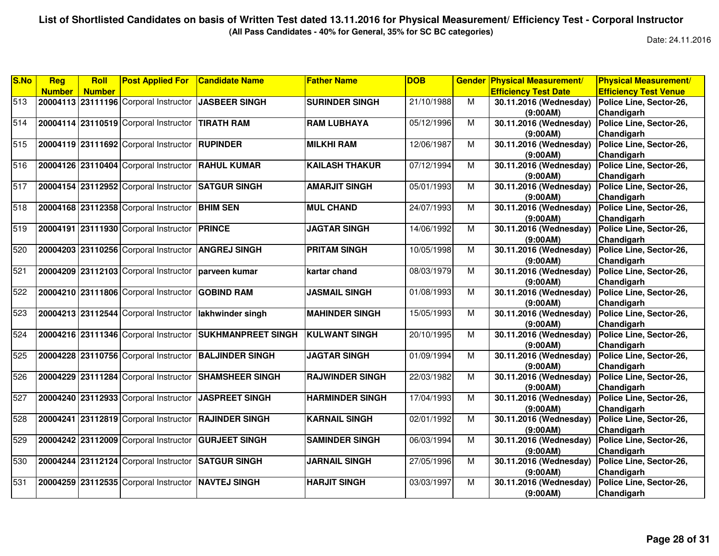**(All Pass Candidates - 40% for General, 35% for SC BC categories)**

| S.No | Reg           | <b>Roll</b>   | <b>Post Applied For</b>                              | <b>Candidate Name</b>     | <b>Father Name</b>     | <b>DOB</b> | <b>Gender</b>  | <b>Physical Measurement/</b> | <b>Physical Measurement/</b> |
|------|---------------|---------------|------------------------------------------------------|---------------------------|------------------------|------------|----------------|------------------------------|------------------------------|
|      | <b>Number</b> | <b>Number</b> |                                                      |                           |                        |            |                | <b>Efficiency Test Date</b>  | <b>Efficiency Test Venue</b> |
| 513  |               |               | 20004113 23111196 Corporal Instructor JJASBEER SINGH |                           | <b>SURINDER SINGH</b>  | 21/10/1988 | М              | 30.11.2016 (Wednesday)       | Police Line, Sector-26,      |
|      |               |               |                                                      |                           |                        |            |                | (9:00AM)                     | Chandigarh                   |
| 514  |               |               | 20004114 23110519 Corporal Instructor TIRATH RAM     |                           | <b>RAM LUBHAYA</b>     | 05/12/1996 | M              | 30.11.2016 (Wednesday)       | Police Line, Sector-26,      |
|      |               |               |                                                      |                           |                        |            |                | (9:00AM)                     | Chandigarh                   |
| 515  |               |               | 20004119 23111692 Corporal Instructor                | <b>RUPINDER</b>           | <b>MILKHI RAM</b>      | 12/06/1987 | M              | 30.11.2016 (Wednesday)       | Police Line, Sector-26,      |
|      |               |               |                                                      |                           |                        |            |                | (9:00AM)                     | Chandigarh                   |
| 516  |               |               | 20004126 23110404 Corporal Instructor                | <b>RAHUL KUMAR</b>        | <b>KAILASH THAKUR</b>  | 07/12/1994 | М              | 30.11.2016 (Wednesday)       | Police Line, Sector-26,      |
|      |               |               |                                                      |                           |                        |            |                | (9:00AM)                     | Chandigarh                   |
| 517  |               |               | 20004154 23112952 Corporal Instructor                | <b>SATGUR SINGH</b>       | <b>AMARJIT SINGH</b>   | 05/01/1993 | М              | 30.11.2016 (Wednesday)       | Police Line, Sector-26,      |
|      |               |               |                                                      |                           |                        |            |                | (9:00AM)                     | Chandigarh                   |
| 518  |               |               | 20004168 23112358 Corporal Instructor                | <b>BHIM SEN</b>           | <b>MUL CHAND</b>       | 24/07/1993 | М              | 30.11.2016 (Wednesday)       | Police Line, Sector-26,      |
|      |               |               |                                                      |                           |                        |            |                | (9:00AM)                     | Chandigarh                   |
| 519  |               |               | 20004191 23111930 Corporal Instructor                | <b>PRINCE</b>             | <b>JAGTAR SINGH</b>    | 14/06/1992 | M              | 30.11.2016 (Wednesday)       | Police Line, Sector-26,      |
|      |               |               |                                                      |                           |                        |            |                | (9:00AM)                     | Chandigarh                   |
| 520  |               |               | 20004203 23110256 Corporal Instructor                | <b>ANGREJ SINGH</b>       | <b>PRITAM SINGH</b>    | 10/05/1998 | M              | 30.11.2016 (Wednesday)       | Police Line, Sector-26,      |
|      |               |               |                                                      |                           |                        |            |                | (9:00AM)                     | Chandigarh                   |
| 521  |               |               | 20004209 23112103 Corporal Instructor                | Iparveen kumar            | kartar chand           | 08/03/1979 | $\overline{M}$ | 30.11.2016 (Wednesday)       | Police Line, Sector-26,      |
|      |               |               |                                                      |                           |                        |            |                | (9:00AM)                     | Chandigarh                   |
| 522  |               |               | 20004210 23111806 Corporal Instructor                | <b>GOBIND RAM</b>         | <b>JASMAIL SINGH</b>   | 01/08/1993 | М              | 30.11.2016 (Wednesday)       | Police Line, Sector-26,      |
|      |               |               |                                                      |                           |                        |            |                | (9:00AM)                     | Chandigarh                   |
| 523  |               |               | 20004213 23112544 Corporal Instructor                | lakhwinder singh          | <b>MAHINDER SINGH</b>  | 15/05/1993 | М              | 30.11.2016 (Wednesday)       | Police Line, Sector-26,      |
|      |               |               |                                                      |                           |                        |            |                | (9:00AM)                     | Chandigarh                   |
| 524  |               |               | 20004216 23111346 Corporal Instructor                | <b>SUKHMANPREET SINGH</b> | <b>KULWANT SINGH</b>   | 20/10/1995 | M              | 30.11.2016 (Wednesday)       | Police Line, Sector-26,      |
|      |               |               |                                                      |                           |                        |            |                | (9:00AM)                     | Chandigarh                   |
| 525  |               |               | 20004228 23110756 Corporal Instructor                | <b>BALJINDER SINGH</b>    | <b>JAGTAR SINGH</b>    | 01/09/1994 | M              | 30.11.2016 (Wednesday)       | Police Line, Sector-26,      |
|      |               |               |                                                      |                           |                        |            |                | (9:00AM)                     | Chandigarh                   |
| 526  |               |               | 20004229 23111284 Corporal Instructor                | <b>SHAMSHEER SINGH</b>    | <b>RAJWINDER SINGH</b> | 22/03/1982 | M              | 30.11.2016 (Wednesday)       | Police Line, Sector-26,      |
|      |               |               |                                                      |                           |                        |            |                | (9:00AM)                     | Chandigarh                   |
| 527  |               |               | 20004240 23112933 Corporal Instructor                | <b>JASPREET SINGH</b>     | <b>HARMINDER SINGH</b> | 17/04/1993 | М              | 30.11.2016 (Wednesday)       | Police Line, Sector-26,      |
|      |               |               |                                                      |                           |                        |            |                | (9:00AM)                     | Chandigarh                   |
| 528  |               |               | 20004241 23112819 Corporal Instructor                | <b>RAJINDER SINGH</b>     | <b>KARNAIL SINGH</b>   | 02/01/1992 | М              | 30.11.2016 (Wednesday)       | Police Line, Sector-26,      |
|      |               |               |                                                      |                           |                        |            |                | (9:00AM)                     | Chandigarh                   |
| 529  |               |               | 20004242 23112009 Corporal Instructor                | <b>GURJEET SINGH</b>      | <b>SAMINDER SINGH</b>  | 06/03/1994 | М              | 30.11.2016 (Wednesday)       | Police Line, Sector-26,      |
|      |               |               |                                                      |                           |                        |            |                | (9:00AM)                     | Chandigarh                   |
| 530  |               |               | 20004244 23112124 Corporal Instructor                | <b>SATGUR SINGH</b>       | <b>JARNAIL SINGH</b>   | 27/05/1996 | M              | 30.11.2016 (Wednesday)       | Police Line, Sector-26,      |
|      |               |               |                                                      |                           |                        |            |                | (9:00AM)                     | Chandigarh                   |
| 531  |               |               | 20004259 23112535 Corporal Instructor                | <b>NAVTEJ SINGH</b>       | <b>HARJIT SINGH</b>    | 03/03/1997 | M              | 30.11.2016 (Wednesday)       | Police Line, Sector-26,      |
|      |               |               |                                                      |                           |                        |            |                | (9:00AM)                     | Chandigarh                   |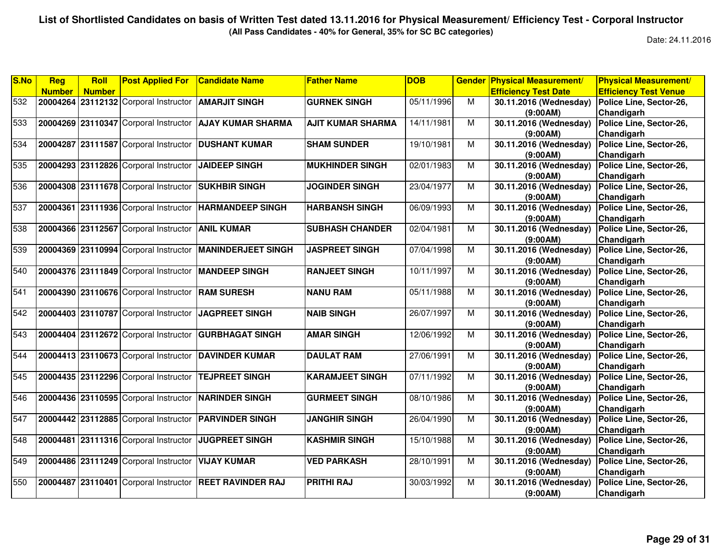**(All Pass Candidates - 40% for General, 35% for SC BC categories)**

| S.No | Reg           | Roll          | <b>Post Applied For</b>               | <b>Candidate Name</b>                                    | <b>Father Name</b>       | <b>DOB</b> |   | <b>Gender Physical Measurement/</b> | <b>Physical Measurement/</b> |
|------|---------------|---------------|---------------------------------------|----------------------------------------------------------|--------------------------|------------|---|-------------------------------------|------------------------------|
|      | <b>Number</b> | <b>Number</b> |                                       |                                                          |                          |            |   | <b>Efficiency Test Date</b>         | <b>Efficiency Test Venue</b> |
| 532  |               |               | 20004264 23112132 Corporal Instructor | <b>AMARJIT SINGH</b>                                     | <b>GURNEK SINGH</b>      | 05/11/1996 | М | 30.11.2016 (Wednesday)              | Police Line, Sector-26,      |
|      |               |               |                                       |                                                          |                          |            |   | (9:00AM)                            | Chandigarh                   |
| 533  |               |               | 20004269 23110347 Corporal Instructor | <b>AJAY KUMAR SHARMA</b>                                 | <b>AJIT KUMAR SHARMA</b> | 14/11/1981 | M | 30.11.2016 (Wednesday)              | Police Line, Sector-26,      |
|      |               |               |                                       |                                                          |                          |            |   | (9:00AM)                            | Chandigarh                   |
| 534  | 20004287      |               | 23111587 Corporal Instructor          | <b>DUSHANT KUMAR</b>                                     | <b>SHAM SUNDER</b>       | 19/10/1981 | M | 30.11.2016 (Wednesday)              | Police Line, Sector-26,      |
|      |               |               |                                       |                                                          |                          |            |   | (9:00AM)                            | Chandigarh                   |
| 535  | 20004293      |               | 23112826 Corporal Instructor          | <b>JAIDEEP SINGH</b>                                     | <b>MUKHINDER SINGH</b>   | 02/01/1983 | М | 30.11.2016 (Wednesday)              | Police Line, Sector-26,      |
|      |               |               |                                       |                                                          |                          |            |   | (9:00AM)                            | Chandigarh                   |
| 536  |               |               | 20004308 23111678 Corporal Instructor | <b>SUKHBIR SINGH</b>                                     | <b>JOGINDER SINGH</b>    | 23/04/1977 | M | 30.11.2016 (Wednesday)              | Police Line, Sector-26,      |
|      |               |               |                                       |                                                          |                          |            |   | (9:00AM)                            | Chandigarh                   |
| 537  |               |               | 20004361 23111936 Corporal Instructor | <b>HARMANDEEP SINGH</b>                                  | <b>HARBANSH SINGH</b>    | 06/09/1993 | М | 30.11.2016 (Wednesday)              | Police Line, Sector-26,      |
|      |               |               |                                       |                                                          |                          |            |   | (9:00AM)                            | Chandigarh                   |
| 538  |               |               | 20004366 23112567 Corporal Instructor | <b>ANIL KUMAR</b>                                        | <b>SUBHASH CHANDER</b>   | 02/04/1981 | M | 30.11.2016 (Wednesday)              | Police Line, Sector-26,      |
|      |               |               |                                       |                                                          |                          |            |   | (9:00AM)                            | Chandigarh                   |
| 539  |               |               |                                       | 20004369 23110994 Corporal Instructor MANINDERJEET SINGH | <b>JASPREET SINGH</b>    | 07/04/1998 | м | 30.11.2016 (Wednesday)              | Police Line, Sector-26,      |
|      |               |               |                                       |                                                          |                          |            |   | (9:00AM)                            | Chandigarh                   |
| 540  |               |               | 20004376 23111849 Corporal Instructor | <b>IMANDEEP SINGH</b>                                    | <b>RANJEET SINGH</b>     | 10/11/1997 | M | 30.11.2016 (Wednesday)              | Police Line, Sector-26,      |
|      |               |               |                                       |                                                          |                          |            |   | (9:00AM)                            | Chandigarh                   |
| 541  | 20004390      |               | 23110676 Corporal Instructor          | <b>RAM SURESH</b>                                        | <b>NANU RAM</b>          | 05/11/1988 | M | 30.11.2016 (Wednesday)              | Police Line, Sector-26,      |
|      |               |               |                                       |                                                          |                          |            |   | (9:00AM)                            | Chandigarh                   |
| 542  |               |               | 20004403 23110787 Corporal Instructor | JAGPREET SINGH                                           | <b>NAIB SINGH</b>        | 26/07/1997 | М | 30.11.2016 (Wednesday)              | Police Line, Sector-26,      |
|      |               |               |                                       |                                                          |                          |            |   | (9:00AM)                            | Chandigarh                   |
| 543  |               |               | 20004404 23112672 Corporal Instructor | <b>GURBHAGAT SINGH</b>                                   | <b>AMAR SINGH</b>        | 12/06/1992 | M | 30.11.2016 (Wednesday)              | Police Line, Sector-26,      |
|      |               |               |                                       |                                                          |                          |            |   | (9:00AM)                            | Chandigarh                   |
| 544  |               |               | 20004413 23110673 Corporal Instructor | <b>DAVINDER KUMAR</b>                                    | <b>DAULAT RAM</b>        | 27/06/1991 | M | 30.11.2016 (Wednesday)              | Police Line, Sector-26,      |
|      |               |               |                                       |                                                          |                          |            |   | (9:00AM)                            | Chandigarh                   |
| 545  |               |               | 20004435 23112296 Corporal Instructor | <b>TEJPREET SINGH</b>                                    | <b>KARAMJEET SINGH</b>   | 07/11/1992 | M | 30.11.2016 (Wednesday)              | Police Line, Sector-26,      |
|      |               |               |                                       |                                                          |                          |            |   | (9:00AM)                            | Chandigarh                   |
| 546  |               |               | 20004436 23110595 Corporal Instructor | <b>NARINDER SINGH</b>                                    | <b>GURMEET SINGH</b>     | 08/10/1986 | M | 30.11.2016 (Wednesday)              | Police Line, Sector-26,      |
|      |               |               |                                       |                                                          |                          |            |   | (9:00AM)                            | Chandigarh                   |
| 547  |               |               | 20004442 23112885 Corporal Instructor | <b>PARVINDER SINGH</b>                                   | <b>JANGHIR SINGH</b>     | 26/04/1990 | M | 30.11.2016 (Wednesday)              | Police Line, Sector-26,      |
|      |               |               |                                       |                                                          |                          |            |   | (9:00AM)                            | Chandigarh                   |
| 548  | 20004481      |               | 23111316 Corporal Instructor          | <b>JUGPREET SINGH</b>                                    | <b>KASHMIR SINGH</b>     | 15/10/1988 | М | 30.11.2016 (Wednesday)              | Police Line, Sector-26,      |
|      |               |               |                                       |                                                          |                          |            |   | (9:00AM)                            | Chandigarh                   |
| 549  |               |               | 20004486 23111249 Corporal Instructor | <b>VIJAY KUMAR</b>                                       | <b>VED PARKASH</b>       | 28/10/1991 | М | 30.11.2016 (Wednesday)              | Police Line, Sector-26,      |
|      |               |               |                                       |                                                          |                          |            |   | (9:00AM)                            | Chandigarh                   |
| 550  | 20004487      | 23110401      | Corporal Instructor                   | <b>REET RAVINDER RAJ</b>                                 | <b>PRITHI RAJ</b>        | 30/03/1992 | М | 30.11.2016 (Wednesday)              | Police Line, Sector-26,      |
|      |               |               |                                       |                                                          |                          |            |   | (9:00AM)                            | Chandigarh                   |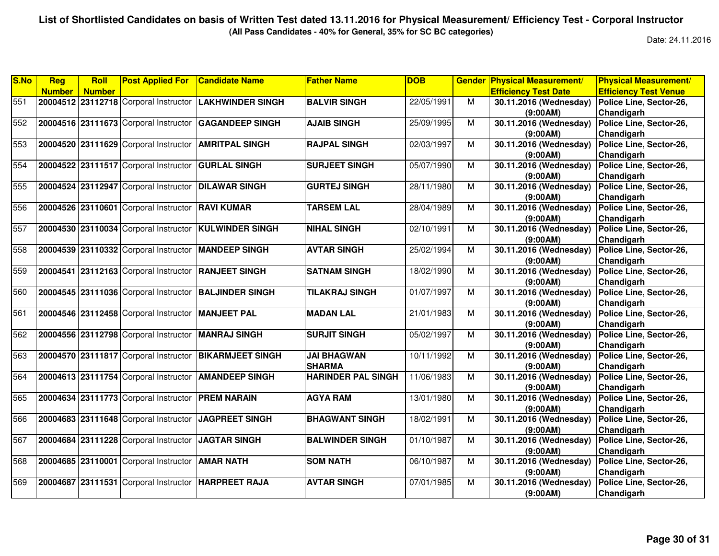**(All Pass Candidates - 40% for General, 35% for SC BC categories)**

| S.No | Reg           | Roll          | <b>Post Applied For</b>                             | <b>Candidate Name</b>   | <b>Father Name</b>        | <b>DOB</b> | <b>Gender</b>           | <b>Physical Measurement/</b> | <b>Physical Measurement/</b> |
|------|---------------|---------------|-----------------------------------------------------|-------------------------|---------------------------|------------|-------------------------|------------------------------|------------------------------|
|      | <b>Number</b> | <b>Number</b> |                                                     |                         |                           |            |                         | <b>Efficiency Test Date</b>  | <b>Efficiency Test Venue</b> |
| 551  |               |               | 20004512 23112718 Corporal Instructor               | <b>LAKHWINDER SINGH</b> | <b>BALVIR SINGH</b>       | 22/05/1991 | M                       | 30.11.2016 (Wednesday)       | Police Line, Sector-26,      |
|      |               |               |                                                     |                         |                           |            |                         | (9:00AM)                     | Chandigarh                   |
| 552  |               |               | 20004516 23111673 Corporal Instructor               | <b>GAGANDEEP SINGH</b>  | <b>AJAIB SINGH</b>        | 25/09/1995 | M                       | 30.11.2016 (Wednesday)       | Police Line, Sector-26,      |
|      |               |               |                                                     |                         |                           |            |                         | (9:00AM)                     | Chandigarh                   |
| 553  | 20004520      |               | 23111629 Corporal Instructor                        | <b>AMRITPAL SINGH</b>   | <b>RAJPAL SINGH</b>       | 02/03/1997 | M                       | 30.11.2016 (Wednesday)       | Police Line, Sector-26,      |
|      |               |               |                                                     |                         |                           |            |                         | (9:00AM)                     | Chandigarh                   |
| 554  | 20004522      |               | 23111517 Corporal Instructor                        | <b>GURLAL SINGH</b>     | <b>SURJEET SINGH</b>      | 05/07/1990 | $\overline{M}$          | 30.11.2016 (Wednesday)       | Police Line, Sector-26,      |
|      |               |               |                                                     |                         |                           |            |                         | (9:00AM)                     | Chandigarh                   |
| 555  |               |               | 20004524 23112947 Corporal Instructor               | <b>DILAWAR SINGH</b>    | <b>GURTEJ SINGH</b>       | 28/11/1980 | $\overline{\mathsf{M}}$ | 30.11.2016 (Wednesday)       | Police Line, Sector-26,      |
|      |               |               |                                                     |                         |                           |            |                         | (9:00AM)                     | Chandigarh                   |
| 556  |               |               | 20004526 23110601 Corporal Instructor               | <b>RAVI KUMAR</b>       | <b>TARSEM LAL</b>         | 28/04/1989 | M                       | 30.11.2016 (Wednesday)       | Police Line, Sector-26,      |
|      |               |               |                                                     |                         |                           |            |                         | (9:00AM)                     | Chandigarh                   |
| 557  |               |               | 20004530 23110034 Corporal Instructor               | <b>KULWINDER SINGH</b>  | <b>NIHAL SINGH</b>        | 02/10/1991 | M                       | 30.11.2016 (Wednesday)       | Police Line, Sector-26,      |
|      |               |               |                                                     |                         |                           |            |                         | (9:00AM)                     | Chandigarh                   |
| 558  |               |               | 20004539 23110332 Corporal Instructor               | <b>MANDEEP SINGH</b>    | <b>AVTAR SINGH</b>        | 25/02/1994 | M                       | 30.11.2016 (Wednesday)       | Police Line, Sector-26,      |
|      |               |               |                                                     |                         |                           |            |                         | (9:00AM)                     | Chandigarh                   |
| 559  | 20004541      |               | 23112163 Corporal Instructor                        | <b>RANJEET SINGH</b>    | <b>SATNAM SINGH</b>       | 18/02/1990 | M                       | 30.11.2016 (Wednesday)       | Police Line, Sector-26,      |
|      |               |               |                                                     |                         |                           |            |                         | (9:00AM)                     | Chandigarh                   |
| 560  | 20004545      |               | 23111036 Corporal Instructor                        | <b>BALJINDER SINGH</b>  | <b>TILAKRAJ SINGH</b>     | 01/07/1997 | M                       | 30.11.2016 (Wednesday)       | Police Line, Sector-26,      |
|      |               |               |                                                     |                         |                           |            |                         | (9:00AM)                     | Chandigarh                   |
| 561  |               |               | 20004546 23112458 Corporal Instructor               | <b>MANJEET PAL</b>      | <b>MADAN LAL</b>          | 21/01/1983 | M                       | 30.11.2016 (Wednesday)       | Police Line, Sector-26,      |
|      |               |               |                                                     |                         |                           |            |                         | (9:00AM)                     | Chandigarh                   |
| 562  |               |               | 20004556 23112798 Corporal Instructor               | <b>MANRAJ SINGH</b>     | <b>SURJIT SINGH</b>       | 05/02/1997 | $\overline{M}$          | 30.11.2016 (Wednesday)       | Police Line, Sector-26,      |
|      |               |               |                                                     |                         |                           |            |                         | (9:00AM)                     | Chandigarh                   |
| 563  |               |               | 20004570 23111817 Corporal Instructor               | <b>BIKARMJEET SINGH</b> | <b>JAI BHAGWAN</b>        | 10/11/1992 | M                       | 30.11.2016 (Wednesday)       | Police Line, Sector-26,      |
|      |               |               |                                                     |                         | <b>SHARMA</b>             |            |                         | (9:00AM)                     | Chandigarh                   |
| 564  |               |               | 20004613 23111754 Corporal Instructor               | <b>AMANDEEP SINGH</b>   | <b>HARINDER PAL SINGH</b> | 11/06/1983 | M                       | 30.11.2016 (Wednesday)       | Police Line, Sector-26,      |
|      |               |               |                                                     |                         |                           |            |                         | (9:00AM)                     | Chandigarh                   |
| 565  |               |               | 20004634 23111773 Corporal Instructor   PREM NARAIN |                         | <b>AGYA RAM</b>           | 13/01/1980 | M                       | 30.11.2016 (Wednesday)       | Police Line, Sector-26,      |
|      |               |               |                                                     |                         |                           |            |                         | (9:00AM)                     | Chandigarh                   |
| 566  |               |               | 20004683 23111648 Corporal Instructor               | <b>JAGPREET SINGH</b>   | <b>BHAGWANT SINGH</b>     | 18/02/1991 | M                       | 30.11.2016 (Wednesday)       | Police Line, Sector-26,      |
|      |               |               |                                                     |                         |                           |            |                         | (9:00AM)                     | Chandigarh                   |
| 567  | 20004684      |               | 23111228 Corporal Instructor                        | <b>JAGTAR SINGH</b>     | <b>BALWINDER SINGH</b>    | 01/10/1987 | M                       | 30.11.2016 (Wednesday)       | Police Line, Sector-26,      |
|      |               |               |                                                     |                         |                           |            |                         | (9:00AM)                     | Chandigarh                   |
| 568  |               |               | 20004685 23110001 Corporal Instructor               | <b>AMAR NATH</b>        | <b>SOM NATH</b>           | 06/10/1987 | M                       | 30.11.2016 (Wednesday)       | Police Line, Sector-26,      |
|      |               |               |                                                     |                         |                           |            |                         | (9:00AM)                     | Chandigarh                   |
| 569  | 20004687      |               | 23111531 Corporal Instructor                        | <b>HARPREET RAJA</b>    | <b>AVTAR SINGH</b>        | 07/01/1985 | $\overline{M}$          | 30.11.2016 (Wednesday)       | Police Line, Sector-26,      |
|      |               |               |                                                     |                         |                           |            |                         | (9:00AM)                     | Chandigarh                   |